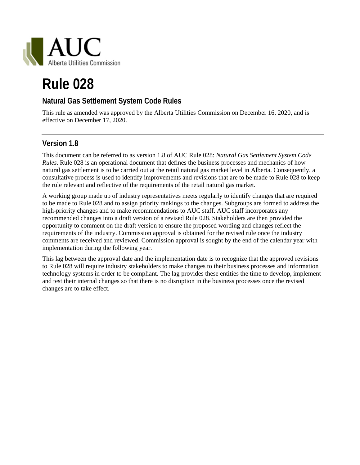

# **Rule 028**

## **Natural Gas Settlement System Code Rules**

This rule as amended was approved by the Alberta Utilities Commission on December 16, 2020, and is effective on December 17, 2020.

## **Version 1.8**

This document can be referred to as version 1.8 of AUC Rule 028: *Natural Gas Settlement System Code Rules*. Rule 028 is an operational document that defines the business processes and mechanics of how natural gas settlement is to be carried out at the retail natural gas market level in Alberta. Consequently, a consultative process is used to identify improvements and revisions that are to be made to Rule 028 to keep the rule relevant and reflective of the requirements of the retail natural gas market.

A working group made up of industry representatives meets regularly to identify changes that are required to be made to Rule 028 and to assign priority rankings to the changes. Subgroups are formed to address the high-priority changes and to make recommendations to AUC staff. AUC staff incorporates any recommended changes into a draft version of a revised Rule 028. Stakeholders are then provided the opportunity to comment on the draft version to ensure the proposed wording and changes reflect the requirements of the industry. Commission approval is obtained for the revised rule once the industry comments are received and reviewed. Commission approval is sought by the end of the calendar year with implementation during the following year.

This lag between the approval date and the implementation date is to recognize that the approved revisions to Rule 028 will require industry stakeholders to make changes to their business processes and information technology systems in order to be compliant. The lag provides these entities the time to develop, implement and test their internal changes so that there is no disruption in the business processes once the revised changes are to take effect.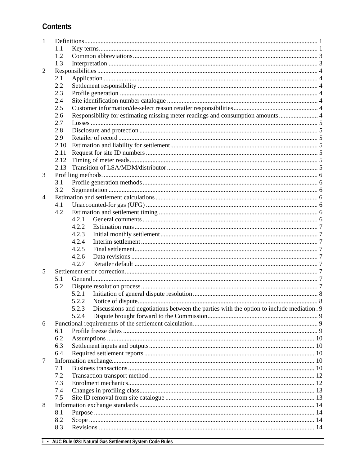# **Contents**

| 1              |      |                                                                                                   |  |
|----------------|------|---------------------------------------------------------------------------------------------------|--|
|                | 1.1  |                                                                                                   |  |
|                | 1.2  |                                                                                                   |  |
|                | 1.3  |                                                                                                   |  |
| $\overline{2}$ |      |                                                                                                   |  |
|                | 2.1  |                                                                                                   |  |
|                | 2.2  |                                                                                                   |  |
|                | 2.3  |                                                                                                   |  |
|                | 2.4  |                                                                                                   |  |
|                | 2.5  |                                                                                                   |  |
|                | 2.6  | Responsibility for estimating missing meter readings and consumption amounts  4                   |  |
|                | 2.7  |                                                                                                   |  |
|                | 2.8  |                                                                                                   |  |
|                | 2.9  |                                                                                                   |  |
|                | 2.10 |                                                                                                   |  |
|                | 2.11 |                                                                                                   |  |
|                | 2.12 |                                                                                                   |  |
|                | 2.13 |                                                                                                   |  |
| 3              |      |                                                                                                   |  |
|                | 3.1  |                                                                                                   |  |
|                | 3.2  |                                                                                                   |  |
| 4              |      |                                                                                                   |  |
|                | 4.1  |                                                                                                   |  |
|                | 4.2  |                                                                                                   |  |
|                |      | 4.2.1                                                                                             |  |
|                |      | 4.2.2                                                                                             |  |
|                |      | 4.2.3                                                                                             |  |
|                |      | 4.2.4                                                                                             |  |
|                |      | 4.2.5                                                                                             |  |
|                |      | 4.2.6                                                                                             |  |
|                |      | 4.2.7                                                                                             |  |
| 5              |      |                                                                                                   |  |
|                | 5.1  |                                                                                                   |  |
|                | 5.2  |                                                                                                   |  |
|                |      | 5.2.1                                                                                             |  |
|                |      |                                                                                                   |  |
|                |      | Discussions and negotiations between the parties with the option to include mediation. 9<br>5.2.3 |  |
|                |      | 5.2.4                                                                                             |  |
| 6              |      |                                                                                                   |  |
|                | 6.1  |                                                                                                   |  |
|                | 6.2  |                                                                                                   |  |
|                | 6.3  |                                                                                                   |  |
|                | 6.4  |                                                                                                   |  |
| 7              |      |                                                                                                   |  |
|                | 7.1  |                                                                                                   |  |
|                | 7.2  |                                                                                                   |  |
|                | 7.3  |                                                                                                   |  |
|                | 7.4  |                                                                                                   |  |
|                | 7.5  |                                                                                                   |  |
| 8              |      |                                                                                                   |  |
|                | 8.1  |                                                                                                   |  |
|                | 8.2  |                                                                                                   |  |
|                | 8.3  |                                                                                                   |  |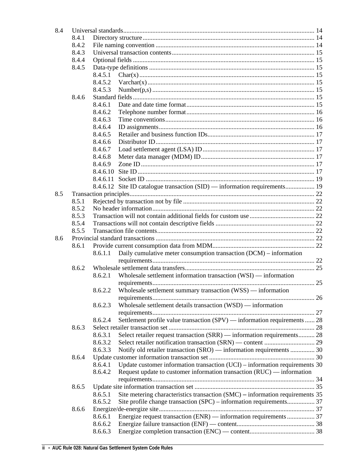| 8.4 |       |          |                                                                               |  |  |
|-----|-------|----------|-------------------------------------------------------------------------------|--|--|
|     | 8.4.1 |          |                                                                               |  |  |
|     | 8.4.2 |          |                                                                               |  |  |
|     | 8.4.3 |          |                                                                               |  |  |
|     | 8.4.4 |          |                                                                               |  |  |
|     | 8.4.5 |          |                                                                               |  |  |
|     |       | 8.4.5.1  |                                                                               |  |  |
|     |       | 8.4.5.2  |                                                                               |  |  |
|     |       | 8.4.5.3  |                                                                               |  |  |
|     | 8.4.6 |          |                                                                               |  |  |
|     |       | 8.4.6.1  |                                                                               |  |  |
|     |       | 8.4.6.2  |                                                                               |  |  |
|     |       | 8.4.6.3  |                                                                               |  |  |
|     |       | 8.4.6.4  |                                                                               |  |  |
|     |       | 8.4.6.5  |                                                                               |  |  |
|     |       | 8.4.6.6  |                                                                               |  |  |
|     |       | 8.4.6.7  |                                                                               |  |  |
|     |       | 8.4.6.8  |                                                                               |  |  |
|     |       | 8.4.6.9  |                                                                               |  |  |
|     |       | 8.4.6.10 |                                                                               |  |  |
|     |       |          |                                                                               |  |  |
|     |       | 8.4.6.11 |                                                                               |  |  |
|     |       |          | 8.4.6.12 Site ID catalogue transaction (SID) — information requirements 19    |  |  |
| 8.5 |       |          |                                                                               |  |  |
|     | 8.5.1 |          |                                                                               |  |  |
|     | 8.5.2 |          |                                                                               |  |  |
|     | 8.5.3 |          |                                                                               |  |  |
|     | 8.5.4 |          |                                                                               |  |  |
|     | 8.5.5 |          |                                                                               |  |  |
| 8.6 |       |          |                                                                               |  |  |
|     | 8.6.1 |          |                                                                               |  |  |
|     |       | 8.6.1.1  | Daily cumulative meter consumption transaction (DCM) – information            |  |  |
|     |       |          |                                                                               |  |  |
|     | 8.6.2 |          |                                                                               |  |  |
|     |       | 8.6.2.1  | Wholesale settlement information transaction (WSI) — information              |  |  |
|     |       |          |                                                                               |  |  |
|     |       |          | 8.6.2.2 Wholesale settlement summary transaction (WSS) — information          |  |  |
|     |       |          |                                                                               |  |  |
|     |       | 8.6.2.3  | Wholesale settlement details transaction (WSD) — information                  |  |  |
|     |       |          |                                                                               |  |  |
|     |       | 8.6.2.4  | Settlement profile value transaction (SPV) — information requirements  28     |  |  |
|     | 8.6.3 |          |                                                                               |  |  |
|     |       | 8.6.3.1  | Select retailer request transaction (SRR) — information requirements 28       |  |  |
|     |       | 8.6.3.2  |                                                                               |  |  |
|     |       | 8.6.3.3  | Notify old retailer transaction (SRO) — information requirements  30          |  |  |
|     | 8.6.4 |          |                                                                               |  |  |
|     |       | 8.6.4.1  | Update customer information transaction $(UCI)$ – information requirements 30 |  |  |
|     |       | 8.6.4.2  | Request update to customer information transaction (RUC) — information        |  |  |
|     |       |          |                                                                               |  |  |
|     | 8.6.5 |          |                                                                               |  |  |
|     |       | 8.6.5.1  | Site metering characteristics transaction (SMC) – information requirements 35 |  |  |
|     |       | 8.6.5.2  | Site profile change transaction (SPC) – information requirements 37           |  |  |
|     | 8.6.6 |          |                                                                               |  |  |
|     |       | 8.6.6.1  | Energize request transaction (ENR) — information requirements  37             |  |  |
|     |       | 8.6.6.2  |                                                                               |  |  |
|     |       |          |                                                                               |  |  |
|     |       | 8.6.6.3  |                                                                               |  |  |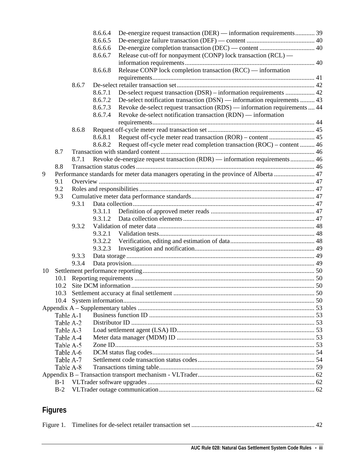|    |           |       | 8.6.6.4 | De-energize request transaction (DER) — information requirements 39                    |  |
|----|-----------|-------|---------|----------------------------------------------------------------------------------------|--|
|    |           |       | 8.6.6.5 |                                                                                        |  |
|    |           |       | 8.6.6.6 |                                                                                        |  |
|    |           |       | 8.6.6.7 | Release cut-off for nonpayment (CONP) lock transaction (RCL) —                         |  |
|    |           |       |         |                                                                                        |  |
|    |           |       | 8.6.6.8 | Release CONP lock completion transaction (RCC) — information                           |  |
|    |           |       |         |                                                                                        |  |
|    |           | 8.6.7 |         |                                                                                        |  |
|    |           |       | 8.6.7.1 | De-select request transaction (DSR) – information requirements  42                     |  |
|    |           |       | 8.6.7.2 | De-select notification transaction (DSN) — information requirements  43                |  |
|    |           |       | 8.6.7.3 | Revoke de-select request transaction (RDS) — information requirements  44              |  |
|    |           |       | 8.6.7.4 | Revoke de-select notification transaction (RDN) — information                          |  |
|    |           |       |         |                                                                                        |  |
|    |           | 8.6.8 |         |                                                                                        |  |
|    |           |       | 8.6.8.1 |                                                                                        |  |
|    |           |       | 8.6.8.2 | Request off-cycle meter read completion transaction (ROC) – content  46                |  |
|    | 8.7       |       |         |                                                                                        |  |
|    |           | 8.7.1 |         | Revoke de-energize request transaction (RDR) — information requirements  46            |  |
|    | 8.8       |       |         |                                                                                        |  |
| 9  |           |       |         | Performance standards for meter data managers operating in the province of Alberta  47 |  |
|    | 9.1       |       |         |                                                                                        |  |
|    | 9.2       |       |         |                                                                                        |  |
|    | 9.3       |       |         |                                                                                        |  |
|    |           | 9.3.1 |         |                                                                                        |  |
|    |           |       | 9.3.1.1 |                                                                                        |  |
|    |           |       | 9.3.1.2 |                                                                                        |  |
|    |           | 9.3.2 |         |                                                                                        |  |
|    |           |       | 9.3.2.1 |                                                                                        |  |
|    |           |       | 9.3.2.2 |                                                                                        |  |
|    |           |       | 9.3.2.3 |                                                                                        |  |
|    |           | 9.3.3 |         |                                                                                        |  |
|    |           | 9.3.4 |         |                                                                                        |  |
| 10 |           |       |         |                                                                                        |  |
|    | 10.1      |       |         |                                                                                        |  |
|    |           |       |         |                                                                                        |  |
|    |           |       |         |                                                                                        |  |
|    | 10.4      |       |         |                                                                                        |  |
|    |           |       |         |                                                                                        |  |
|    | Table A-1 |       |         |                                                                                        |  |
|    | Table A-2 |       |         |                                                                                        |  |
|    | Table A-3 |       |         |                                                                                        |  |
|    | Table A-4 |       |         |                                                                                        |  |
|    | Table A-5 |       |         |                                                                                        |  |
|    | Table A-6 |       |         |                                                                                        |  |
|    | Table A-7 |       |         |                                                                                        |  |
|    | Table A-8 |       |         |                                                                                        |  |
|    |           |       |         |                                                                                        |  |
|    | $B-1$     |       |         |                                                                                        |  |
|    | $B-2$     |       |         |                                                                                        |  |
|    |           |       |         |                                                                                        |  |

# **Figures**

|--|--|--|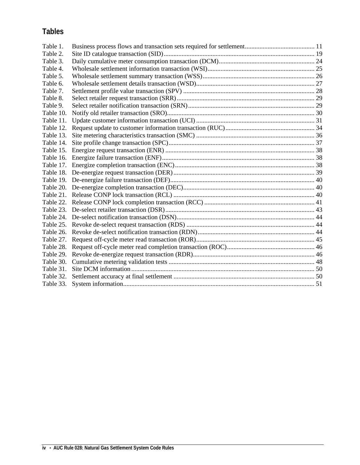# **Tables**

| Table 1.  |  |
|-----------|--|
| Table 2.  |  |
| Table 3.  |  |
| Table 4.  |  |
| Table 5.  |  |
| Table 6.  |  |
| Table 7.  |  |
| Table 8.  |  |
| Table 9.  |  |
| Table 10. |  |
| Table 11. |  |
| Table 12. |  |
| Table 13. |  |
| Table 14. |  |
|           |  |
| Table 16. |  |
|           |  |
|           |  |
|           |  |
|           |  |
|           |  |
|           |  |
|           |  |
|           |  |
|           |  |
|           |  |
| Table 27. |  |
| Table 28. |  |
|           |  |
|           |  |
|           |  |
| Table 32. |  |
|           |  |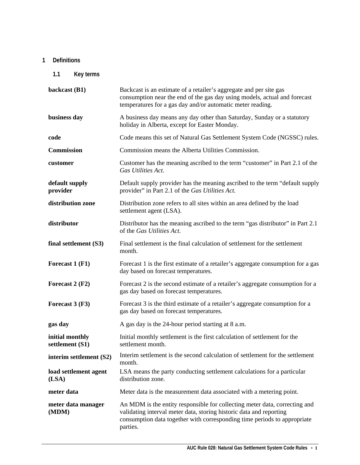## <span id="page-6-0"></span>**1 Definitions**

<span id="page-6-1"></span>**1.1 Key terms**

| backcast (B1)                      | Backcast is an estimate of a retailer's aggregate and per site gas<br>consumption near the end of the gas day using models, actual and forecast<br>temperatures for a gas day and/or automatic meter reading.                             |
|------------------------------------|-------------------------------------------------------------------------------------------------------------------------------------------------------------------------------------------------------------------------------------------|
| business day                       | A business day means any day other than Saturday, Sunday or a statutory<br>holiday in Alberta, except for Easter Monday.                                                                                                                  |
| code                               | Code means this set of Natural Gas Settlement System Code (NGSSC) rules.                                                                                                                                                                  |
| <b>Commission</b>                  | Commission means the Alberta Utilities Commission.                                                                                                                                                                                        |
| customer                           | Customer has the meaning ascribed to the term "customer" in Part 2.1 of the<br>Gas Utilities Act.                                                                                                                                         |
| default supply<br>provider         | Default supply provider has the meaning ascribed to the term "default supply"<br>provider" in Part 2.1 of the Gas Utilities Act.                                                                                                          |
| distribution zone                  | Distribution zone refers to all sites within an area defined by the load<br>settlement agent (LSA).                                                                                                                                       |
| distributor                        | Distributor has the meaning ascribed to the term "gas distributor" in Part 2.1<br>of the Gas Utilities Act.                                                                                                                               |
| final settlement (S3)              | Final settlement is the final calculation of settlement for the settlement<br>month.                                                                                                                                                      |
| Forecast 1 (F1)                    | Forecast 1 is the first estimate of a retailer's aggregate consumption for a gas<br>day based on forecast temperatures.                                                                                                                   |
| Forecast 2 (F2)                    | Forecast 2 is the second estimate of a retailer's aggregate consumption for a<br>gas day based on forecast temperatures.                                                                                                                  |
| Forecast 3 (F3)                    | Forecast 3 is the third estimate of a retailer's aggregate consumption for a<br>gas day based on forecast temperatures.                                                                                                                   |
| gas day                            | A gas day is the 24-hour period starting at 8 a.m.                                                                                                                                                                                        |
| initial monthly<br>settlement (S1) | Initial monthly settlement is the first calculation of settlement for the<br>settlement month.                                                                                                                                            |
| interim settlement (S2)            | Interim settlement is the second calculation of settlement for the settlement<br>month.                                                                                                                                                   |
| load settlement agent<br>(LSA)     | LSA means the party conducting settlement calculations for a particular<br>distribution zone.                                                                                                                                             |
| meter data                         | Meter data is the measurement data associated with a metering point.                                                                                                                                                                      |
| meter data manager<br>(MDM)        | An MDM is the entity responsible for collecting meter data, correcting and<br>validating interval meter data, storing historic data and reporting<br>consumption data together with corresponding time periods to appropriate<br>parties. |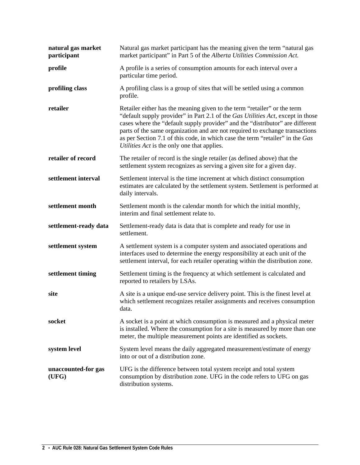| natural gas market<br>participant | Natural gas market participant has the meaning given the term "natural gas<br>market participant" in Part 5 of the Alberta Utilities Commission Act.                                                                                                                                                                                                                                                                                                         |
|-----------------------------------|--------------------------------------------------------------------------------------------------------------------------------------------------------------------------------------------------------------------------------------------------------------------------------------------------------------------------------------------------------------------------------------------------------------------------------------------------------------|
| profile                           | A profile is a series of consumption amounts for each interval over a<br>particular time period.                                                                                                                                                                                                                                                                                                                                                             |
| profiling class                   | A profiling class is a group of sites that will be settled using a common<br>profile.                                                                                                                                                                                                                                                                                                                                                                        |
| retailer                          | Retailer either has the meaning given to the term "retailer" or the term<br>"default supply provider" in Part 2.1 of the Gas Utilities Act, except in those<br>cases where the "default supply provider" and the "distributor" are different<br>parts of the same organization and are not required to exchange transactions<br>as per Section 7.1 of this code, in which case the term "retailer" in the Gas<br>Utilities Act is the only one that applies. |
| retailer of record                | The retailer of record is the single retailer (as defined above) that the<br>settlement system recognizes as serving a given site for a given day.                                                                                                                                                                                                                                                                                                           |
| settlement interval               | Settlement interval is the time increment at which distinct consumption<br>estimates are calculated by the settlement system. Settlement is performed at<br>daily intervals.                                                                                                                                                                                                                                                                                 |
| settlement month                  | Settlement month is the calendar month for which the initial monthly,<br>interim and final settlement relate to.                                                                                                                                                                                                                                                                                                                                             |
| settlement-ready data             | Settlement-ready data is data that is complete and ready for use in<br>settlement.                                                                                                                                                                                                                                                                                                                                                                           |
| settlement system                 | A settlement system is a computer system and associated operations and<br>interfaces used to determine the energy responsibility at each unit of the<br>settlement interval, for each retailer operating within the distribution zone.                                                                                                                                                                                                                       |
| settlement timing                 | Settlement timing is the frequency at which settlement is calculated and<br>reported to retailers by LSAs.                                                                                                                                                                                                                                                                                                                                                   |
| site                              | A site is a unique end-use service delivery point. This is the finest level at<br>which settlement recognizes retailer assignments and receives consumption<br>data.                                                                                                                                                                                                                                                                                         |
| socket                            | A socket is a point at which consumption is measured and a physical meter<br>is installed. Where the consumption for a site is measured by more than one<br>meter, the multiple measurement points are identified as sockets.                                                                                                                                                                                                                                |
| system level                      | System level means the daily aggregated measurement/estimate of energy<br>into or out of a distribution zone.                                                                                                                                                                                                                                                                                                                                                |
| unaccounted-for gas<br>(UFG)      | UFG is the difference between total system receipt and total system<br>consumption by distribution zone. UFG in the code refers to UFG on gas<br>distribution systems.                                                                                                                                                                                                                                                                                       |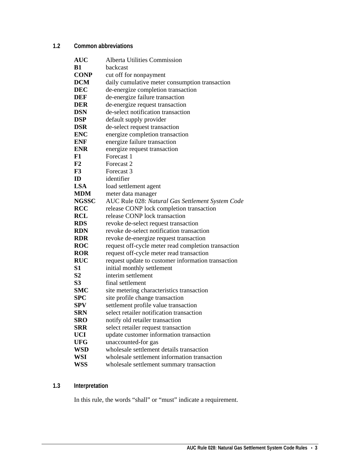## <span id="page-8-0"></span>**1.2 Common abbreviations**

| <b>AUC</b>     | <b>Alberta Utilities Commission</b>                 |
|----------------|-----------------------------------------------------|
| <b>B1</b>      | backcast                                            |
| <b>CONP</b>    | cut off for nonpayment                              |
| <b>DCM</b>     | daily cumulative meter consumption transaction      |
| <b>DEC</b>     | de-energize completion transaction                  |
| DEF            | de-energize failure transaction                     |
| <b>DER</b>     | de-energize request transaction                     |
| <b>DSN</b>     | de-select notification transaction                  |
| <b>DSP</b>     | default supply provider                             |
| <b>DSR</b>     | de-select request transaction                       |
| <b>ENC</b>     | energize completion transaction                     |
| <b>ENF</b>     | energize failure transaction                        |
| <b>ENR</b>     | energize request transaction                        |
| F1             | Forecast 1                                          |
| F2             | Forecast 2                                          |
| F3             | Forecast 3                                          |
| ID             | identifier                                          |
| <b>LSA</b>     | load settlement agent                               |
| <b>MDM</b>     | meter data manager                                  |
| <b>NGSSC</b>   | AUC Rule 028: Natural Gas Settlement System Code    |
| <b>RCC</b>     | release CONP lock completion transaction            |
| <b>RCL</b>     | release CONP lock transaction                       |
| <b>RDS</b>     | revoke de-select request transaction                |
| <b>RDN</b>     | revoke de-select notification transaction           |
| <b>RDR</b>     | revoke de-energize request transaction              |
| <b>ROC</b>     | request off-cycle meter read completion transaction |
| <b>ROR</b>     | request off-cycle meter read transaction            |
| <b>RUC</b>     | request update to customer information transaction  |
| S <sub>1</sub> | initial monthly settlement                          |
| S <sub>2</sub> | interim settlement                                  |
| S <sub>3</sub> | final settlement                                    |
| <b>SMC</b>     | site metering characteristics transaction           |
| SPC            | site profile change transaction                     |
| SPV            | settlement profile value transaction                |
| SRN            | select retailer notification transaction            |
| SRO            | notify old retailer transaction                     |
| SRR            | select retailer request transaction                 |
| UCI            | update customer information transaction             |
| <b>UFG</b>     | unaccounted-for gas                                 |
| WSD            | wholesale settlement details transaction            |
| WSI            | wholesale settlement information transaction        |
| <b>WSS</b>     | wholesale settlement summary transaction            |

## <span id="page-8-1"></span>**1.3 Interpretation**

In this rule, the words "shall" or "must" indicate a requirement.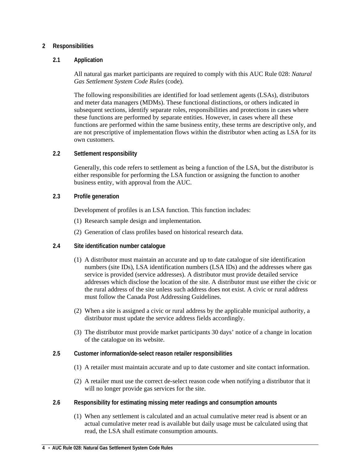## <span id="page-9-0"></span>**2 Responsibilities**

## <span id="page-9-1"></span>**2.1 Application**

All natural gas market participants are required to comply with this AUC Rule 028: *Natural Gas Settlement System Code Rules* (code).

The following responsibilities are identified for load settlement agents (LSAs), distributors and meter data managers (MDMs). These functional distinctions, or others indicated in subsequent sections, identify separate roles, responsibilities and protections in cases where these functions are performed by separate entities. However, in cases where all these functions are performed within the same business entity, these terms are descriptive only, and are not prescriptive of implementation flows within the distributor when acting as LSA for its own customers.

## <span id="page-9-2"></span>**2.2 Settlement responsibility**

Generally, this code refers to settlement as being a function of the LSA, but the distributor is either responsible for performing the LSA function or assigning the function to another business entity, with approval from the AUC.

## <span id="page-9-3"></span>**2.3 Profile generation**

Development of profiles is an LSA function. This function includes:

- (1) Research sample design and implementation.
- (2) Generation of class profiles based on historical research data.

## <span id="page-9-4"></span>**2.4 Site identification number catalogue**

- (1) A distributor must maintain an accurate and up to date catalogue of site identification numbers (site IDs), LSA identification numbers (LSA IDs) and the addresses where gas service is provided (service addresses). A distributor must provide detailed service addresses which disclose the location of the site. A distributor must use either the civic or the rural address of the site unless such address does not exist. A civic or rural address must follow the Canada Post Addressing Guidelines.
- (2) When a site is assigned a civic or rural address by the applicable municipal authority, a distributor must update the service address fields accordingly.
- (3) The distributor must provide market participants 30 days' notice of a change in location of the catalogue on its website.
- <span id="page-9-5"></span>**2.5 Customer information/de-select reason retailer responsibilities**
	- (1) A retailer must maintain accurate and up to date customer and site contact information.
	- (2) A retailer must use the correct de-select reason code when notifying a distributor that it will no longer provide gas services for the site.
- <span id="page-9-6"></span>**2.6 Responsibility for estimating missing meter readings and consumption amounts**
	- (1) When any settlement is calculated and an actual cumulative meter read is absent or an actual cumulative meter read is available but daily usage must be calculated using that read, the LSA shall estimate consumption amounts.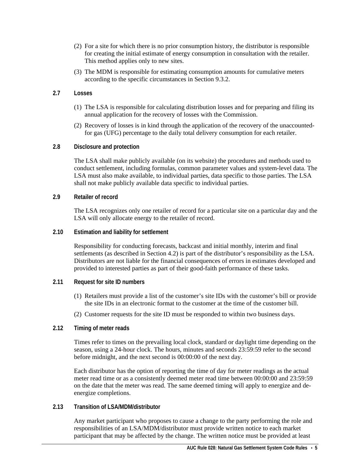- (2) For a site for which there is no prior consumption history, the distributor is responsible for creating the initial estimate of energy consumption in consultation with the retailer. This method applies only to new sites.
- (3) The MDM is responsible for estimating consumption amounts for cumulative meters according to the specific circumstances in Section 9.3.2.

## <span id="page-10-0"></span>**2.7 Losses**

- (1) The LSA is responsible for calculating distribution losses and for preparing and filing its annual application for the recovery of losses with the Commission.
- (2) Recovery of losses is in kind through the application of the recovery of the unaccountedfor gas (UFG) percentage to the daily total delivery consumption for each retailer.

## <span id="page-10-1"></span>**2.8 Disclosure and protection**

The LSA shall make publicly available (on its website) the procedures and methods used to conduct settlement, including formulas, common parameter values and system-level data. The LSA must also make available, to individual parties, data specific to those parties. The LSA shall not make publicly available data specific to individual parties.

## <span id="page-10-2"></span>**2.9 Retailer of record**

The LSA recognizes only one retailer of record for a particular site on a particular day and the LSA will only allocate energy to the retailer of record.

## <span id="page-10-3"></span>**2.10 Estimation and liability for settlement**

Responsibility for conducting forecasts, backcast and initial monthly, interim and final settlements (as described in Section 4.2) is part of the distributor's responsibility as the LSA. Distributors are not liable for the financial consequences of errors in estimates developed and provided to interested parties as part of their good-faith performance of these tasks.

## <span id="page-10-4"></span>**2.11 Request for site ID numbers**

- (1) Retailers must provide a list of the customer's site IDs with the customer's bill or provide the site IDs in an electronic format to the customer at the time of the customer bill.
- (2) Customer requests for the site ID must be responded to within two business days.

## <span id="page-10-5"></span>**2.12 Timing of meter reads**

Times refer to times on the prevailing local clock, standard or daylight time depending on the season, using a 24-hour clock. The hours, minutes and seconds 23:59:59 refer to the second before midnight, and the next second is 00:00:00 of the next day.

Each distributor has the option of reporting the time of day for meter readings as the actual meter read time or as a consistently deemed meter read time between 00:00:00 and 23:59:59 on the date that the meter was read. The same deemed timing will apply to energize and deenergize completions.

## <span id="page-10-6"></span>**2.13 Transition of LSA/MDM/distributor**

Any market participant who proposes to cause a change to the party performing the role and responsibilities of an LSA/MDM/distributor must provide written notice to each market participant that may be affected by the change. The written notice must be provided at least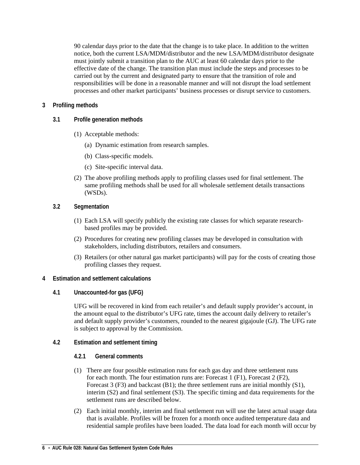90 calendar days prior to the date that the change is to take place. In addition to the written notice, both the current LSA/MDM/distributor and the new LSA/MDM/distributor designate must jointly submit a transition plan to the AUC at least 60 calendar days prior to the effective date of the change. The transition plan must include the steps and processes to be carried out by the current and designated party to ensure that the transition of role and responsibilities will be done in a reasonable manner and will not disrupt the load settlement processes and other market participants' business processes or disrupt service to customers.

## <span id="page-11-0"></span>**3 Profiling methods**

- <span id="page-11-1"></span>**3.1 Profile generation methods**
	- (1) Acceptable methods:
		- (a) Dynamic estimation from research samples.
		- (b) Class-specific models.
		- (c) Site-specific interval data.
	- (2) The above profiling methods apply to profiling classes used for final settlement. The same profiling methods shall be used for all wholesale settlement details transactions (WSDs).
- <span id="page-11-2"></span>**3.2 Segmentation**
	- (1) Each LSA will specify publicly the existing rate classes for which separate researchbased profiles may be provided.
	- (2) Procedures for creating new profiling classes may be developed in consultation with stakeholders, including distributors, retailers and consumers.
	- (3) Retailers (or other natural gas market participants) will pay for the costs of creating those profiling classes they request.
- <span id="page-11-4"></span><span id="page-11-3"></span>**4 Estimation and settlement calculations** 
	- **4.1 Unaccounted-for gas (UFG)**

UFG will be recovered in kind from each retailer's and default supply provider's account, in the amount equal to the distributor's UFG rate, times the account daily delivery to retailer's and default supply provider's customers, rounded to the nearest gigajoule (GJ). The UFG rate is subject to approval by the Commission.

- <span id="page-11-6"></span><span id="page-11-5"></span>**4.2 Estimation and settlement timing**
	- **4.2.1 General comments**
	- (1) There are four possible estimation runs for each gas day and three settlement runs for each month. The four estimation runs are: Forecast 1 (F1), Forecast 2 (F2), Forecast 3 (F3) and backcast (B1); the three settlement runs are initial monthly (S1), interim (S2) and final settlement (S3). The specific timing and data requirements for the settlement runs are described below.
	- (2) Each initial monthly, interim and final settlement run will use the latest actual usage data that is available. Profiles will be frozen for a month once audited temperature data and residential sample profiles have been loaded. The data load for each month will occur by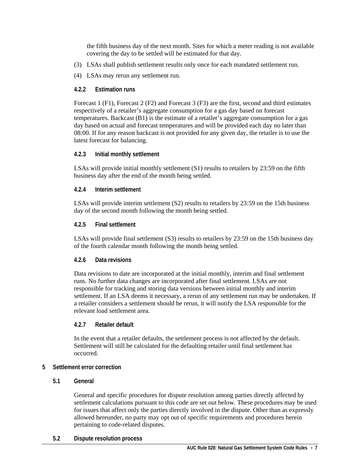the fifth business day of the next month. Sites for which a meter reading is not available covering the day to be settled will be estimated for that day.

- (3) LSAs shall publish settlement results only once for each mandated settlement run.
- <span id="page-12-0"></span>(4) LSAs may rerun any settlement run.

## **4.2.2 Estimation runs**

Forecast 1 (F1), Forecast 2 (F2) and Forecast 3 (F3) are the first, second and third estimates respectively of a retailer's aggregate consumption for a gas day based on forecast temperatures. Backcast (B1) is the estimate of a retailer's aggregate consumption for a gas day based on actual and forecast temperatures and will be provided each day no later than 08:00. If for any reason backcast is not provided for any given day, the retailer is to use the latest forecast for balancing.

## <span id="page-12-1"></span>**4.2.3 Initial monthly settlement**

LSAs will provide initial monthly settlement (S1) results to retailers by 23:59 on the fifth business day after the end of the month being settled.

## <span id="page-12-2"></span>**4.2.4 Interim settlement**

LSAs will provide interim settlement (S2) results to retailers by 23:59 on the 15th business day of the second month following the month being settled.

## <span id="page-12-3"></span>**4.2.5 Final settlement**

LSAs will provide final settlement (S3) results to retailers by 23:59 on the 15th business day of the fourth calendar month following the month being settled.

## <span id="page-12-4"></span>**4.2.6 Data revisions**

Data revisions to date are incorporated at the initial monthly, interim and final settlement runs. No further data changes are incorporated after final settlement. LSAs are not responsible for tracking and storing data versions between initial monthly and interim settlement. If an LSA deems it necessary, a rerun of any settlement run may be undertaken. If a retailer considers a settlement should be rerun, it will notify the LSA responsible for the relevant load settlement area.

## <span id="page-12-5"></span>**4.2.7 Retailer default**

In the event that a retailer defaults, the settlement process is not affected by the default. Settlement will still be calculated for the defaulting retailer until final settlement has occurred.

## <span id="page-12-6"></span>**5 Settlement error correction**

## <span id="page-12-7"></span>**5.1 General**

General and specific procedures for dispute resolution among parties directly affected by settlement calculations pursuant to this code are set out below. These procedures may be used for issues that affect only the parties directly involved in the dispute. Other than as expressly allowed hereunder, no party may opt out of specific requirements and procedures herein pertaining to code-related disputes.

## <span id="page-12-8"></span>**5.2 Dispute resolution process**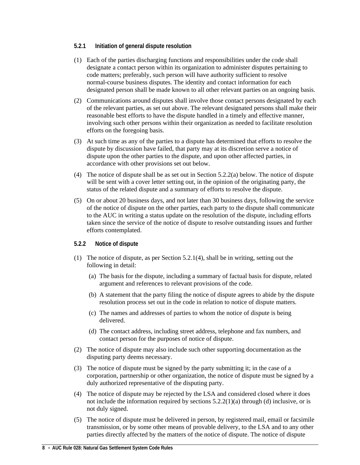## <span id="page-13-0"></span>**5.2.1 Initiation of general dispute resolution**

- (1) Each of the parties discharging functions and responsibilities under the code shall designate a contact person within its organization to administer disputes pertaining to code matters; preferably, such person will have authority sufficient to resolve normal-course business disputes. The identity and contact information for each designated person shall be made known to all other relevant parties on an ongoing basis.
- (2) Communications around disputes shall involve those contact persons designated by each of the relevant parties, as set out above. The relevant designated persons shall make their reasonable best efforts to have the dispute handled in a timely and effective manner, involving such other persons within their organization as needed to facilitate resolution efforts on the foregoing basis.
- (3) At such time as any of the parties to a dispute has determined that efforts to resolve the dispute by discussion have failed, that party may at its discretion serve a notice of dispute upon the other parties to the dispute, and upon other affected parties, in accordance with other provisions set out below.
- (4) The notice of dispute shall be as set out in Section 5.2.2(a) below. The notice of dispute will be sent with a cover letter setting out, in the opinion of the originating party, the status of the related dispute and a summary of efforts to resolve the dispute.
- (5) On or about 20 business days, and not later than 30 business days, following the service of the notice of dispute on the other parties, each party to the dispute shall communicate to the AUC in writing a status update on the resolution of the dispute, including efforts taken since the service of the notice of dispute to resolve outstanding issues and further efforts contemplated.

## <span id="page-13-1"></span>**5.2.2 Notice of dispute**

- (1) The notice of dispute, as per Section 5.2.1(4), shall be in writing, setting out the following in detail:
	- (a) The basis for the dispute, including a summary of factual basis for dispute, related argument and references to relevant provisions of the code.
	- (b) A statement that the party filing the notice of dispute agrees to abide by the dispute resolution process set out in the code in relation to notice of dispute matters.
	- (c) The names and addresses of parties to whom the notice of dispute is being delivered.
	- (d) The contact address, including street address, telephone and fax numbers, and contact person for the purposes of notice of dispute.
- (2) The notice of dispute may also include such other supporting documentation as the disputing party deems necessary.
- (3) The notice of dispute must be signed by the party submitting it; in the case of a corporation, partnership or other organization, the notice of dispute must be signed by a duly authorized representative of the disputing party.
- (4) The notice of dispute may be rejected by the LSA and considered closed where it does not include the information required by sections  $5.2.2(1)(a)$  through (d) inclusive, or is not duly signed.
- (5) The notice of dispute must be delivered in person, by registered mail, email or facsimile transmission, or by some other means of provable delivery, to the LSA and to any other parties directly affected by the matters of the notice of dispute. The notice of dispute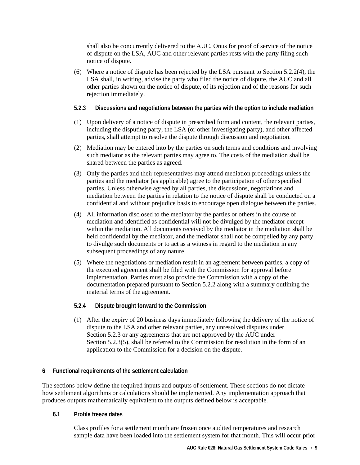shall also be concurrently delivered to the AUC. Onus for proof of service of the notice of dispute on the LSA, AUC and other relevant parties rests with the party filing such notice of dispute.

(6) Where a notice of dispute has been rejected by the LSA pursuant to Section 5.2.2(4), the LSA shall, in writing, advise the party who filed the notice of dispute, the AUC and all other parties shown on the notice of dispute, of its rejection and of the reasons for such rejection immediately.

## <span id="page-14-0"></span>**5.2.3 Discussions and negotiations between the parties with the option to include mediation**

- (1) Upon delivery of a notice of dispute in prescribed form and content, the relevant parties, including the disputing party, the LSA (or other investigating party), and other affected parties, shall attempt to resolve the dispute through discussion and negotiation.
- (2) Mediation may be entered into by the parties on such terms and conditions and involving such mediator as the relevant parties may agree to. The costs of the mediation shall be shared between the parties as agreed.
- (3) Only the parties and their representatives may attend mediation proceedings unless the parties and the mediator (as applicable) agree to the participation of other specified parties. Unless otherwise agreed by all parties, the discussions, negotiations and mediation between the parties in relation to the notice of dispute shall be conducted on a confidential and without prejudice basis to encourage open dialogue between the parties.
- (4) All information disclosed to the mediator by the parties or others in the course of mediation and identified as confidential will not be divulged by the mediator except within the mediation. All documents received by the mediator in the mediation shall be held confidential by the mediator, and the mediator shall not be compelled by any party to divulge such documents or to act as a witness in regard to the mediation in any subsequent proceedings of any nature.
- (5) Where the negotiations or mediation result in an agreement between parties, a copy of the executed agreement shall be filed with the Commission for approval before implementation. Parties must also provide the Commission with a copy of the documentation prepared pursuant to Section 5.2.2 along with a summary outlining the material terms of the agreement.

## <span id="page-14-1"></span>**5.2.4 Dispute brought forward to the Commission**

(1) After the expiry of 20 business days immediately following the delivery of the notice of dispute to the LSA and other relevant parties, any unresolved disputes under Section 5.2.3 or any agreements that are not approved by the AUC under Section 5.2.3(5), shall be referred to the Commission for resolution in the form of an application to the Commission for a decision on the dispute.

## <span id="page-14-2"></span>**6 Functional requirements of the settlement calculation**

The sections below define the required inputs and outputs of settlement. These sections do not dictate how settlement algorithms or calculations should be implemented. Any implementation approach that produces outputs mathematically equivalent to the outputs defined below is acceptable.

## <span id="page-14-3"></span>**6.1 Profile freeze dates**

Class profiles for a settlement month are frozen once audited temperatures and research sample data have been loaded into the settlement system for that month. This will occur prior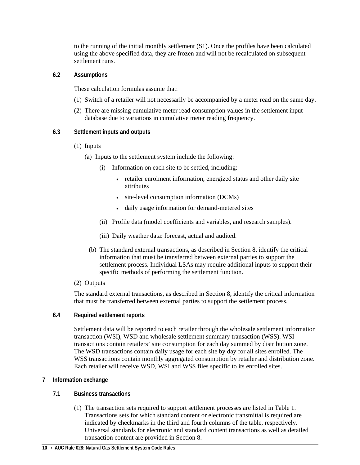to the running of the initial monthly settlement (S1). Once the profiles have been calculated using the above specified data, they are frozen and will not be recalculated on subsequent settlement runs.

## <span id="page-15-0"></span>**6.2 Assumptions**

These calculation formulas assume that:

- (1) Switch of a retailer will not necessarily be accompanied by a meter read on the same day.
- (2) There are missing cumulative meter read consumption values in the settlement input database due to variations in cumulative meter reading frequency.

## <span id="page-15-1"></span>**6.3 Settlement inputs and outputs**

- (1) Inputs
	- (a) Inputs to the settlement system include the following:
		- (i) Information on each site to be settled, including:
			- retailer enrolment information, energized status and other daily site attributes
			- site-level consumption information (DCMs)
			- daily usage information for demand-metered sites
		- (ii) Profile data (model coefficients and variables, and research samples).
		- (iii) Daily weather data: forecast, actual and audited.
		- (b) The standard external transactions, as described in Section 8, identify the critical information that must be transferred between external parties to support the settlement process. Individual LSAs may require additional inputs to support their specific methods of performing the settlement function.
- (2) Outputs

The standard external transactions, as described in Section 8, identify the critical information that must be transferred between external parties to support the settlement process.

<span id="page-15-2"></span>**6.4 Required settlement reports**

Settlement data will be reported to each retailer through the wholesale settlement information transaction (WSI), WSD and wholesale settlement summary transaction (WSS). WSI transactions contain retailers' site consumption for each day summed by distribution zone. The WSD transactions contain daily usage for each site by day for all sites enrolled. The WSS transactions contain monthly aggregated consumption by retailer and distribution zone. Each retailer will receive WSD, WSI and WSS files specific to its enrolled sites.

## <span id="page-15-3"></span>**7 Information exchange**

## <span id="page-15-4"></span>**7.1 Business transactions**

(1) The transaction sets required to support settlement processes are listed in Table 1. Transactions sets for which standard content or electronic transmittal is required are indicated by checkmarks in the third and fourth columns of the table, respectively. Universal standards for electronic and standard content transactions as well as detailed transaction content are provided in Section 8.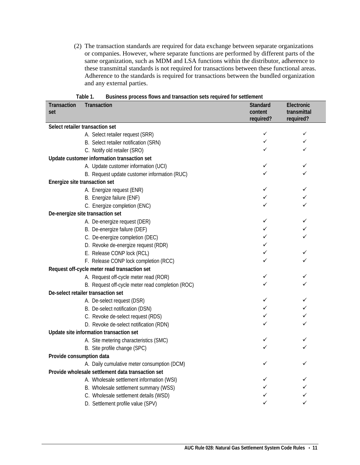(2) The transaction standards are required for data exchange between separate organizations or companies. However, where separate functions are performed by different parts of the same organization, such as MDM and LSA functions within the distributor, adherence to these transmittal standards is not required for transactions between these functional areas. Adherence to the standards is required for transactions between the bundled organization and any external parties.

<span id="page-16-0"></span>

| rapie r.<br>Transaction<br><b>Transaction</b> | <b>BUSINESS PROCESS HOWS AND MAILSACHON SELS REQUIRED TO DELITER</b> | <b>Standard</b> | Electronic   |
|-----------------------------------------------|----------------------------------------------------------------------|-----------------|--------------|
| set                                           |                                                                      | content         | transmittal  |
|                                               |                                                                      | required?       | required?    |
| Select retailer transaction set               |                                                                      |                 |              |
|                                               | A. Select retailer request (SRR)                                     | ✓               | ✓            |
|                                               | B. Select retailer notification (SRN)                                | ✓               | ✓            |
|                                               | C. Notify old retailer (SRO)                                         |                 | ✓            |
| Update customer information transaction set   |                                                                      |                 |              |
|                                               | A. Update customer information (UCI)                                 | ✓               | ✓            |
|                                               | B. Request update customer information (RUC)                         |                 |              |
| Energize site transaction set                 |                                                                      |                 |              |
|                                               | A. Energize request (ENR)                                            | ✓               | ✓            |
|                                               | B. Energize failure (ENF)                                            | ✓               |              |
|                                               | C. Energize completion (ENC)                                         | ✓               | ✓            |
| De-energize site transaction set              |                                                                      |                 |              |
|                                               | A. De-energize request (DER)                                         | ✓               | ✓            |
|                                               | B. De-energize failure (DEF)                                         | ✓               |              |
|                                               | C. De-energize completion (DEC)                                      | ✓               | ✓            |
|                                               | D. Revoke de-energize request (RDR)                                  | ✓               |              |
|                                               | E. Release CONP lock (RCL)                                           | ✓               | ✓            |
|                                               | F. Release CONP lock completion (RCC)                                |                 |              |
| Request off-cycle meter read transaction set  |                                                                      |                 |              |
|                                               | A. Request off-cycle meter read (ROR)                                | ✓               | ✓            |
|                                               | B. Request off-cycle meter read completion (ROC)                     | ✓               | ✓            |
| De-select retailer transaction set            |                                                                      |                 |              |
|                                               | A. De-select request (DSR)                                           | ✓               | ✓            |
|                                               | B. De-select notification (DSN)                                      | ✓               | ✓            |
|                                               | C. Revoke de-select request (RDS)                                    | ✓               | $\checkmark$ |
|                                               | D. Revoke de-select notification (RDN)                               |                 |              |
| Update site information transaction set       |                                                                      |                 |              |
|                                               | A. Site metering characteristics (SMC)                               | ✓               | ✓            |
|                                               | B. Site profile change (SPC)                                         | ✓               | ✓            |
| Provide consumption data                      |                                                                      |                 |              |
|                                               | A. Daily cumulative meter consumption (DCM)                          |                 |              |
|                                               | Provide wholesale settlement data transaction set                    |                 |              |
|                                               | A. Wholesale settlement information (WSI)                            |                 |              |
|                                               | B. Wholesale settlement summary (WSS)                                |                 |              |
|                                               | C. Wholesale settlement details (WSD)                                |                 |              |
|                                               | D. Settlement profile value (SPV)                                    | ✓               |              |

| Table 1. |  |  |  | Business process flows and transaction sets required for settlement |  |  |  |
|----------|--|--|--|---------------------------------------------------------------------|--|--|--|
|----------|--|--|--|---------------------------------------------------------------------|--|--|--|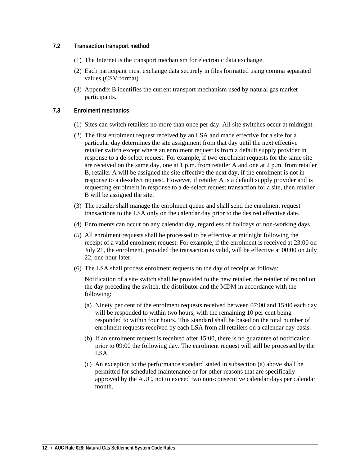## <span id="page-17-0"></span>**7.2 Transaction transport method**

- (1) The Internet is the transport mechanism for electronic data exchange.
- (2) Each participant must exchange data securely in files formatted using comma separated values (CSV format).
- (3) Appendix B identifies the current transport mechanism used by natural gas market participants.

## <span id="page-17-1"></span>**7.3 Enrolment mechanics**

- (1) Sites can switch retailers no more than once per day. All site switches occur at midnight.
- (2) The first enrolment request received by an LSA and made effective for a site for a particular day determines the site assignment from that day until the next effective retailer switch except where an enrolment request is from a default supply provider in response to a de-select request. For example, if two enrolment requests for the same site are received on the same day, one at 1 p.m. from retailer A and one at 2 p.m. from retailer B, retailer A will be assigned the site effective the next day, if the enrolment is not in response to a de-select request. However, if retailer A is a default supply provider and is requesting enrolment in response to a de-select request transaction for a site, then retailer B will be assigned the site.
- (3) The retailer shall manage the enrolment queue and shall send the enrolment request transactions to the LSA only on the calendar day prior to the desired effective date.
- (4) Enrolments can occur on any calendar day, regardless of holidays or non-working days.
- (5) All enrolment requests shall be processed to be effective at midnight following the receipt of a valid enrolment request. For example, if the enrolment is received at 23:00 on July 21, the enrolment, provided the transaction is valid, will be effective at 00:00 on July 22, one hour later.
- (6) The LSA shall process enrolment requests on the day of receipt as follows:

Notification of a site switch shall be provided to the new retailer, the retailer of record on the day preceding the switch, the distributor and the MDM in accordance with the following:

- (a) Ninety per cent of the enrolment requests received between 07:00 and 15:00 each day will be responded to within two hours, with the remaining 10 per cent being responded to within four hours. This standard shall be based on the total number of enrolment requests received by each LSA from all retailers on a calendar day basis.
- (b) If an enrolment request is received after 15:00, there is no guarantee of notification prior to 09:00 the following day. The enrolment request will still be processed by the LSA.
- (c) An exception to the performance standard stated in subsection (a) above shall be permitted for scheduled maintenance or for other reasons that are specifically approved by the AUC, not to exceed two non-consecutive calendar days per calendar month.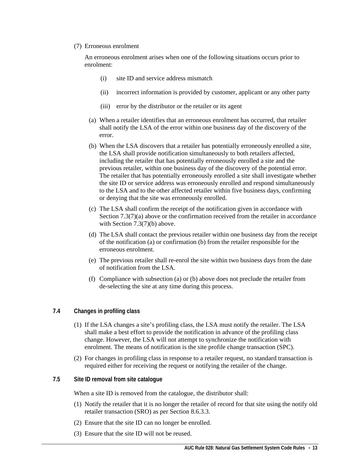## (7) Erroneous enrolment

An erroneous enrolment arises when one of the following situations occurs prior to enrolment:

- (i) site ID and service address mismatch
- (ii) incorrect information is provided by customer, applicant or any other party
- (iii) error by the distributor or the retailer or its agent
- (a) When a retailer identifies that an erroneous enrolment has occurred, that retailer shall notify the LSA of the error within one business day of the discovery of the error.
- (b) When the LSA discovers that a retailer has potentially erroneously enrolled a site, the LSA shall provide notification simultaneously to both retailers affected, including the retailer that has potentially erroneously enrolled a site and the previous retailer, within one business day of the discovery of the potential error. The retailer that has potentially erroneously enrolled a site shall investigate whether the site ID or service address was erroneously enrolled and respond simultaneously to the LSA and to the other affected retailer within five business days, confirming or denying that the site was erroneously enrolled.
- (c) The LSA shall confirm the receipt of the notification given in accordance with Section 7.3(7)(a) above or the confirmation received from the retailer in accordance with Section 7.3(7)(b) above.
- (d) The LSA shall contact the previous retailer within one business day from the receipt of the notification (a) or confirmation (b) from the retailer responsible for the erroneous enrolment.
- (e) The previous retailer shall re-enrol the site within two business days from the date of notification from the LSA.
- (f) Compliance with subsection (a) or (b) above does not preclude the retailer from de-selecting the site at any time during this process.

## <span id="page-18-0"></span>**7.4 Changes in profiling class**

- (1) If the LSA changes a site's profiling class, the LSA must notify the retailer. The LSA shall make a best effort to provide the notification in advance of the profiling class change. However, the LSA will not attempt to synchronize the notification with enrolment. The means of notification is the site profile change transaction (SPC).
- (2) For changes in profiling class in response to a retailer request, no standard transaction is required either for receiving the request or notifying the retailer of the change.
- <span id="page-18-1"></span>**7.5 Site ID removal from site catalogue**

When a site ID is removed from the catalogue, the distributor shall:

- (1) Notify the retailer that it is no longer the retailer of record for that site using the notify old retailer transaction (SRO) as per Section 8.6.3.3.
- (2) Ensure that the site ID can no longer be enrolled.
- (3) Ensure that the site ID will not be reused.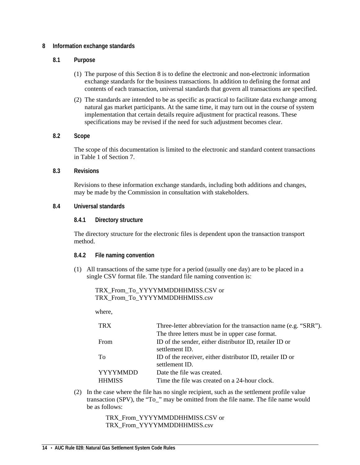## <span id="page-19-0"></span>**8 Information exchange standards**

## <span id="page-19-1"></span>**8.1 Purpose**

- (1) The purpose of this Section 8 is to define the electronic and non-electronic information exchange standards for the business transactions. In addition to defining the format and contents of each transaction, universal standards that govern all transactions are specified.
- (2) The standards are intended to be as specific as practical to facilitate data exchange among natural gas market participants. At the same time, it may turn out in the course of system implementation that certain details require adjustment for practical reasons. These specifications may be revised if the need for such adjustment becomes clear.

## <span id="page-19-2"></span>**8.2 Scope**

The scope of this documentation is limited to the electronic and standard content transactions in Table 1 of Section 7.

## <span id="page-19-3"></span>**8.3 Revisions**

Revisions to these information exchange standards, including both additions and changes, may be made by the Commission in consultation with stakeholders.

## <span id="page-19-5"></span><span id="page-19-4"></span>**8.4 Universal standards**

## **8.4.1 Directory structure**

The directory structure for the electronic files is dependent upon the transaction transport method.

## <span id="page-19-6"></span>**8.4.2 File naming convention**

(1) All transactions of the same type for a period (usually one day) are to be placed in a single CSV format file. The standard file naming convention is:

TRX\_From\_To\_YYYYMMDDHHMISS.CSV or TRX\_From\_To\_YYYYMMDDHHMISS.csv

where,

| <b>TRX</b>                       | Three-letter abbreviation for the transaction name (e.g. "SRR").            |
|----------------------------------|-----------------------------------------------------------------------------|
|                                  | The three letters must be in upper case format.                             |
| From                             | ID of the sender, either distributor ID, retailer ID or<br>settlement ID.   |
| To                               | ID of the receiver, either distributor ID, retailer ID or<br>settlement ID. |
| <b>YYYYMMDD</b><br><b>HHMISS</b> | Date the file was created.<br>Time the file was created on a 24-hour clock. |

(2) In the case where the file has no single recipient, such as the settlement profile value transaction (SPV), the "To\_" may be omitted from the file name. The file name would be as follows:

> TRX\_From\_YYYYMMDDHHMISS.CSV or TRX\_From\_YYYYMMDDHHMISS.csv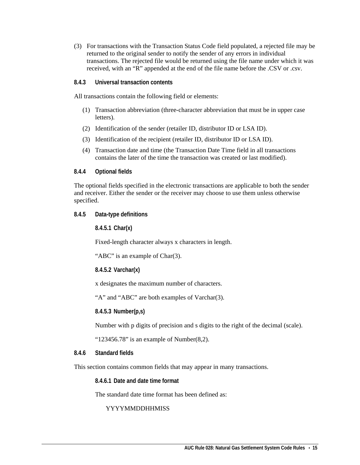(3) For transactions with the Transaction Status Code field populated, a rejected file may be returned to the original sender to notify the sender of any errors in individual transactions. The rejected file would be returned using the file name under which it was received, with an "R" appended at the end of the file name before the .CSV or .csv.

## <span id="page-20-0"></span>**8.4.3 Universal transaction contents**

All transactions contain the following field or elements:

- (1) Transaction abbreviation (three-character abbreviation that must be in upper case letters).
- (2) Identification of the sender (retailer ID, distributor ID or LSA ID).
- (3) Identification of the recipient (retailer ID, distributor ID or LSA ID).
- (4) Transaction date and time (the Transaction Date Time field in all transactions contains the later of the time the transaction was created or last modified).

## <span id="page-20-1"></span>**8.4.4 Optional fields**

The optional fields specified in the electronic transactions are applicable to both the sender and receiver. Either the sender or the receiver may choose to use them unless otherwise specified.

## <span id="page-20-3"></span><span id="page-20-2"></span>**8.4.5 Data-type definitions**

**8.4.5.1 Char(x)**

Fixed-length character always x characters in length.

"ABC" is an example of Char(3).

<span id="page-20-4"></span>**8.4.5.2 Varchar(x)**

x designates the maximum number of characters.

"A" and "ABC" are both examples of Varchar(3).

**8.4.5.3 Number(p,s)**

Number with p digits of precision and s digits to the right of the decimal (scale).

" $123456.78$ " is an example of Number(8,2).

## <span id="page-20-6"></span><span id="page-20-5"></span>**8.4.6 Standard fields**

<span id="page-20-7"></span>This section contains common fields that may appear in many transactions.

**8.4.6.1 Date and date time format**

The standard date time format has been defined as:

## YYYYMMDDHHMISS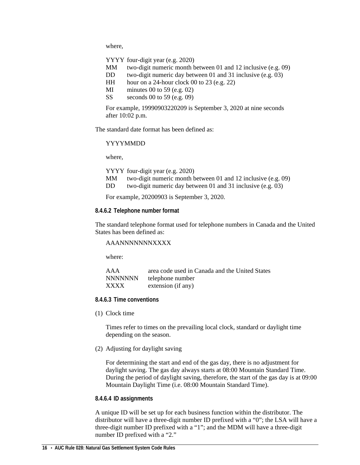where,

YYYY four-digit year (e.g. 2020)

- MM two-digit numeric month between 01 and 12 inclusive (e.g. 09)
- DD two-digit numeric day between 01 and 31 inclusive (e.g. 03)
- HH hour on a 24-hour clock 00 to 23 (e.g. 22)
- MI minutes 00 to 59 (e.g. 02)
- SS seconds 00 to 59 (e.g. 09)

For example, 19990903220209 is September 3, 2020 at nine seconds after 10:02 p.m.

The standard date format has been defined as:

## YYYYMMDD

where,

| YYYY four-digit year (e.g. 2020) |  |
|----------------------------------|--|
|----------------------------------|--|

- MM two-digit numeric month between 01 and 12 inclusive (e.g. 09)
- DD two-digit numeric day between 01 and 31 inclusive (e.g. 03)

For example, 20200903 is September 3, 2020.

## <span id="page-21-0"></span>**8.4.6.2 Telephone number format**

The standard telephone format used for telephone numbers in Canada and the United States has been defined as:

## AAANNNNNNNXXXX

where:

| AAA            | area code used in Canada and the United States |
|----------------|------------------------------------------------|
| <b>NNNNNNN</b> | telephone number                               |
| XXXX           | extension (if any)                             |

## <span id="page-21-1"></span>**8.4.6.3 Time conventions**

(1) Clock time

Times refer to times on the prevailing local clock, standard or daylight time depending on the season.

(2) Adjusting for daylight saving

For determining the start and end of the gas day, there is no adjustment for daylight saving. The gas day always starts at 08:00 Mountain Standard Time. During the period of daylight saving, therefore, the start of the gas day is at 09:00 Mountain Daylight Time (i.e. 08:00 Mountain Standard Time).

## <span id="page-21-2"></span>**8.4.6.4 ID assignments**

A unique ID will be set up for each business function within the distributor. The distributor will have a three-digit number ID prefixed with a "0"; the LSA will have a three-digit number ID prefixed with a "1"; and the MDM will have a three-digit number ID prefixed with a "2."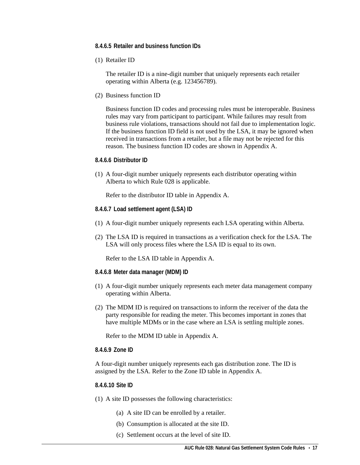- <span id="page-22-0"></span>**8.4.6.5 Retailer and business function IDs**
- (1) Retailer ID

The retailer ID is a nine-digit number that uniquely represents each retailer operating within Alberta (e.g. 123456789).

(2) Business function ID

Business function ID codes and processing rules must be interoperable. Business rules may vary from participant to participant. While failures may result from business rule violations, transactions should not fail due to implementation logic. If the business function ID field is not used by the LSA, it may be ignored when received in transactions from a retailer, but a file may not be rejected for this reason. The business function ID codes are shown in Appendix A.

## <span id="page-22-1"></span>**8.4.6.6 Distributor ID**

(1) A four-digit number uniquely represents each distributor operating within Alberta to which Rule 028 is applicable.

Refer to the distributor ID table in Appendix A.

- <span id="page-22-2"></span>**8.4.6.7 Load settlement agent (LSA) ID**
- (1) A four-digit number uniquely represents each LSA operating within Alberta.
- (2) The LSA ID is required in transactions as a verification check for the LSA. The LSA will only process files where the LSA ID is equal to its own.

Refer to the LSA ID table in Appendix A.

- <span id="page-22-3"></span>**8.4.6.8 Meter data manager (MDM) ID**
- (1) A four-digit number uniquely represents each meter data management company operating within Alberta.
- (2) The MDM ID is required on transactions to inform the receiver of the data the party responsible for reading the meter. This becomes important in zones that have multiple MDMs or in the case where an LSA is settling multiple zones.

Refer to the MDM ID table in Appendix A.

## <span id="page-22-4"></span>**8.4.6.9 Zone ID**

A four-digit number uniquely represents each gas distribution zone. The ID is assigned by the LSA. Refer to the Zone ID table in Appendix A.

## <span id="page-22-5"></span>**8.4.6.10 Site ID**

- (1) A site ID possesses the following characteristics:
	- (a) A site ID can be enrolled by a retailer.
	- (b) Consumption is allocated at the site ID.
	- (c) Settlement occurs at the level of site ID.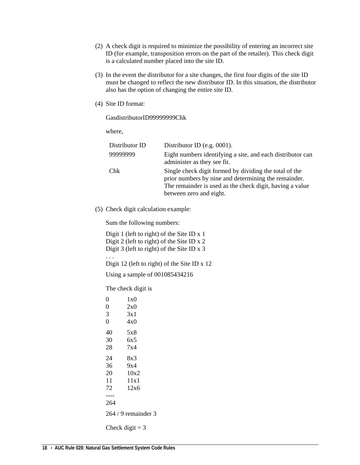- (2) A check digit is required to minimize the possibility of entering an incorrect site ID (for example, transposition errors on the part of the retailer). This check digit is a calculated number placed into the site ID.
- (3) In the event the distributor for a site changes, the first four digits of the site ID must be changed to reflect the new distributor ID. In this situation, the distributor also has the option of changing the entire site ID.
- (4) Site ID format:

GasdistributorID99999999Chk

where,

| Distributor ID | Distributor ID (e.g. $0001$ ).                                                                                                                                                                        |
|----------------|-------------------------------------------------------------------------------------------------------------------------------------------------------------------------------------------------------|
| 99999999       | Eight numbers identifying a site, and each distributor can<br>administer as they see fit.                                                                                                             |
| Chk            | Single check digit formed by dividing the total of the<br>prior numbers by nine and determining the remainder.<br>The remainder is used as the check digit, having a value<br>between zero and eight. |

(5) Check digit calculation example:

Sum the following numbers:

Digit 1 (left to right) of the Site ID x 1 Digit 2 (left to right) of the Site ID x 2 Digit 3 (left to right) of the Site ID x 3 . . . Digit 12 (left to right) of the Site ID x 12 Using a sample of 001085434216

The check digit is

| 0              | 1x0                 |
|----------------|---------------------|
| $\overline{0}$ | 2x0                 |
| 3              | 3x1                 |
| $\overline{0}$ | 4x0                 |
| 40             | 5x8                 |
| 30             | 6x5                 |
| 28             | 7x4                 |
| 24             | 8x3                 |
| 36             | 9x4                 |
| 20             | 10x2                |
| 11             | 11x1                |
| 72             | 12x6                |
|                |                     |
| 264            |                     |
|                | $264/9$ remainder 3 |
|                | Check digit $=$ 3   |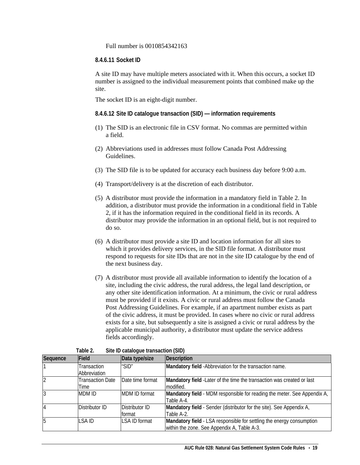Full number is 0010854342163

## <span id="page-24-0"></span>**8.4.6.11 Socket ID**

A site ID may have multiple meters associated with it. When this occurs, a socket ID number is assigned to the individual measurement points that combined make up the site.

The socket ID is an eight-digit number.

- <span id="page-24-1"></span>**8.4.6.12 Site ID catalogue transaction (SID) — information requirements**
- (1) The SID is an electronic file in CSV format. No commas are permitted within a field.
- (2) Abbreviations used in addresses must follow Canada Post Addressing Guidelines.
- (3) The SID file is to be updated for accuracy each business day before 9:00 a.m.
- (4) Transport/delivery is at the discretion of each distributor.
- (5) A distributor must provide the information in a mandatory field in Table 2. In addition, a distributor must provide the information in a conditional field in Table 2, if it has the information required in the conditional field in its records. A distributor may provide the information in an optional field, but is not required to do so.
- (6) A distributor must provide a site ID and location information for all sites to which it provides delivery services, in the SID file format. A distributor must respond to requests for site IDs that are not in the site ID catalogue by the end of the next business day.
- (7) A distributor must provide all available information to identify the location of a site, including the civic address, the rural address, the legal land description, or any other site identification information. At a minimum, the civic or rural address must be provided if it exists. A civic or rural address must follow the Canada Post Addressing Guidelines. For example, if an apartment number exists as part of the civic address, it must be provided. In cases where no civic or rural address exists for a site, but subsequently a site is assigned a civic or rural address by the applicable municipal authority, a distributor must update the service address fields accordingly.

<span id="page-24-2"></span>

| Sequence | Field                           | Data type/size           | Description                                                                                                          |
|----------|---------------------------------|--------------------------|----------------------------------------------------------------------------------------------------------------------|
|          | Transaction<br>Abbreviation     | " $SID$ "                | Mandatory field - Abbreviation for the transaction name.                                                             |
|          | <b>Transaction Date</b><br>Time | Date time format         | Mandatory field - Later of the time the transaction was created or last<br>modified.                                 |
|          | <b>MDM ID</b>                   | <b>MDM ID format</b>     | Mandatory field - MDM responsible for reading the meter. See Appendix A,<br>Table A-4.                               |
| 14       | Distributor ID                  | Distributor ID<br>format | Mandatory field - Sender (distributor for the site). See Appendix A,<br>Table A-2.                                   |
| 5        | I SA ID                         | LSA ID format            | Mandatory field - LSA responsible for settling the energy consumption<br>within the zone. See Appendix A, Table A-3. |

| Site ID catalogue transaction (SID)<br>Table 2. |  |  |
|-------------------------------------------------|--|--|
|-------------------------------------------------|--|--|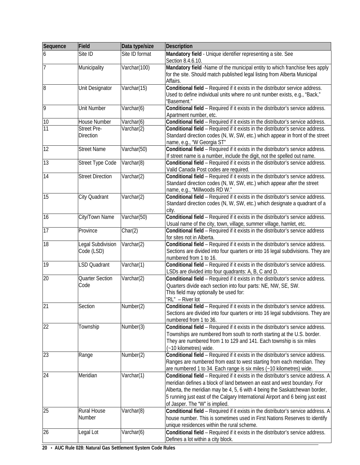| Site ID format<br>Site ID<br>Mandatory field - Unique identifier representing a site. See<br>6<br>Section 8.4.6.10.<br>Mandatory field -Name of the municipal entity to which franchise fees apply<br>Municipality<br>Varchar(100)<br>for the site. Should match published legal listing from Alberta Municipal<br>Affairs.<br>$\overline{8}$<br>Conditional field - Required if it exists in the distributor service address.<br>Unit Designator<br>Varchar(15)<br>Used to define individual units where no unit number exists, e.g., "Back,"<br>"Basement."<br><b>Unit Number</b><br>Varchar(6)<br>Conditional field - Required if it exists in the distributor's service address.<br>Apartment number, etc.<br>Conditional field - Required if it exists in the distributor's service address.<br>10<br>House Number<br>Varchar(6)<br>$\overline{11}$<br><b>Street Pre-</b><br>Conditional field - Required if it exists in the distributor's service address.<br>Varchar(2)<br><b>Direction</b><br>Standard direction codes (N, W, SW, etc.) which appear in front of the street<br>name, e.g., "W Georgia ST"<br>12<br>Conditional field - Required if it exists in the distributor's service address.<br><b>Street Name</b><br>Varchar(50)<br>If street name is a number, include the digit, not the spelled out name.<br>13<br>Street Type Code<br>Varchar(8)<br>Conditional field - Required if it exists in the distributor's service address.<br>Valid Canada Post codes are required.<br>14<br><b>Street Direction</b><br>Conditional field - Required if it exists in the distributor's service address.<br>Varchar(2)<br>Standard direction codes (N, W, SW, etc.) which appear after the street<br>name, e.g., "Millwoods RD W."<br>15<br>City Quadrant<br>Varchar(2)<br>Conditional field - Required if it exists in the distributor's service address.<br>Standard direction codes (N, W, SW, etc.) which designate a quadrant of a<br>city.<br>16<br>City/Town Name<br>Varchar(50)<br>Conditional field - Required if it exists in the distributor's service address.<br>Usual name of the city, town, village, summer village, hamlet, etc.<br>17<br>Char(2)<br>Conditional field - Required if it exists in the distributor's service address<br>Province<br>for sites not in Alberta.<br>18<br>Conditional field - Required if it exists in the distributor's service address.<br>Legal Subdivision<br>Varchar(2)<br>Code (LSD)<br>Sections are divided into four quarters or into 16 legal subdivisions. They are<br>numbered from 1 to 16.<br>19<br>Varchar(1)<br>Conditional field - Required if it exists in the distributor's service address.<br><b>LSD Quadrant</b><br>LSDs are divided into four quadrants: A, B, C and D.<br>20<br><b>Quarter Section</b><br>Varchar(2)<br>Conditional field - Required if it exists in the distributor's service address.<br>Code<br>Quarters divide each section into four parts: NE, NW, SE, SW.<br>This field may optionally be used for:<br>"RL" - River lot<br>$\overline{21}$<br>Number(2)<br>Section<br>Conditional field - Required if it exists in the distributor's service address.<br>Sections are divided into four quarters or into 16 legal subdivisions. They are<br>numbered from 1 to 36.<br>22<br>Number(3)<br>Conditional field - Required if it exists in the distributor's service address.<br>Township<br>Townships are numbered from south to north starting at the U.S. border.<br>They are numbered from 1 to 129 and 141. Each township is six miles<br>(~10 kilometres) wide.<br>Conditional field - Required if it exists in the distributor's service address.<br>Number(2)<br>Range<br>Ranges are numbered from east to west starting from each meridian. They<br>are numbered 1 to 34. Each range is six miles (~10 kilometres) wide.<br>Varchar(1)<br>Meridian<br>Conditional field - Required if it exists in the distributor's service address. A<br>meridian defines a block of land between an east and west boundary. For<br>Alberta, the meridian may be 4, 5, 6 with 4 being the Saskatchewan border,<br>5 running just east of the Calgary International Airport and 6 being just east<br>of Jasper. The "W" is implied.<br>Varchar(8)<br>Rural House<br>Conditional field - Required if it exists in the distributor's service address. A<br>Number<br>house number. This is sometimes used in First Nations Reserves to identify<br>unique residences within the rural scheme.<br>26<br>Legal Lot<br>Varchar(6)<br>Conditional field - Required if it exists in the distributor's service address. | Sequence | Field | Data type/size | <b>Description</b>                 |
|-------------------------------------------------------------------------------------------------------------------------------------------------------------------------------------------------------------------------------------------------------------------------------------------------------------------------------------------------------------------------------------------------------------------------------------------------------------------------------------------------------------------------------------------------------------------------------------------------------------------------------------------------------------------------------------------------------------------------------------------------------------------------------------------------------------------------------------------------------------------------------------------------------------------------------------------------------------------------------------------------------------------------------------------------------------------------------------------------------------------------------------------------------------------------------------------------------------------------------------------------------------------------------------------------------------------------------------------------------------------------------------------------------------------------------------------------------------------------------------------------------------------------------------------------------------------------------------------------------------------------------------------------------------------------------------------------------------------------------------------------------------------------------------------------------------------------------------------------------------------------------------------------------------------------------------------------------------------------------------------------------------------------------------------------------------------------------------------------------------------------------------------------------------------------------------------------------------------------------------------------------------------------------------------------------------------------------------------------------------------------------------------------------------------------------------------------------------------------------------------------------------------------------------------------------------------------------------------------------------------------------------------------------------------------------------------------------------------------------------------------------------------------------------------------------------------------------------------------------------------------------------------------------------------------------------------------------------------------------------------------------------------------------------------------------------------------------------------------------------------------------------------------------------------------------------------------------------------------------------------------------------------------------------------------------------------------------------------------------------------------------------------------------------------------------------------------------------------------------------------------------------------------------------------------------------------------------------------------------------------------------------------------------------------------------------------------------------------------------------------------------------------------------------------------------------------------------------------------------------------------------------------------------------------------------------------------------------------------------------------------------------------------------------------------------------------------------------------------------------------------------------------------------------------------------------------------------------------------------------------------------------------------------------------------------------------------------------------------------------------------------------------------------------------------------------------------------------------------------------------------------------------------------------------------------------------------------------------------------------|----------|-------|----------------|------------------------------------|
|                                                                                                                                                                                                                                                                                                                                                                                                                                                                                                                                                                                                                                                                                                                                                                                                                                                                                                                                                                                                                                                                                                                                                                                                                                                                                                                                                                                                                                                                                                                                                                                                                                                                                                                                                                                                                                                                                                                                                                                                                                                                                                                                                                                                                                                                                                                                                                                                                                                                                                                                                                                                                                                                                                                                                                                                                                                                                                                                                                                                                                                                                                                                                                                                                                                                                                                                                                                                                                                                                                                                                                                                                                                                                                                                                                                                                                                                                                                                                                                                                                                                                                                                                                                                                                                                                                                                                                                                                                                                                                                                                                                                             |          |       |                |                                    |
|                                                                                                                                                                                                                                                                                                                                                                                                                                                                                                                                                                                                                                                                                                                                                                                                                                                                                                                                                                                                                                                                                                                                                                                                                                                                                                                                                                                                                                                                                                                                                                                                                                                                                                                                                                                                                                                                                                                                                                                                                                                                                                                                                                                                                                                                                                                                                                                                                                                                                                                                                                                                                                                                                                                                                                                                                                                                                                                                                                                                                                                                                                                                                                                                                                                                                                                                                                                                                                                                                                                                                                                                                                                                                                                                                                                                                                                                                                                                                                                                                                                                                                                                                                                                                                                                                                                                                                                                                                                                                                                                                                                                             |          |       |                |                                    |
|                                                                                                                                                                                                                                                                                                                                                                                                                                                                                                                                                                                                                                                                                                                                                                                                                                                                                                                                                                                                                                                                                                                                                                                                                                                                                                                                                                                                                                                                                                                                                                                                                                                                                                                                                                                                                                                                                                                                                                                                                                                                                                                                                                                                                                                                                                                                                                                                                                                                                                                                                                                                                                                                                                                                                                                                                                                                                                                                                                                                                                                                                                                                                                                                                                                                                                                                                                                                                                                                                                                                                                                                                                                                                                                                                                                                                                                                                                                                                                                                                                                                                                                                                                                                                                                                                                                                                                                                                                                                                                                                                                                                             |          |       |                |                                    |
|                                                                                                                                                                                                                                                                                                                                                                                                                                                                                                                                                                                                                                                                                                                                                                                                                                                                                                                                                                                                                                                                                                                                                                                                                                                                                                                                                                                                                                                                                                                                                                                                                                                                                                                                                                                                                                                                                                                                                                                                                                                                                                                                                                                                                                                                                                                                                                                                                                                                                                                                                                                                                                                                                                                                                                                                                                                                                                                                                                                                                                                                                                                                                                                                                                                                                                                                                                                                                                                                                                                                                                                                                                                                                                                                                                                                                                                                                                                                                                                                                                                                                                                                                                                                                                                                                                                                                                                                                                                                                                                                                                                                             |          |       |                |                                    |
|                                                                                                                                                                                                                                                                                                                                                                                                                                                                                                                                                                                                                                                                                                                                                                                                                                                                                                                                                                                                                                                                                                                                                                                                                                                                                                                                                                                                                                                                                                                                                                                                                                                                                                                                                                                                                                                                                                                                                                                                                                                                                                                                                                                                                                                                                                                                                                                                                                                                                                                                                                                                                                                                                                                                                                                                                                                                                                                                                                                                                                                                                                                                                                                                                                                                                                                                                                                                                                                                                                                                                                                                                                                                                                                                                                                                                                                                                                                                                                                                                                                                                                                                                                                                                                                                                                                                                                                                                                                                                                                                                                                                             |          |       |                |                                    |
|                                                                                                                                                                                                                                                                                                                                                                                                                                                                                                                                                                                                                                                                                                                                                                                                                                                                                                                                                                                                                                                                                                                                                                                                                                                                                                                                                                                                                                                                                                                                                                                                                                                                                                                                                                                                                                                                                                                                                                                                                                                                                                                                                                                                                                                                                                                                                                                                                                                                                                                                                                                                                                                                                                                                                                                                                                                                                                                                                                                                                                                                                                                                                                                                                                                                                                                                                                                                                                                                                                                                                                                                                                                                                                                                                                                                                                                                                                                                                                                                                                                                                                                                                                                                                                                                                                                                                                                                                                                                                                                                                                                                             |          |       |                |                                    |
|                                                                                                                                                                                                                                                                                                                                                                                                                                                                                                                                                                                                                                                                                                                                                                                                                                                                                                                                                                                                                                                                                                                                                                                                                                                                                                                                                                                                                                                                                                                                                                                                                                                                                                                                                                                                                                                                                                                                                                                                                                                                                                                                                                                                                                                                                                                                                                                                                                                                                                                                                                                                                                                                                                                                                                                                                                                                                                                                                                                                                                                                                                                                                                                                                                                                                                                                                                                                                                                                                                                                                                                                                                                                                                                                                                                                                                                                                                                                                                                                                                                                                                                                                                                                                                                                                                                                                                                                                                                                                                                                                                                                             |          |       |                |                                    |
|                                                                                                                                                                                                                                                                                                                                                                                                                                                                                                                                                                                                                                                                                                                                                                                                                                                                                                                                                                                                                                                                                                                                                                                                                                                                                                                                                                                                                                                                                                                                                                                                                                                                                                                                                                                                                                                                                                                                                                                                                                                                                                                                                                                                                                                                                                                                                                                                                                                                                                                                                                                                                                                                                                                                                                                                                                                                                                                                                                                                                                                                                                                                                                                                                                                                                                                                                                                                                                                                                                                                                                                                                                                                                                                                                                                                                                                                                                                                                                                                                                                                                                                                                                                                                                                                                                                                                                                                                                                                                                                                                                                                             |          |       |                |                                    |
|                                                                                                                                                                                                                                                                                                                                                                                                                                                                                                                                                                                                                                                                                                                                                                                                                                                                                                                                                                                                                                                                                                                                                                                                                                                                                                                                                                                                                                                                                                                                                                                                                                                                                                                                                                                                                                                                                                                                                                                                                                                                                                                                                                                                                                                                                                                                                                                                                                                                                                                                                                                                                                                                                                                                                                                                                                                                                                                                                                                                                                                                                                                                                                                                                                                                                                                                                                                                                                                                                                                                                                                                                                                                                                                                                                                                                                                                                                                                                                                                                                                                                                                                                                                                                                                                                                                                                                                                                                                                                                                                                                                                             | 9        |       |                |                                    |
|                                                                                                                                                                                                                                                                                                                                                                                                                                                                                                                                                                                                                                                                                                                                                                                                                                                                                                                                                                                                                                                                                                                                                                                                                                                                                                                                                                                                                                                                                                                                                                                                                                                                                                                                                                                                                                                                                                                                                                                                                                                                                                                                                                                                                                                                                                                                                                                                                                                                                                                                                                                                                                                                                                                                                                                                                                                                                                                                                                                                                                                                                                                                                                                                                                                                                                                                                                                                                                                                                                                                                                                                                                                                                                                                                                                                                                                                                                                                                                                                                                                                                                                                                                                                                                                                                                                                                                                                                                                                                                                                                                                                             |          |       |                |                                    |
|                                                                                                                                                                                                                                                                                                                                                                                                                                                                                                                                                                                                                                                                                                                                                                                                                                                                                                                                                                                                                                                                                                                                                                                                                                                                                                                                                                                                                                                                                                                                                                                                                                                                                                                                                                                                                                                                                                                                                                                                                                                                                                                                                                                                                                                                                                                                                                                                                                                                                                                                                                                                                                                                                                                                                                                                                                                                                                                                                                                                                                                                                                                                                                                                                                                                                                                                                                                                                                                                                                                                                                                                                                                                                                                                                                                                                                                                                                                                                                                                                                                                                                                                                                                                                                                                                                                                                                                                                                                                                                                                                                                                             |          |       |                |                                    |
|                                                                                                                                                                                                                                                                                                                                                                                                                                                                                                                                                                                                                                                                                                                                                                                                                                                                                                                                                                                                                                                                                                                                                                                                                                                                                                                                                                                                                                                                                                                                                                                                                                                                                                                                                                                                                                                                                                                                                                                                                                                                                                                                                                                                                                                                                                                                                                                                                                                                                                                                                                                                                                                                                                                                                                                                                                                                                                                                                                                                                                                                                                                                                                                                                                                                                                                                                                                                                                                                                                                                                                                                                                                                                                                                                                                                                                                                                                                                                                                                                                                                                                                                                                                                                                                                                                                                                                                                                                                                                                                                                                                                             |          |       |                |                                    |
|                                                                                                                                                                                                                                                                                                                                                                                                                                                                                                                                                                                                                                                                                                                                                                                                                                                                                                                                                                                                                                                                                                                                                                                                                                                                                                                                                                                                                                                                                                                                                                                                                                                                                                                                                                                                                                                                                                                                                                                                                                                                                                                                                                                                                                                                                                                                                                                                                                                                                                                                                                                                                                                                                                                                                                                                                                                                                                                                                                                                                                                                                                                                                                                                                                                                                                                                                                                                                                                                                                                                                                                                                                                                                                                                                                                                                                                                                                                                                                                                                                                                                                                                                                                                                                                                                                                                                                                                                                                                                                                                                                                                             |          |       |                |                                    |
|                                                                                                                                                                                                                                                                                                                                                                                                                                                                                                                                                                                                                                                                                                                                                                                                                                                                                                                                                                                                                                                                                                                                                                                                                                                                                                                                                                                                                                                                                                                                                                                                                                                                                                                                                                                                                                                                                                                                                                                                                                                                                                                                                                                                                                                                                                                                                                                                                                                                                                                                                                                                                                                                                                                                                                                                                                                                                                                                                                                                                                                                                                                                                                                                                                                                                                                                                                                                                                                                                                                                                                                                                                                                                                                                                                                                                                                                                                                                                                                                                                                                                                                                                                                                                                                                                                                                                                                                                                                                                                                                                                                                             |          |       |                |                                    |
|                                                                                                                                                                                                                                                                                                                                                                                                                                                                                                                                                                                                                                                                                                                                                                                                                                                                                                                                                                                                                                                                                                                                                                                                                                                                                                                                                                                                                                                                                                                                                                                                                                                                                                                                                                                                                                                                                                                                                                                                                                                                                                                                                                                                                                                                                                                                                                                                                                                                                                                                                                                                                                                                                                                                                                                                                                                                                                                                                                                                                                                                                                                                                                                                                                                                                                                                                                                                                                                                                                                                                                                                                                                                                                                                                                                                                                                                                                                                                                                                                                                                                                                                                                                                                                                                                                                                                                                                                                                                                                                                                                                                             |          |       |                |                                    |
|                                                                                                                                                                                                                                                                                                                                                                                                                                                                                                                                                                                                                                                                                                                                                                                                                                                                                                                                                                                                                                                                                                                                                                                                                                                                                                                                                                                                                                                                                                                                                                                                                                                                                                                                                                                                                                                                                                                                                                                                                                                                                                                                                                                                                                                                                                                                                                                                                                                                                                                                                                                                                                                                                                                                                                                                                                                                                                                                                                                                                                                                                                                                                                                                                                                                                                                                                                                                                                                                                                                                                                                                                                                                                                                                                                                                                                                                                                                                                                                                                                                                                                                                                                                                                                                                                                                                                                                                                                                                                                                                                                                                             |          |       |                |                                    |
|                                                                                                                                                                                                                                                                                                                                                                                                                                                                                                                                                                                                                                                                                                                                                                                                                                                                                                                                                                                                                                                                                                                                                                                                                                                                                                                                                                                                                                                                                                                                                                                                                                                                                                                                                                                                                                                                                                                                                                                                                                                                                                                                                                                                                                                                                                                                                                                                                                                                                                                                                                                                                                                                                                                                                                                                                                                                                                                                                                                                                                                                                                                                                                                                                                                                                                                                                                                                                                                                                                                                                                                                                                                                                                                                                                                                                                                                                                                                                                                                                                                                                                                                                                                                                                                                                                                                                                                                                                                                                                                                                                                                             |          |       |                |                                    |
|                                                                                                                                                                                                                                                                                                                                                                                                                                                                                                                                                                                                                                                                                                                                                                                                                                                                                                                                                                                                                                                                                                                                                                                                                                                                                                                                                                                                                                                                                                                                                                                                                                                                                                                                                                                                                                                                                                                                                                                                                                                                                                                                                                                                                                                                                                                                                                                                                                                                                                                                                                                                                                                                                                                                                                                                                                                                                                                                                                                                                                                                                                                                                                                                                                                                                                                                                                                                                                                                                                                                                                                                                                                                                                                                                                                                                                                                                                                                                                                                                                                                                                                                                                                                                                                                                                                                                                                                                                                                                                                                                                                                             |          |       |                |                                    |
|                                                                                                                                                                                                                                                                                                                                                                                                                                                                                                                                                                                                                                                                                                                                                                                                                                                                                                                                                                                                                                                                                                                                                                                                                                                                                                                                                                                                                                                                                                                                                                                                                                                                                                                                                                                                                                                                                                                                                                                                                                                                                                                                                                                                                                                                                                                                                                                                                                                                                                                                                                                                                                                                                                                                                                                                                                                                                                                                                                                                                                                                                                                                                                                                                                                                                                                                                                                                                                                                                                                                                                                                                                                                                                                                                                                                                                                                                                                                                                                                                                                                                                                                                                                                                                                                                                                                                                                                                                                                                                                                                                                                             |          |       |                |                                    |
|                                                                                                                                                                                                                                                                                                                                                                                                                                                                                                                                                                                                                                                                                                                                                                                                                                                                                                                                                                                                                                                                                                                                                                                                                                                                                                                                                                                                                                                                                                                                                                                                                                                                                                                                                                                                                                                                                                                                                                                                                                                                                                                                                                                                                                                                                                                                                                                                                                                                                                                                                                                                                                                                                                                                                                                                                                                                                                                                                                                                                                                                                                                                                                                                                                                                                                                                                                                                                                                                                                                                                                                                                                                                                                                                                                                                                                                                                                                                                                                                                                                                                                                                                                                                                                                                                                                                                                                                                                                                                                                                                                                                             |          |       |                |                                    |
|                                                                                                                                                                                                                                                                                                                                                                                                                                                                                                                                                                                                                                                                                                                                                                                                                                                                                                                                                                                                                                                                                                                                                                                                                                                                                                                                                                                                                                                                                                                                                                                                                                                                                                                                                                                                                                                                                                                                                                                                                                                                                                                                                                                                                                                                                                                                                                                                                                                                                                                                                                                                                                                                                                                                                                                                                                                                                                                                                                                                                                                                                                                                                                                                                                                                                                                                                                                                                                                                                                                                                                                                                                                                                                                                                                                                                                                                                                                                                                                                                                                                                                                                                                                                                                                                                                                                                                                                                                                                                                                                                                                                             |          |       |                |                                    |
|                                                                                                                                                                                                                                                                                                                                                                                                                                                                                                                                                                                                                                                                                                                                                                                                                                                                                                                                                                                                                                                                                                                                                                                                                                                                                                                                                                                                                                                                                                                                                                                                                                                                                                                                                                                                                                                                                                                                                                                                                                                                                                                                                                                                                                                                                                                                                                                                                                                                                                                                                                                                                                                                                                                                                                                                                                                                                                                                                                                                                                                                                                                                                                                                                                                                                                                                                                                                                                                                                                                                                                                                                                                                                                                                                                                                                                                                                                                                                                                                                                                                                                                                                                                                                                                                                                                                                                                                                                                                                                                                                                                                             |          |       |                |                                    |
|                                                                                                                                                                                                                                                                                                                                                                                                                                                                                                                                                                                                                                                                                                                                                                                                                                                                                                                                                                                                                                                                                                                                                                                                                                                                                                                                                                                                                                                                                                                                                                                                                                                                                                                                                                                                                                                                                                                                                                                                                                                                                                                                                                                                                                                                                                                                                                                                                                                                                                                                                                                                                                                                                                                                                                                                                                                                                                                                                                                                                                                                                                                                                                                                                                                                                                                                                                                                                                                                                                                                                                                                                                                                                                                                                                                                                                                                                                                                                                                                                                                                                                                                                                                                                                                                                                                                                                                                                                                                                                                                                                                                             |          |       |                |                                    |
|                                                                                                                                                                                                                                                                                                                                                                                                                                                                                                                                                                                                                                                                                                                                                                                                                                                                                                                                                                                                                                                                                                                                                                                                                                                                                                                                                                                                                                                                                                                                                                                                                                                                                                                                                                                                                                                                                                                                                                                                                                                                                                                                                                                                                                                                                                                                                                                                                                                                                                                                                                                                                                                                                                                                                                                                                                                                                                                                                                                                                                                                                                                                                                                                                                                                                                                                                                                                                                                                                                                                                                                                                                                                                                                                                                                                                                                                                                                                                                                                                                                                                                                                                                                                                                                                                                                                                                                                                                                                                                                                                                                                             |          |       |                |                                    |
|                                                                                                                                                                                                                                                                                                                                                                                                                                                                                                                                                                                                                                                                                                                                                                                                                                                                                                                                                                                                                                                                                                                                                                                                                                                                                                                                                                                                                                                                                                                                                                                                                                                                                                                                                                                                                                                                                                                                                                                                                                                                                                                                                                                                                                                                                                                                                                                                                                                                                                                                                                                                                                                                                                                                                                                                                                                                                                                                                                                                                                                                                                                                                                                                                                                                                                                                                                                                                                                                                                                                                                                                                                                                                                                                                                                                                                                                                                                                                                                                                                                                                                                                                                                                                                                                                                                                                                                                                                                                                                                                                                                                             |          |       |                |                                    |
|                                                                                                                                                                                                                                                                                                                                                                                                                                                                                                                                                                                                                                                                                                                                                                                                                                                                                                                                                                                                                                                                                                                                                                                                                                                                                                                                                                                                                                                                                                                                                                                                                                                                                                                                                                                                                                                                                                                                                                                                                                                                                                                                                                                                                                                                                                                                                                                                                                                                                                                                                                                                                                                                                                                                                                                                                                                                                                                                                                                                                                                                                                                                                                                                                                                                                                                                                                                                                                                                                                                                                                                                                                                                                                                                                                                                                                                                                                                                                                                                                                                                                                                                                                                                                                                                                                                                                                                                                                                                                                                                                                                                             |          |       |                |                                    |
|                                                                                                                                                                                                                                                                                                                                                                                                                                                                                                                                                                                                                                                                                                                                                                                                                                                                                                                                                                                                                                                                                                                                                                                                                                                                                                                                                                                                                                                                                                                                                                                                                                                                                                                                                                                                                                                                                                                                                                                                                                                                                                                                                                                                                                                                                                                                                                                                                                                                                                                                                                                                                                                                                                                                                                                                                                                                                                                                                                                                                                                                                                                                                                                                                                                                                                                                                                                                                                                                                                                                                                                                                                                                                                                                                                                                                                                                                                                                                                                                                                                                                                                                                                                                                                                                                                                                                                                                                                                                                                                                                                                                             |          |       |                |                                    |
|                                                                                                                                                                                                                                                                                                                                                                                                                                                                                                                                                                                                                                                                                                                                                                                                                                                                                                                                                                                                                                                                                                                                                                                                                                                                                                                                                                                                                                                                                                                                                                                                                                                                                                                                                                                                                                                                                                                                                                                                                                                                                                                                                                                                                                                                                                                                                                                                                                                                                                                                                                                                                                                                                                                                                                                                                                                                                                                                                                                                                                                                                                                                                                                                                                                                                                                                                                                                                                                                                                                                                                                                                                                                                                                                                                                                                                                                                                                                                                                                                                                                                                                                                                                                                                                                                                                                                                                                                                                                                                                                                                                                             |          |       |                |                                    |
|                                                                                                                                                                                                                                                                                                                                                                                                                                                                                                                                                                                                                                                                                                                                                                                                                                                                                                                                                                                                                                                                                                                                                                                                                                                                                                                                                                                                                                                                                                                                                                                                                                                                                                                                                                                                                                                                                                                                                                                                                                                                                                                                                                                                                                                                                                                                                                                                                                                                                                                                                                                                                                                                                                                                                                                                                                                                                                                                                                                                                                                                                                                                                                                                                                                                                                                                                                                                                                                                                                                                                                                                                                                                                                                                                                                                                                                                                                                                                                                                                                                                                                                                                                                                                                                                                                                                                                                                                                                                                                                                                                                                             |          |       |                |                                    |
|                                                                                                                                                                                                                                                                                                                                                                                                                                                                                                                                                                                                                                                                                                                                                                                                                                                                                                                                                                                                                                                                                                                                                                                                                                                                                                                                                                                                                                                                                                                                                                                                                                                                                                                                                                                                                                                                                                                                                                                                                                                                                                                                                                                                                                                                                                                                                                                                                                                                                                                                                                                                                                                                                                                                                                                                                                                                                                                                                                                                                                                                                                                                                                                                                                                                                                                                                                                                                                                                                                                                                                                                                                                                                                                                                                                                                                                                                                                                                                                                                                                                                                                                                                                                                                                                                                                                                                                                                                                                                                                                                                                                             |          |       |                |                                    |
|                                                                                                                                                                                                                                                                                                                                                                                                                                                                                                                                                                                                                                                                                                                                                                                                                                                                                                                                                                                                                                                                                                                                                                                                                                                                                                                                                                                                                                                                                                                                                                                                                                                                                                                                                                                                                                                                                                                                                                                                                                                                                                                                                                                                                                                                                                                                                                                                                                                                                                                                                                                                                                                                                                                                                                                                                                                                                                                                                                                                                                                                                                                                                                                                                                                                                                                                                                                                                                                                                                                                                                                                                                                                                                                                                                                                                                                                                                                                                                                                                                                                                                                                                                                                                                                                                                                                                                                                                                                                                                                                                                                                             |          |       |                |                                    |
|                                                                                                                                                                                                                                                                                                                                                                                                                                                                                                                                                                                                                                                                                                                                                                                                                                                                                                                                                                                                                                                                                                                                                                                                                                                                                                                                                                                                                                                                                                                                                                                                                                                                                                                                                                                                                                                                                                                                                                                                                                                                                                                                                                                                                                                                                                                                                                                                                                                                                                                                                                                                                                                                                                                                                                                                                                                                                                                                                                                                                                                                                                                                                                                                                                                                                                                                                                                                                                                                                                                                                                                                                                                                                                                                                                                                                                                                                                                                                                                                                                                                                                                                                                                                                                                                                                                                                                                                                                                                                                                                                                                                             |          |       |                |                                    |
|                                                                                                                                                                                                                                                                                                                                                                                                                                                                                                                                                                                                                                                                                                                                                                                                                                                                                                                                                                                                                                                                                                                                                                                                                                                                                                                                                                                                                                                                                                                                                                                                                                                                                                                                                                                                                                                                                                                                                                                                                                                                                                                                                                                                                                                                                                                                                                                                                                                                                                                                                                                                                                                                                                                                                                                                                                                                                                                                                                                                                                                                                                                                                                                                                                                                                                                                                                                                                                                                                                                                                                                                                                                                                                                                                                                                                                                                                                                                                                                                                                                                                                                                                                                                                                                                                                                                                                                                                                                                                                                                                                                                             |          |       |                |                                    |
|                                                                                                                                                                                                                                                                                                                                                                                                                                                                                                                                                                                                                                                                                                                                                                                                                                                                                                                                                                                                                                                                                                                                                                                                                                                                                                                                                                                                                                                                                                                                                                                                                                                                                                                                                                                                                                                                                                                                                                                                                                                                                                                                                                                                                                                                                                                                                                                                                                                                                                                                                                                                                                                                                                                                                                                                                                                                                                                                                                                                                                                                                                                                                                                                                                                                                                                                                                                                                                                                                                                                                                                                                                                                                                                                                                                                                                                                                                                                                                                                                                                                                                                                                                                                                                                                                                                                                                                                                                                                                                                                                                                                             |          |       |                |                                    |
|                                                                                                                                                                                                                                                                                                                                                                                                                                                                                                                                                                                                                                                                                                                                                                                                                                                                                                                                                                                                                                                                                                                                                                                                                                                                                                                                                                                                                                                                                                                                                                                                                                                                                                                                                                                                                                                                                                                                                                                                                                                                                                                                                                                                                                                                                                                                                                                                                                                                                                                                                                                                                                                                                                                                                                                                                                                                                                                                                                                                                                                                                                                                                                                                                                                                                                                                                                                                                                                                                                                                                                                                                                                                                                                                                                                                                                                                                                                                                                                                                                                                                                                                                                                                                                                                                                                                                                                                                                                                                                                                                                                                             |          |       |                |                                    |
|                                                                                                                                                                                                                                                                                                                                                                                                                                                                                                                                                                                                                                                                                                                                                                                                                                                                                                                                                                                                                                                                                                                                                                                                                                                                                                                                                                                                                                                                                                                                                                                                                                                                                                                                                                                                                                                                                                                                                                                                                                                                                                                                                                                                                                                                                                                                                                                                                                                                                                                                                                                                                                                                                                                                                                                                                                                                                                                                                                                                                                                                                                                                                                                                                                                                                                                                                                                                                                                                                                                                                                                                                                                                                                                                                                                                                                                                                                                                                                                                                                                                                                                                                                                                                                                                                                                                                                                                                                                                                                                                                                                                             |          |       |                |                                    |
|                                                                                                                                                                                                                                                                                                                                                                                                                                                                                                                                                                                                                                                                                                                                                                                                                                                                                                                                                                                                                                                                                                                                                                                                                                                                                                                                                                                                                                                                                                                                                                                                                                                                                                                                                                                                                                                                                                                                                                                                                                                                                                                                                                                                                                                                                                                                                                                                                                                                                                                                                                                                                                                                                                                                                                                                                                                                                                                                                                                                                                                                                                                                                                                                                                                                                                                                                                                                                                                                                                                                                                                                                                                                                                                                                                                                                                                                                                                                                                                                                                                                                                                                                                                                                                                                                                                                                                                                                                                                                                                                                                                                             |          |       |                |                                    |
|                                                                                                                                                                                                                                                                                                                                                                                                                                                                                                                                                                                                                                                                                                                                                                                                                                                                                                                                                                                                                                                                                                                                                                                                                                                                                                                                                                                                                                                                                                                                                                                                                                                                                                                                                                                                                                                                                                                                                                                                                                                                                                                                                                                                                                                                                                                                                                                                                                                                                                                                                                                                                                                                                                                                                                                                                                                                                                                                                                                                                                                                                                                                                                                                                                                                                                                                                                                                                                                                                                                                                                                                                                                                                                                                                                                                                                                                                                                                                                                                                                                                                                                                                                                                                                                                                                                                                                                                                                                                                                                                                                                                             |          |       |                |                                    |
|                                                                                                                                                                                                                                                                                                                                                                                                                                                                                                                                                                                                                                                                                                                                                                                                                                                                                                                                                                                                                                                                                                                                                                                                                                                                                                                                                                                                                                                                                                                                                                                                                                                                                                                                                                                                                                                                                                                                                                                                                                                                                                                                                                                                                                                                                                                                                                                                                                                                                                                                                                                                                                                                                                                                                                                                                                                                                                                                                                                                                                                                                                                                                                                                                                                                                                                                                                                                                                                                                                                                                                                                                                                                                                                                                                                                                                                                                                                                                                                                                                                                                                                                                                                                                                                                                                                                                                                                                                                                                                                                                                                                             |          |       |                |                                    |
|                                                                                                                                                                                                                                                                                                                                                                                                                                                                                                                                                                                                                                                                                                                                                                                                                                                                                                                                                                                                                                                                                                                                                                                                                                                                                                                                                                                                                                                                                                                                                                                                                                                                                                                                                                                                                                                                                                                                                                                                                                                                                                                                                                                                                                                                                                                                                                                                                                                                                                                                                                                                                                                                                                                                                                                                                                                                                                                                                                                                                                                                                                                                                                                                                                                                                                                                                                                                                                                                                                                                                                                                                                                                                                                                                                                                                                                                                                                                                                                                                                                                                                                                                                                                                                                                                                                                                                                                                                                                                                                                                                                                             |          |       |                |                                    |
|                                                                                                                                                                                                                                                                                                                                                                                                                                                                                                                                                                                                                                                                                                                                                                                                                                                                                                                                                                                                                                                                                                                                                                                                                                                                                                                                                                                                                                                                                                                                                                                                                                                                                                                                                                                                                                                                                                                                                                                                                                                                                                                                                                                                                                                                                                                                                                                                                                                                                                                                                                                                                                                                                                                                                                                                                                                                                                                                                                                                                                                                                                                                                                                                                                                                                                                                                                                                                                                                                                                                                                                                                                                                                                                                                                                                                                                                                                                                                                                                                                                                                                                                                                                                                                                                                                                                                                                                                                                                                                                                                                                                             |          |       |                |                                    |
|                                                                                                                                                                                                                                                                                                                                                                                                                                                                                                                                                                                                                                                                                                                                                                                                                                                                                                                                                                                                                                                                                                                                                                                                                                                                                                                                                                                                                                                                                                                                                                                                                                                                                                                                                                                                                                                                                                                                                                                                                                                                                                                                                                                                                                                                                                                                                                                                                                                                                                                                                                                                                                                                                                                                                                                                                                                                                                                                                                                                                                                                                                                                                                                                                                                                                                                                                                                                                                                                                                                                                                                                                                                                                                                                                                                                                                                                                                                                                                                                                                                                                                                                                                                                                                                                                                                                                                                                                                                                                                                                                                                                             |          |       |                |                                    |
|                                                                                                                                                                                                                                                                                                                                                                                                                                                                                                                                                                                                                                                                                                                                                                                                                                                                                                                                                                                                                                                                                                                                                                                                                                                                                                                                                                                                                                                                                                                                                                                                                                                                                                                                                                                                                                                                                                                                                                                                                                                                                                                                                                                                                                                                                                                                                                                                                                                                                                                                                                                                                                                                                                                                                                                                                                                                                                                                                                                                                                                                                                                                                                                                                                                                                                                                                                                                                                                                                                                                                                                                                                                                                                                                                                                                                                                                                                                                                                                                                                                                                                                                                                                                                                                                                                                                                                                                                                                                                                                                                                                                             |          |       |                |                                    |
|                                                                                                                                                                                                                                                                                                                                                                                                                                                                                                                                                                                                                                                                                                                                                                                                                                                                                                                                                                                                                                                                                                                                                                                                                                                                                                                                                                                                                                                                                                                                                                                                                                                                                                                                                                                                                                                                                                                                                                                                                                                                                                                                                                                                                                                                                                                                                                                                                                                                                                                                                                                                                                                                                                                                                                                                                                                                                                                                                                                                                                                                                                                                                                                                                                                                                                                                                                                                                                                                                                                                                                                                                                                                                                                                                                                                                                                                                                                                                                                                                                                                                                                                                                                                                                                                                                                                                                                                                                                                                                                                                                                                             |          |       |                |                                    |
|                                                                                                                                                                                                                                                                                                                                                                                                                                                                                                                                                                                                                                                                                                                                                                                                                                                                                                                                                                                                                                                                                                                                                                                                                                                                                                                                                                                                                                                                                                                                                                                                                                                                                                                                                                                                                                                                                                                                                                                                                                                                                                                                                                                                                                                                                                                                                                                                                                                                                                                                                                                                                                                                                                                                                                                                                                                                                                                                                                                                                                                                                                                                                                                                                                                                                                                                                                                                                                                                                                                                                                                                                                                                                                                                                                                                                                                                                                                                                                                                                                                                                                                                                                                                                                                                                                                                                                                                                                                                                                                                                                                                             | 23       |       |                |                                    |
|                                                                                                                                                                                                                                                                                                                                                                                                                                                                                                                                                                                                                                                                                                                                                                                                                                                                                                                                                                                                                                                                                                                                                                                                                                                                                                                                                                                                                                                                                                                                                                                                                                                                                                                                                                                                                                                                                                                                                                                                                                                                                                                                                                                                                                                                                                                                                                                                                                                                                                                                                                                                                                                                                                                                                                                                                                                                                                                                                                                                                                                                                                                                                                                                                                                                                                                                                                                                                                                                                                                                                                                                                                                                                                                                                                                                                                                                                                                                                                                                                                                                                                                                                                                                                                                                                                                                                                                                                                                                                                                                                                                                             |          |       |                |                                    |
|                                                                                                                                                                                                                                                                                                                                                                                                                                                                                                                                                                                                                                                                                                                                                                                                                                                                                                                                                                                                                                                                                                                                                                                                                                                                                                                                                                                                                                                                                                                                                                                                                                                                                                                                                                                                                                                                                                                                                                                                                                                                                                                                                                                                                                                                                                                                                                                                                                                                                                                                                                                                                                                                                                                                                                                                                                                                                                                                                                                                                                                                                                                                                                                                                                                                                                                                                                                                                                                                                                                                                                                                                                                                                                                                                                                                                                                                                                                                                                                                                                                                                                                                                                                                                                                                                                                                                                                                                                                                                                                                                                                                             |          |       |                |                                    |
|                                                                                                                                                                                                                                                                                                                                                                                                                                                                                                                                                                                                                                                                                                                                                                                                                                                                                                                                                                                                                                                                                                                                                                                                                                                                                                                                                                                                                                                                                                                                                                                                                                                                                                                                                                                                                                                                                                                                                                                                                                                                                                                                                                                                                                                                                                                                                                                                                                                                                                                                                                                                                                                                                                                                                                                                                                                                                                                                                                                                                                                                                                                                                                                                                                                                                                                                                                                                                                                                                                                                                                                                                                                                                                                                                                                                                                                                                                                                                                                                                                                                                                                                                                                                                                                                                                                                                                                                                                                                                                                                                                                                             | 24       |       |                |                                    |
|                                                                                                                                                                                                                                                                                                                                                                                                                                                                                                                                                                                                                                                                                                                                                                                                                                                                                                                                                                                                                                                                                                                                                                                                                                                                                                                                                                                                                                                                                                                                                                                                                                                                                                                                                                                                                                                                                                                                                                                                                                                                                                                                                                                                                                                                                                                                                                                                                                                                                                                                                                                                                                                                                                                                                                                                                                                                                                                                                                                                                                                                                                                                                                                                                                                                                                                                                                                                                                                                                                                                                                                                                                                                                                                                                                                                                                                                                                                                                                                                                                                                                                                                                                                                                                                                                                                                                                                                                                                                                                                                                                                                             |          |       |                |                                    |
|                                                                                                                                                                                                                                                                                                                                                                                                                                                                                                                                                                                                                                                                                                                                                                                                                                                                                                                                                                                                                                                                                                                                                                                                                                                                                                                                                                                                                                                                                                                                                                                                                                                                                                                                                                                                                                                                                                                                                                                                                                                                                                                                                                                                                                                                                                                                                                                                                                                                                                                                                                                                                                                                                                                                                                                                                                                                                                                                                                                                                                                                                                                                                                                                                                                                                                                                                                                                                                                                                                                                                                                                                                                                                                                                                                                                                                                                                                                                                                                                                                                                                                                                                                                                                                                                                                                                                                                                                                                                                                                                                                                                             |          |       |                |                                    |
|                                                                                                                                                                                                                                                                                                                                                                                                                                                                                                                                                                                                                                                                                                                                                                                                                                                                                                                                                                                                                                                                                                                                                                                                                                                                                                                                                                                                                                                                                                                                                                                                                                                                                                                                                                                                                                                                                                                                                                                                                                                                                                                                                                                                                                                                                                                                                                                                                                                                                                                                                                                                                                                                                                                                                                                                                                                                                                                                                                                                                                                                                                                                                                                                                                                                                                                                                                                                                                                                                                                                                                                                                                                                                                                                                                                                                                                                                                                                                                                                                                                                                                                                                                                                                                                                                                                                                                                                                                                                                                                                                                                                             |          |       |                |                                    |
|                                                                                                                                                                                                                                                                                                                                                                                                                                                                                                                                                                                                                                                                                                                                                                                                                                                                                                                                                                                                                                                                                                                                                                                                                                                                                                                                                                                                                                                                                                                                                                                                                                                                                                                                                                                                                                                                                                                                                                                                                                                                                                                                                                                                                                                                                                                                                                                                                                                                                                                                                                                                                                                                                                                                                                                                                                                                                                                                                                                                                                                                                                                                                                                                                                                                                                                                                                                                                                                                                                                                                                                                                                                                                                                                                                                                                                                                                                                                                                                                                                                                                                                                                                                                                                                                                                                                                                                                                                                                                                                                                                                                             |          |       |                |                                    |
|                                                                                                                                                                                                                                                                                                                                                                                                                                                                                                                                                                                                                                                                                                                                                                                                                                                                                                                                                                                                                                                                                                                                                                                                                                                                                                                                                                                                                                                                                                                                                                                                                                                                                                                                                                                                                                                                                                                                                                                                                                                                                                                                                                                                                                                                                                                                                                                                                                                                                                                                                                                                                                                                                                                                                                                                                                                                                                                                                                                                                                                                                                                                                                                                                                                                                                                                                                                                                                                                                                                                                                                                                                                                                                                                                                                                                                                                                                                                                                                                                                                                                                                                                                                                                                                                                                                                                                                                                                                                                                                                                                                                             | 25       |       |                |                                    |
|                                                                                                                                                                                                                                                                                                                                                                                                                                                                                                                                                                                                                                                                                                                                                                                                                                                                                                                                                                                                                                                                                                                                                                                                                                                                                                                                                                                                                                                                                                                                                                                                                                                                                                                                                                                                                                                                                                                                                                                                                                                                                                                                                                                                                                                                                                                                                                                                                                                                                                                                                                                                                                                                                                                                                                                                                                                                                                                                                                                                                                                                                                                                                                                                                                                                                                                                                                                                                                                                                                                                                                                                                                                                                                                                                                                                                                                                                                                                                                                                                                                                                                                                                                                                                                                                                                                                                                                                                                                                                                                                                                                                             |          |       |                |                                    |
|                                                                                                                                                                                                                                                                                                                                                                                                                                                                                                                                                                                                                                                                                                                                                                                                                                                                                                                                                                                                                                                                                                                                                                                                                                                                                                                                                                                                                                                                                                                                                                                                                                                                                                                                                                                                                                                                                                                                                                                                                                                                                                                                                                                                                                                                                                                                                                                                                                                                                                                                                                                                                                                                                                                                                                                                                                                                                                                                                                                                                                                                                                                                                                                                                                                                                                                                                                                                                                                                                                                                                                                                                                                                                                                                                                                                                                                                                                                                                                                                                                                                                                                                                                                                                                                                                                                                                                                                                                                                                                                                                                                                             |          |       |                |                                    |
|                                                                                                                                                                                                                                                                                                                                                                                                                                                                                                                                                                                                                                                                                                                                                                                                                                                                                                                                                                                                                                                                                                                                                                                                                                                                                                                                                                                                                                                                                                                                                                                                                                                                                                                                                                                                                                                                                                                                                                                                                                                                                                                                                                                                                                                                                                                                                                                                                                                                                                                                                                                                                                                                                                                                                                                                                                                                                                                                                                                                                                                                                                                                                                                                                                                                                                                                                                                                                                                                                                                                                                                                                                                                                                                                                                                                                                                                                                                                                                                                                                                                                                                                                                                                                                                                                                                                                                                                                                                                                                                                                                                                             |          |       |                |                                    |
|                                                                                                                                                                                                                                                                                                                                                                                                                                                                                                                                                                                                                                                                                                                                                                                                                                                                                                                                                                                                                                                                                                                                                                                                                                                                                                                                                                                                                                                                                                                                                                                                                                                                                                                                                                                                                                                                                                                                                                                                                                                                                                                                                                                                                                                                                                                                                                                                                                                                                                                                                                                                                                                                                                                                                                                                                                                                                                                                                                                                                                                                                                                                                                                                                                                                                                                                                                                                                                                                                                                                                                                                                                                                                                                                                                                                                                                                                                                                                                                                                                                                                                                                                                                                                                                                                                                                                                                                                                                                                                                                                                                                             |          |       |                | Defines a lot within a city block. |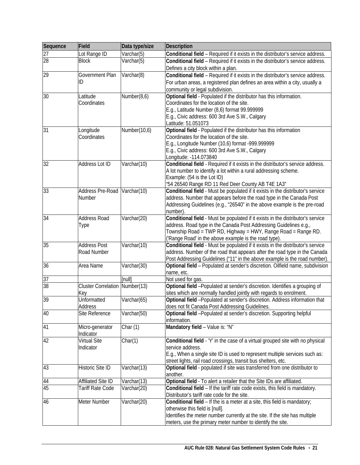| Sequence | Field                      | Data type/size | <b>Description</b>                                                              |
|----------|----------------------------|----------------|---------------------------------------------------------------------------------|
| 27       | Lot Range ID               | Varchar(5)     | Conditional field - Required if it exists in the distributor's service address. |
| 28       | <b>Block</b>               | Varchar(5)     | Conditional field - Required if it exists in the distributor's service address. |
|          |                            |                | Defines a city block within a plan.                                             |
| 29       | Government Plan            | Varchar(8)     | Conditional field - Required if it exists in the distributor's service address. |
|          | ID                         |                | For urban areas, a registered plan defines an area within a city, usually a     |
|          |                            |                | community or legal subdivision.                                                 |
| 30       | Latitude                   | Number(8,6)    | Optional field - Populated if the distributor has this information.             |
|          | Coordinates                |                | Coordinates for the location of the site.                                       |
|          |                            |                | E.g., Latitude Number (8,6) format 99.999999                                    |
|          |                            |                | E.g., Civic address: 600 3rd Ave S.W., Calgary                                  |
|          |                            |                | Latitude: 51.051073                                                             |
| 31       | Longitude                  | Number(10,6)   | Optional field - Populated if the distributor has this information              |
|          | Coordinates                |                | Coordinates for the location of the site.                                       |
|          |                            |                | E.g., Longitude Number (10,6) format -999.999999                                |
|          |                            |                | E.g., Civic address: 600 3rd Ave S.W., Calgary                                  |
|          |                            |                | Longitude: -114.073840                                                          |
| 32       | Address Lot ID             | Varchar(10)    | Conditional field - Required if it exists in the distributor's service address. |
|          |                            |                | A lot number to identify a lot within a rural addressing scheme.                |
|          |                            |                | Example: (54 is the Lot ID)                                                     |
|          |                            |                | "54 26540 Range RD 11 Red Deer County AB T4E 1A3"                               |
| 33       | Address Pre-Road           | Varchar(10)    | Conditional field - Must be populated if it exists in the distributor's service |
|          | Number                     |                | address. Number that appears before the road type in the Canada Post            |
|          |                            |                | Addressing Guidelines (e.g., "26540" in the above example is the pre-road       |
|          |                            |                | number).                                                                        |
| 34       | <b>Address Road</b>        | Varchar(20)    | Conditional field - Must be populated if it exists in the distributor's service |
|          | Type                       |                | address. Road type in the Canada Post Addressing Guidelines e.g.,               |
|          |                            |                | Township Road = TWP RD, Highway = HWY, Range Road = Range RD.                   |
|          |                            |                | ('Range Road' in the above example is the road type).                           |
| 35       | <b>Address Post</b>        | Varchar(10)    | Conditional field - Must be populated if it exists in the distributor's service |
|          | Road Number                |                | address. Number of the road that appears after the road type in the Canada      |
| 36       |                            |                | Post Addressing Guidelines ("11" in the above example is the road number).      |
|          | Area Name                  | Varchar(30)    | Optional field - Populated at sender's discretion. Oilfield name, subdivision   |
| 37       |                            | [null]         | name, etc.<br>Not used for gas.                                                 |
| 38       | <b>Cluster Correlation</b> | Number(13)     | Optional field -Populated at sender's discretion. Identifies a grouping of      |
|          | Key                        |                | sites which are normally handled jointly with regards to enrolment.             |
| 39       | Unformatted                | Varchar(65)    | Optional field -Populated at sender's discretion. Address information that      |
|          | Address                    |                | does not fit Canada Post Addressing Guidelines.                                 |
| 40       | Site Reference             | Varchar(50)    | Optional field -Populated at sender's discretion. Supporting helpful            |
|          |                            |                | information.                                                                    |
| 41       | Micro-generator            | Char $(1)$     | Mandatory field - Value is: "N"                                                 |
|          | Indicator                  |                |                                                                                 |
| 42       | Virtual Site               | Char(1)        | Conditional field - 'Y' in the case of a virtual grouped site with no physical  |
|          | Indicator                  |                | service address.                                                                |
|          |                            |                | E.g., When a single site ID is used to represent multiple services such as:     |
|          |                            |                | street lights, rail road crossings, transit bus shelters, etc.                  |
| 43       | Historic Site ID           | Varchar(13)    | Optional field - populated if site was transferred from one distributor to      |
|          |                            |                | another.                                                                        |
| 44       | <b>Affiliated Site ID</b>  | Varchar(13)    | Optional field - To alert a retailer that the Site IDs are affiliated.          |
| 45       | Tariff Rate Code           | Varchar(20)    | Conditional field - If the tariff rate code exists, this field is mandatory.    |
|          |                            |                | Distributor's tariff rate code for the site.                                    |
| 46       | Meter Number               | Varchar(20)    | Conditional field - If the is a meter at a site, this field is mandatory;       |
|          |                            |                | otherwise this field is [null].                                                 |
|          |                            |                | Identifies the meter number currently at the site. If the site has multiple     |
|          |                            |                | meters, use the primary meter number to identify the site.                      |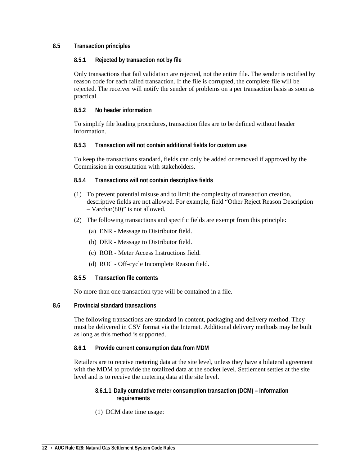## <span id="page-27-1"></span><span id="page-27-0"></span>**8.5 Transaction principles**

## **8.5.1 Rejected by transaction not by file**

Only transactions that fail validation are rejected, not the entire file. The sender is notified by reason code for each failed transaction. If the file is corrupted, the complete file will be rejected. The receiver will notify the sender of problems on a per transaction basis as soon as practical.

## <span id="page-27-2"></span>**8.5.2 No header information**

To simplify file loading procedures, transaction files are to be defined without header information.

## <span id="page-27-3"></span>**8.5.3 Transaction will not contain additional fields for custom use**

To keep the transactions standard, fields can only be added or removed if approved by the Commission in consultation with stakeholders.

## <span id="page-27-4"></span>**8.5.4 Transactions will not contain descriptive fields**

- (1) To prevent potential misuse and to limit the complexity of transaction creation, descriptive fields are not allowed. For example, field "Other Reject Reason Description – Varchar(80)" is not allowed.
- (2) The following transactions and specific fields are exempt from this principle:
	- (a) ENR Message to Distributor field.
	- (b) DER Message to Distributor field.
	- (c) ROR Meter Access Instructions field.
	- (d) ROC Off-cycle Incomplete Reason field.

## <span id="page-27-5"></span>**8.5.5 Transaction file contents**

No more than one transaction type will be contained in a file.

## <span id="page-27-6"></span>**8.6 Provincial standard transactions**

The following transactions are standard in content, packaging and delivery method. They must be delivered in CSV format via the Internet. Additional delivery methods may be built as long as this method is supported.

## <span id="page-27-7"></span>**8.6.1 Provide current consumption data from MDM**

<span id="page-27-8"></span>Retailers are to receive metering data at the site level, unless they have a bilateral agreement with the MDM to provide the totalized data at the socket level. Settlement settles at the site level and is to receive the metering data at the site level.

## **8.6.1.1 Daily cumulative meter consumption transaction (DCM) – information requirements**

(1) DCM date time usage: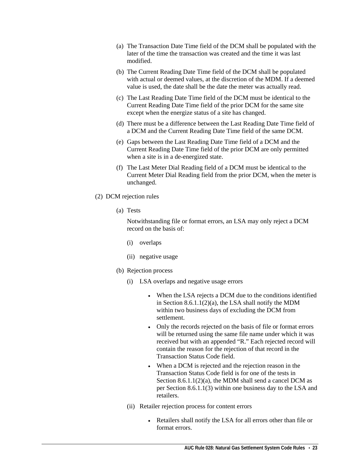- (a) The Transaction Date Time field of the DCM shall be populated with the later of the time the transaction was created and the time it was last modified.
- (b) The Current Reading Date Time field of the DCM shall be populated with actual or deemed values, at the discretion of the MDM. If a deemed value is used, the date shall be the date the meter was actually read.
- (c) The Last Reading Date Time field of the DCM must be identical to the Current Reading Date Time field of the prior DCM for the same site except when the energize status of a site has changed.
- (d) There must be a difference between the Last Reading Date Time field of a DCM and the Current Reading Date Time field of the same DCM.
- (e) Gaps between the Last Reading Date Time field of a DCM and the Current Reading Date Time field of the prior DCM are only permitted when a site is in a de-energized state.
- (f) The Last Meter Dial Reading field of a DCM must be identical to the Current Meter Dial Reading field from the prior DCM, when the meter is unchanged.
- (2) DCM rejection rules
	- (a) Tests

Notwithstanding file or format errors, an LSA may only reject a DCM record on the basis of:

- (i) overlaps
- (ii) negative usage
- (b) Rejection process
	- (i) LSA overlaps and negative usage errors
		- When the LSA rejects a DCM due to the conditions identified in Section  $8.6.1.1(2)(a)$ , the LSA shall notify the MDM within two business days of excluding the DCM from settlement.
		- Only the records rejected on the basis of file or format errors will be returned using the same file name under which it was received but with an appended "R." Each rejected record will contain the reason for the rejection of that record in the Transaction Status Code field.
		- When a DCM is rejected and the rejection reason in the Transaction Status Code field is for one of the tests in Section 8.6.1.1(2)(a), the MDM shall send a cancel DCM as per Section 8.6.1.1(3) within one business day to the LSA and retailers.
	- (ii) Retailer rejection process for content errors
		- Retailers shall notify the LSA for all errors other than file or format errors.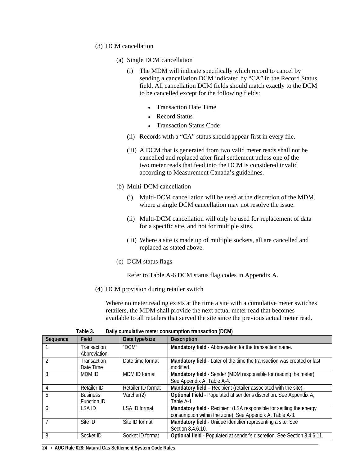- (3) DCM cancellation
	- (a) Single DCM cancellation
		- (i) The MDM will indicate specifically which record to cancel by sending a cancellation DCM indicated by "CA" in the Record Status field. All cancellation DCM fields should match exactly to the DCM to be cancelled except for the following fields:
			- Transaction Date Time
			- Record Status
			- Transaction Status Code
		- (ii) Records with a "CA" status should appear first in every file.
		- (iii) A DCM that is generated from two valid meter reads shall not be cancelled and replaced after final settlement unless one of the two meter reads that feed into the DCM is considered invalid according to Measurement Canada's guidelines.
	- (b) Multi-DCM cancellation
		- (i) Multi-DCM cancellation will be used at the discretion of the MDM, where a single DCM cancellation may not resolve the issue.
		- (ii) Multi-DCM cancellation will only be used for replacement of data for a specific site, and not for multiple sites.
		- (iii) Where a site is made up of multiple sockets, all are cancelled and replaced as stated above.
	- (c) DCM status flags

Refer to Table A-6 DCM status flag codes in Appendix A.

(4) DCM provision during retailer switch

Where no meter reading exists at the time a site with a cumulative meter switches retailers, the MDM shall provide the next actual meter read that becomes available to all retailers that served the site since the previous actual meter read.

<span id="page-29-0"></span>

| Sequence | Field           | Data type/size       | <b>Description</b>                                                       |  |
|----------|-----------------|----------------------|--------------------------------------------------------------------------|--|
|          | Transaction     | "DCM"                | Mandatory field - Abbreviation for the transaction name.                 |  |
|          | Abbreviation    |                      |                                                                          |  |
|          | Transaction     | Date time format     | Mandatory field - Later of the time the transaction was created or last  |  |
|          | Date Time       |                      | modified.                                                                |  |
| 3        | <b>MDM ID</b>   | MDM ID format        | Mandatory field - Sender (MDM responsible for reading the meter).        |  |
|          |                 |                      | See Appendix A, Table A-4.                                               |  |
| 4        | Retailer ID     | Retailer ID format   | Mandatory field - Recipient (retailer associated with the site).         |  |
| 5        | <b>Business</b> | Varchar $(2)$        | Optional Field - Populated at sender's discretion. See Appendix A,       |  |
|          | Function ID     |                      | Table A-1.                                                               |  |
| 6        | LSA ID          | <b>LSA ID format</b> | Mandatory field - Recipient (LSA responsible for settling the energy     |  |
|          |                 |                      | consumption within the zone). See Appendix A, Table A-3.                 |  |
|          | Site ID         | Site ID format       | Mandatory field - Unique identifier representing a site. See             |  |
|          |                 |                      | Section 8.4.6.10.                                                        |  |
| 8        | Socket ID       | Socket ID format     | Optional field - Populated at sender's discretion. See Section 8.4.6.11. |  |

| Table 3. |  | Daily cumulative meter consumption transaction (DCM) |  |  |  |
|----------|--|------------------------------------------------------|--|--|--|
|----------|--|------------------------------------------------------|--|--|--|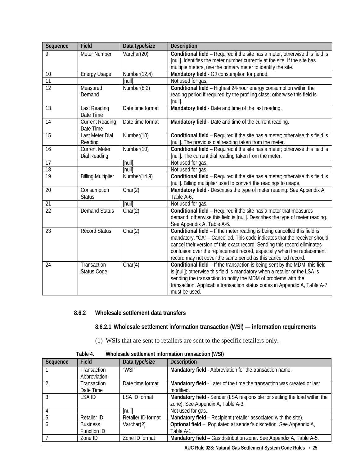| Sequence        | Field                               | Data type/size   | Description                                                                   |
|-----------------|-------------------------------------|------------------|-------------------------------------------------------------------------------|
| 9               | Meter Number                        | Varchar(20)      | Conditional field - Required if the site has a meter; otherwise this field is |
|                 |                                     |                  | [null]. Identifies the meter number currently at the site. If the site has    |
|                 |                                     |                  | multiple meters, use the primary meter to identify the site.                  |
| 10              | <b>Energy Usage</b>                 | Number(12,4)     | Mandatory field - GJ consumption for period.                                  |
| 11              |                                     | [null]           | Not used for gas.                                                             |
| $\overline{12}$ | Measured                            | Number(8,2)      | Conditional field - Highest 24-hour energy consumption within the             |
|                 | Demand                              |                  | reading period if required by the profiling class; otherwise this field is    |
|                 |                                     |                  | $[null]$ .                                                                    |
| 13              | Last Reading<br>Date Time           | Date time format | Mandatory field - Date and time of the last reading.                          |
| 14              | <b>Current Reading</b><br>Date Time | Date time format | Mandatory field - Date and time of the current reading.                       |
| 15              | Last Meter Dial                     | Number(10)       | Conditional field - Required if the site has a meter; otherwise this field is |
|                 | Reading                             |                  | [null]. The previous dial reading taken from the meter.                       |
| 16              | <b>Current Meter</b>                | Number(10)       | Conditional field - Required if the site has a meter; otherwise this field is |
|                 | Dial Reading                        |                  | [null]. The current dial reading taken from the meter.                        |
| $\overline{17}$ |                                     | [null]           | Not used for gas.                                                             |
| 18              |                                     | [null]           | Not used for gas.                                                             |
| $\overline{19}$ | <b>Billing Multiplier</b>           | Number(14,9)     | Conditional field - Required if the site has a meter; otherwise this field is |
|                 |                                     |                  | [null]. Billing multiplier used to convert the readings to usage.             |
| 20              | Consumption                         | Char(2)          | Mandatory field - Describes the type of meter reading. See Appendix A,        |
|                 | <b>Status</b>                       |                  | Table A-6.                                                                    |
| 21              |                                     | [null]           | Not used for gas.                                                             |
| $\overline{22}$ | <b>Demand Status</b>                | Char(2)          | Conditional field - Required if the site has a meter that measures            |
|                 |                                     |                  | demand; otherwise this field is [null]. Describes the type of meter reading.  |
|                 |                                     |                  | See Appendix A, Table A-6.                                                    |
| 23              | <b>Record Status</b>                | Char(2)          | Conditional field - If the meter reading is being cancelled this field is     |
|                 |                                     |                  | mandatory. "CA" - Cancelled. This code indicates that the receiver should     |
|                 |                                     |                  | cancel their version of this exact record. Sending this record eliminates     |
|                 |                                     |                  | confusion over the replacement record, especially when the replacement        |
|                 |                                     |                  | record may not cover the same period as this cancelled record.                |
| 24              | Transaction                         | Char(4)          | Conditional field - If the transaction is being sent by the MDM, this field   |
|                 | <b>Status Code</b>                  |                  | is [null]; otherwise this field is mandatory when a retailer or the LSA is    |
|                 |                                     |                  | sending the transaction to notify the MDM of problems with the                |
|                 |                                     |                  | transaction. Applicable transaction status codes in Appendix A, Table A-7     |
|                 |                                     |                  | must be used.                                                                 |

## <span id="page-30-1"></span><span id="page-30-0"></span>**8.6.2 Wholesale settlement data transfers**

**8.6.2.1 Wholesale settlement information transaction (WSI) — information requirements**

(1) WSIs that are sent to retailers are sent to the specific retailers only.

<span id="page-30-2"></span>

| Sequence | Field           | Data type/size       | <b>Description</b>                                                         |
|----------|-----------------|----------------------|----------------------------------------------------------------------------|
|          | Transaction     | "WSI"                | Mandatory field - Abbreviation for the transaction name.                   |
|          | Abbreviation    |                      |                                                                            |
|          | Transaction     | Date time format     | Mandatory field - Later of the time the transaction was created or last    |
|          | Date Time       |                      | modified.                                                                  |
|          | LSA ID          | <b>LSA ID format</b> | Mandatory field - Sender (LSA responsible for settling the load within the |
|          |                 |                      | zone). See Appendix A, Table A-3.                                          |
|          |                 | [null]               | Not used for gas.                                                          |
|          | Retailer ID     | Retailer ID format   | Mandatory field - Recipient (retailer associated with the site).           |
| h        | <b>Business</b> | Varchar $(2)$        | Optional field - Populated at sender's discretion. See Appendix A,         |
|          | Function ID     |                      | Table A-1.                                                                 |
|          | Zone ID         | Zone ID format       | Mandatory field - Gas distribution zone. See Appendix A, Table A-5.        |

**Table 4. Wholesale settlement information transaction (WSI)**

**AUC Rule 028: Natural Gas Settlement System Code Rules** • **25**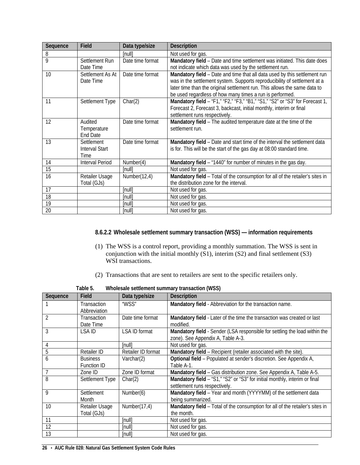| Sequence | Field                                       | Data type/size   | <b>Description</b>                                                                                                                                                                                                                                                                              |
|----------|---------------------------------------------|------------------|-------------------------------------------------------------------------------------------------------------------------------------------------------------------------------------------------------------------------------------------------------------------------------------------------|
| 8        |                                             | [null]           | Not used for gas.                                                                                                                                                                                                                                                                               |
| 9        | Settlement Run<br>Date Time                 | Date time format | Mandatory field - Date and time settlement was initiated. This date does<br>not indicate which data was used by the settlement run.                                                                                                                                                             |
| 10       | Settlement As At<br>Date Time               | Date time format | Mandatory field - Date and time that all data used by this settlement run<br>was in the settlement system. Supports reproducibility of settlement at a<br>later time than the original settlement run. This allows the same data to<br>be used regardless of how many times a run is performed. |
| 11       | Settlement Type                             | Char(2)          | Mandatory field - "F1," "F2," "F3," "B1," "S1," "S2" or "S3" for Forecast 1,<br>Forecast 2, Forecast 3, backcast, initial monthly, interim or final<br>settlement runs respectively.                                                                                                            |
| 12       | Audited<br>Temperature<br><b>End Date</b>   | Date time format | Mandatory field - The audited temperature date at the time of the<br>settlement run.                                                                                                                                                                                                            |
| 13       | Settlement<br><b>Interval Start</b><br>Time | Date time format | Mandatory field - Date and start time of the interval the settlement data<br>is for. This will be the start of the gas day at 08:00 standard time.                                                                                                                                              |
| 14       | <b>Interval Period</b>                      | Number(4)        | Mandatory field - "1440" for number of minutes in the gas day.                                                                                                                                                                                                                                  |
| 15       |                                             | [null]           | Not used for gas.                                                                                                                                                                                                                                                                               |
| 16       | Retailer Usage<br>Total (GJs)               | Number(12,4)     | Mandatory field - Total of the consumption for all of the retailer's sites in<br>the distribution zone for the interval.                                                                                                                                                                        |
| 17       |                                             | [null]           | Not used for gas.                                                                                                                                                                                                                                                                               |
| 18       |                                             | [null]           | Not used for gas.                                                                                                                                                                                                                                                                               |
| 19       |                                             | [null]           | Not used for gas.                                                                                                                                                                                                                                                                               |
| 20       |                                             | [null]           | Not used for gas.                                                                                                                                                                                                                                                                               |

## <span id="page-31-0"></span>**8.6.2.2 Wholesale settlement summary transaction (WSS) — information requirements**

- (1) The WSS is a control report, providing a monthly summation. The WSS is sent in conjunction with the initial monthly  $(S1)$ , interim  $(S2)$  and final settlement  $(S3)$ WSI transactions.
- (2) Transactions that are sent to retailers are sent to the specific retailers only.

<span id="page-31-1"></span>

| Sequence       | Field              | Data type/size              | <b>Description</b>                                                            |
|----------------|--------------------|-----------------------------|-------------------------------------------------------------------------------|
|                | Transaction        | "WSS"                       | Mandatory field - Abbreviation for the transaction name.                      |
|                | Abbreviation       |                             |                                                                               |
| $\mathfrak{D}$ | <b>Transaction</b> | Date time format            | Mandatory field - Later of the time the transaction was created or last       |
|                | Date Time          |                             | modified.                                                                     |
| 3              | LSA ID             | LSA ID format               | Mandatory field - Sender (LSA responsible for settling the load within the    |
|                |                    |                             | zone). See Appendix A, Table A-3.                                             |
| 4              |                    | <i><u><b>Inull</b></u></i>  | Not used for gas.                                                             |
| 5              | Retailer ID        | Retailer ID format          | Mandatory field - Recipient (retailer associated with the site).              |
| 6              | <b>Business</b>    | Varchar(2)                  | Optional field - Populated at sender's discretion. See Appendix A,            |
|                | <b>Function ID</b> |                             | Table A-1.                                                                    |
|                | Zone ID            | Zone ID format              | Mandatory field - Gas distribution zone. See Appendix A, Table A-5.           |
| 8              | Settlement Type    | Char(2)                     | Mandatory field - "S1," "S2" or "S3" for initial monthly, interim or final    |
|                |                    |                             | settlement runs respectively.                                                 |
| 9              | Settlement         | Number(6)                   | Mandatory field - Year and month (YYYYMM) of the settlement data              |
|                | Month              |                             | being summarized.                                                             |
| 10             | Retailer Usage     | Number(17,4)                | Mandatory field - Total of the consumption for all of the retailer's sites in |
|                | Total (GJs)        |                             | the month.                                                                    |
| 11             |                    | <i><u><b>Inull</b></u></i>  | Not used for gas.                                                             |
| 12             |                    | [null]                      | Not used for gas.                                                             |
| 13             |                    | <i><u><b>Inulli</b></u></i> | Not used for gas.                                                             |

**Table 5. Wholesale settlement summary transaction (WSS)**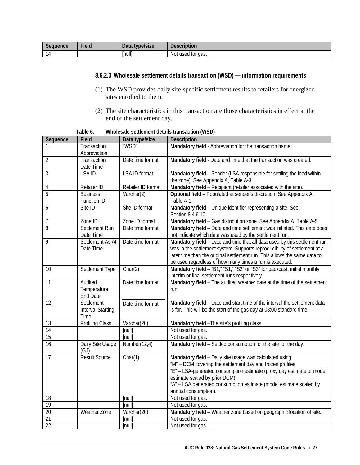<span id="page-32-0"></span>

| $\sim$   | $-1$  | Data                      | $\blacksquare$            |
|----------|-------|---------------------------|---------------------------|
| Seauence | Field | type/size                 | <b>Description</b>        |
|          |       | m<br>$\vert$ null $\vert$ | Not<br>. used for<br>aas. |

## **8.6.2.3 Wholesale settlement details transaction (WSD) — information requirements**

- (1) The WSD provides daily site-specific settlement results to retailers for energized sites enrolled to them.
- (2) The site characteristics in this transaction are those characteristics in effect at the end of the settlement day.

**Table 6. Wholesale settlement details transaction (WSD)**

<span id="page-32-1"></span>

| Sequence        | Field                                          | Data type/size       | <b>Description</b>                                                                                                                                                                                                                                                                                                            |
|-----------------|------------------------------------------------|----------------------|-------------------------------------------------------------------------------------------------------------------------------------------------------------------------------------------------------------------------------------------------------------------------------------------------------------------------------|
| 1               | Transaction                                    | "WSD"                | Mandatory field - Abbreviation for the transaction name.                                                                                                                                                                                                                                                                      |
|                 | Abbreviation                                   |                      |                                                                                                                                                                                                                                                                                                                               |
| $\overline{2}$  | Transaction<br>Date Time                       | Date time format     | Mandatory field - Date and time that the transaction was created.                                                                                                                                                                                                                                                             |
| 3               | LSA ID                                         | <b>LSA ID format</b> | Mandatory field - Sender (LSA responsible for settling the load within<br>the zone). See Appendix A, Table A-3.                                                                                                                                                                                                               |
| 4               | Retailer ID                                    | Retailer ID format   | Mandatory field - Recipient (retailer associated with the site).                                                                                                                                                                                                                                                              |
| 5               | <b>Business</b><br>Function ID                 | Varchar(2)           | Optional field - Populated at sender's discretion. See Appendix A,<br>Table A-1.                                                                                                                                                                                                                                              |
| 6               | Site ID                                        | Site ID format       | Mandatory field - Unique identifier representing a site. See<br>Section 8.4.6.10.                                                                                                                                                                                                                                             |
| 7               | Zone ID                                        | Zone ID format       | Mandatory field - Gas distribution zone. See Appendix A, Table A-5.                                                                                                                                                                                                                                                           |
| 8               | Settlement Run<br>Date Time                    | Date time format     | Mandatory field - Date and time settlement was initiated. This date does<br>not indicate which data was used by the settlement run.                                                                                                                                                                                           |
| 9               | Settlement As At<br>Date Time                  | Date time format     | Mandatory field - Date and time that all data used by this settlement run<br>was in the settlement system. Supports reproducibility of settlement at a<br>later time than the original settlement run. This allows the same data to<br>be used regardless of how many times a run is executed.                                |
| 10              | Settlement Type                                | Char(2)              | Mandatory field - "B1," "S1," "S2" or "S3" for backcast, initial monthly,<br>interim or final settlement runs respectively.                                                                                                                                                                                                   |
| 11              | Audited<br>Temperature<br>End Date             | Date time format     | Mandatory field - The audited weather date at the time of the settlement<br>run.                                                                                                                                                                                                                                              |
| 12              | Settlement<br><b>Interval Starting</b><br>Time | Date time format     | Mandatory field - Date and start time of the interval the settlement data<br>is for. This will be the start of the gas day at 08:00 standard time.                                                                                                                                                                            |
| 13              | <b>Profiling Class</b>                         | Varchar(20)          | Mandatory field - The site's profiling class.                                                                                                                                                                                                                                                                                 |
| $\overline{14}$ |                                                | [null]               | Not used for gas.                                                                                                                                                                                                                                                                                                             |
| 15              |                                                | [null]               | Not used for gas.                                                                                                                                                                                                                                                                                                             |
| 16              | Daily Site Usage<br>(GJ)                       | Number(12,4)         | Mandatory field - Settled consumption for the site for the day.                                                                                                                                                                                                                                                               |
| 17              | <b>Result Source</b>                           | Char(1)              | Mandatory field - Daily site usage was calculated using:<br>"M" - DCM covering the settlement day and frozen profiles<br>"E" - LSA-generated consumption estimate (proxy day estimate or model<br>estimate scaled by prior DCM)<br>"A" - LSA generated consumption estimate (model estimate scaled by<br>annual consumption). |
| 18              |                                                | [null]               | Not used for gas.                                                                                                                                                                                                                                                                                                             |
| 19              |                                                | [null]               | Not used for gas.                                                                                                                                                                                                                                                                                                             |
| 20              | Weather Zone                                   | Varchar(20)          | Mandatory field - Weather zone based on geographic location of site.                                                                                                                                                                                                                                                          |
| 21              |                                                | [null]               | Not used for gas.                                                                                                                                                                                                                                                                                                             |
| $\overline{22}$ |                                                | [null]               | Not used for gas.                                                                                                                                                                                                                                                                                                             |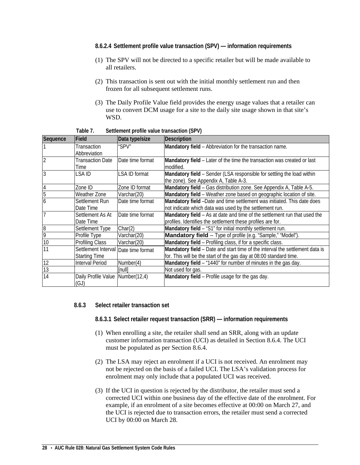- <span id="page-33-0"></span>**8.6.2.4 Settlement profile value transaction (SPV) — information requirements**
- (1) The SPV will not be directed to a specific retailer but will be made available to all retailers.
- (2) This transaction is sent out with the initial monthly settlement run and then frozen for all subsequent settlement runs.
- (3) The Daily Profile Value field provides the energy usage values that a retailer can use to convert DCM usage for a site to the daily site usage shown in that site's WSD.

<span id="page-33-3"></span>

| Sequence        | Field                                | Data type/size   | Description                                                                                                     |
|-----------------|--------------------------------------|------------------|-----------------------------------------------------------------------------------------------------------------|
|                 | Transaction                          | "SPV"            | Mandatory field - Abbreviation for the transaction name.                                                        |
|                 | Abbreviation                         |                  |                                                                                                                 |
| $\overline{2}$  | Transaction Date                     | Date time format | Mandatory field - Later of the time the transaction was created or last                                         |
|                 | Time                                 |                  | modified.                                                                                                       |
| $\overline{3}$  | LSA ID                               | LSA ID format    | Mandatory field - Sender (LSA responsible for settling the load within<br>the zone). See Appendix A, Table A-3. |
| $\overline{4}$  | Zone ID                              | Zone ID format   | Mandatory field - Gas distribution zone. See Appendix A, Table A-5.                                             |
| 5               | Weather Zone                         | Varchar(20)      | Mandatory field - Weather zone based on geographic location of site.                                            |
| 6               | Settlement Run                       | Date time format | Mandatory field -Date and time settlement was initiated. This date does                                         |
|                 | Date Time                            |                  | not indicate which data was used by the settlement run.                                                         |
|                 | Settlement As At                     | Date time format | Mandatory field - As at date and time of the settlement run that used the                                       |
|                 | Date Time                            |                  | profiles. Identifies the settlement these profiles are for.                                                     |
| 8               | Settlement Type                      | Char(2)          | Mandatory field - "S1" for initial monthly settlement run.                                                      |
| 9               | Profile Type                         | Varchar(20)      | <b>Mandatory field</b> - Type of profile (e.g. "Sample," "Model").                                              |
| 10              | Profiling Class                      | Varchar(20)      | Mandatory field - Profiling class, if for a specific class.                                                     |
| 11              | Settlement Interval Date time format |                  | Mandatory field - Date and start time of the interval the settlement data is                                    |
|                 | <b>Starting Time</b>                 |                  | for. This will be the start of the gas day at 08:00 standard time.                                              |
| 12              | Interval Period                      | Number(4)        | Mandatory field - "1440" for number of minutes in the gas day.                                                  |
| $\overline{13}$ |                                      | [null]           | Not used for gas.                                                                                               |
| 14              | Daily Profile Value Number(12,4)     |                  | Mandatory field - Profile usage for the gas day.                                                                |
|                 | (GJ)                                 |                  |                                                                                                                 |

**Table 7. Settlement profile value transaction (SPV)**

## <span id="page-33-2"></span><span id="page-33-1"></span>**8.6.3 Select retailer transaction set**

**8.6.3.1 Select retailer request transaction (SRR) — information requirements**

- (1) When enrolling a site, the retailer shall send an SRR, along with an update customer information transaction (UCI) as detailed in Section 8.6.4. The UCI must be populated as per Section 8.6.4.
- (2) The LSA may reject an enrolment if a UCI is not received. An enrolment may not be rejected on the basis of a failed UCI. The LSA's validation process for enrolment may only include that a populated UCI was received.
- (3) If the UCI in question is rejected by the distributor, the retailer must send a corrected UCI within one business day of the effective date of the enrolment. For example, if an enrolment of a site becomes effective at 00:00 on March 27, and the UCI is rejected due to transaction errors, the retailer must send a corrected UCI by 00:00 on March 28.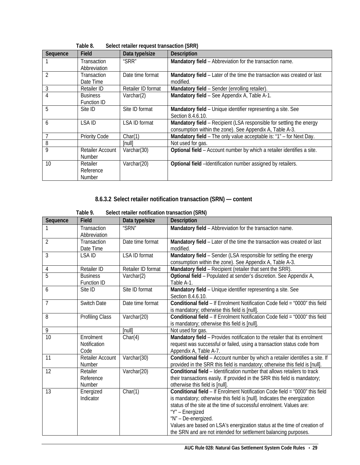<span id="page-34-1"></span>

|                | i abie 8.            | Select retailer request transaction (SRR) |                                                                         |
|----------------|----------------------|-------------------------------------------|-------------------------------------------------------------------------|
| Sequence       | Field                | Data type/size                            | <b>Description</b>                                                      |
|                | Transaction          | "SRR"                                     | Mandatory field - Abbreviation for the transaction name.                |
|                | Abbreviation         |                                           |                                                                         |
| $\overline{2}$ | Transaction          | Date time format                          | Mandatory field - Later of the time the transaction was created or last |
|                | Date Time            |                                           | modified.                                                               |
| 3              | Retailer ID          | Retailer ID format                        | Mandatory field - Sender (enrolling retailer).                          |
| 4              | <b>Business</b>      | Varchar(2)                                | Mandatory field - See Appendix A, Table A-1.                            |
|                | Function ID          |                                           |                                                                         |
| 5              | Site ID              | Site ID format                            | Mandatory field - Unique identifier representing a site. See            |
|                |                      |                                           | Section 8.4.6.10.                                                       |
| 6              | LSA ID               | <b>LSA ID format</b>                      | Mandatory field - Recipient (LSA responsible for settling the energy    |
|                |                      |                                           | consumption within the zone). See Appendix A, Table A-3.                |
| 7              | <b>Priority Code</b> | Char(1)                                   | Mandatory field - The only value acceptable is: "1" - for Next Day.     |
| 8              |                      | [null]                                    | Not used for gas.                                                       |
| 9              | Retailer Account     | Varchar(30)                               | Optional field - Account number by which a retailer identifies a site.  |
|                | <b>Number</b>        |                                           |                                                                         |
| 10             | Retailer             | Varchar(20)                               | Optional field -Identification number assigned by retailers.            |
|                | Reference            |                                           |                                                                         |
|                | <b>Number</b>        |                                           |                                                                         |

# **Table 8. Select retailer request transaction (SRR)**

## **8.6.3.2 Select retailer notification transaction (SRN) — content**

<span id="page-34-2"></span><span id="page-34-0"></span>

|                | Table 9.                          | Select retailer notification transaction (SRN) |                                                                                                                                                                                                                                                                                                                                                                                                                          |
|----------------|-----------------------------------|------------------------------------------------|--------------------------------------------------------------------------------------------------------------------------------------------------------------------------------------------------------------------------------------------------------------------------------------------------------------------------------------------------------------------------------------------------------------------------|
| Sequence       | Field                             | Data type/size                                 | <b>Description</b>                                                                                                                                                                                                                                                                                                                                                                                                       |
| 1              | Transaction<br>Abbreviation       | "SRN"                                          | Mandatory field - Abbreviation for the transaction name.                                                                                                                                                                                                                                                                                                                                                                 |
| 2              | Transaction<br>Date Time          | Date time format                               | Mandatory field - Later of the time the transaction was created or last<br>modified.                                                                                                                                                                                                                                                                                                                                     |
| 3              | <b>LSAID</b>                      | <b>LSA ID format</b>                           | Mandatory field - Sender (LSA responsible for settling the energy<br>consumption within the zone). See Appendix A, Table A-3.                                                                                                                                                                                                                                                                                            |
| 4              | Retailer ID                       | Retailer ID format                             | Mandatory field - Recipient (retailer that sent the SRR).                                                                                                                                                                                                                                                                                                                                                                |
| $\overline{5}$ | <b>Business</b><br>Function ID    | Varchar(2)                                     | Optional field - Populated at sender's discretion. See Appendix A,<br>Table A-1.                                                                                                                                                                                                                                                                                                                                         |
| 6              | Site ID                           | Site ID format                                 | Mandatory field - Unique identifier representing a site. See<br>Section 8.4.6.10.                                                                                                                                                                                                                                                                                                                                        |
| 7              | Switch Date                       | Date time format                               | Conditional field - If Enrolment Notification Code field = "0000" this field<br>is mandatory; otherwise this field is [null].                                                                                                                                                                                                                                                                                            |
| 8              | Profiling Class                   | Varchar(20)                                    | Conditional field - If Enrolment Notification Code field = "0000" this field<br>is mandatory; otherwise this field is [null].                                                                                                                                                                                                                                                                                            |
| 9              |                                   | [null]                                         | Not used for gas.                                                                                                                                                                                                                                                                                                                                                                                                        |
| 10             | Enrolment<br>Notification<br>Code | Char(4)                                        | Mandatory field - Provides notification to the retailer that its enrolment<br>request was successful or failed, using a transaction status code from<br>Appendix A, Table A-7.                                                                                                                                                                                                                                           |
| 11             | Retailer Account<br>Number        | Varchar(30)                                    | Conditional field - Account number by which a retailer identifies a site. If<br>provided in the SRR this field is mandatory; otherwise this field is [null].                                                                                                                                                                                                                                                             |
| 12             | Retailer<br>Reference<br>Number   | Varchar(20)                                    | Conditional field – Identification number that allows retailers to track<br>their transactions easily. If provided in the SRR this field is mandatory;<br>otherwise this field is [null].                                                                                                                                                                                                                                |
| 13             | Energized<br>Indicator            | Char(1)                                        | Conditional field - If Enrolment Notification Code field = "0000" this field<br>is mandatory; otherwise this field is [null]. Indicates the energization<br>status of the site at the time of successful enrolment. Values are:<br>"Y" - Energized<br>"N" - De-energized.<br>Values are based on LSA's energization status at the time of creation of<br>the SRN and are not intended for settlement balancing purposes. |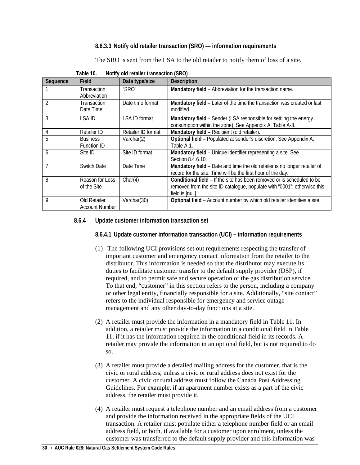## **8.6.3.3 Notify old retailer transaction (SRO) — information requirements**

The SRO is sent from the LSA to the old retailer to notify them of loss of a site.

<span id="page-35-3"></span><span id="page-35-0"></span>

| Sequence | Field                                 | Data type/size     | <b>Description</b>                                                                                                                                                     |
|----------|---------------------------------------|--------------------|------------------------------------------------------------------------------------------------------------------------------------------------------------------------|
|          | Transaction<br>Abbreviation           | "SRO"              | Mandatory field - Abbreviation for the transaction name.                                                                                                               |
|          | <b>Transaction</b><br>Date Time       | Date time format   | Mandatory field - Later of the time the transaction was created or last<br>modified.                                                                                   |
| 3        | LSA ID                                | LSA ID format      | Mandatory field - Sender (LSA responsible for settling the energy<br>consumption within the zone). See Appendix A, Table A-3.                                          |
| 4        | <b>Retailer ID</b>                    | Retailer ID format | Mandatory field - Recipient (old retailer).                                                                                                                            |
| 5        | <b>Business</b><br><b>Function ID</b> | Varchar(2)         | Optional field - Populated at sender's discretion. See Appendix A,<br>Table A-1.                                                                                       |
| 6        | Site ID                               | Site ID format     | Mandatory field - Unique identifier representing a site. See<br>Section 8.4.6.10.                                                                                      |
|          | Switch Date                           | Date Time          | Mandatory field - Date and time the old retailer is no longer retailer of<br>record for the site. Time will be the first hour of the day.                              |
| 8        | Reason for Loss<br>of the Site        | Char(4)            | Conditional field – If the site has been removed or is scheduled to be<br>removed from the site ID catalogue, populate with "0001"; otherwise this<br>field is [null]. |
| 9        | Old Retailer<br><b>Account Number</b> | Varchar(30)        | Optional field - Account number by which old retailer identifies a site.                                                                                               |

| Table 10. | Notify old retailer transaction (SRO) |
|-----------|---------------------------------------|
|-----------|---------------------------------------|

## <span id="page-35-2"></span><span id="page-35-1"></span>**8.6.4 Update customer information transaction set**

**8.6.4.1 Update customer information transaction (UCI) – information requirements**

- (1) The following UCI provisions set out requirements respecting the transfer of important customer and emergency contact information from the retailer to the distributor. This information is needed so that the distributor may execute its duties to facilitate customer transfer to the default supply provider (DSP), if required, and to permit safe and secure operation of the gas distribution service. To that end, "customer" in this section refers to the person, including a company or other legal entity, financially responsible for a site. Additionally, "site contact" refers to the individual responsible for emergency and service outage management and any other day-to-day functions at a site.
- (2) A retailer must provide the information in a mandatory field in Table 11. In addition, a retailer must provide the information in a conditional field in Table 11, if it has the information required in the conditional field in its records. A retailer may provide the information in an optional field, but is not required to do so.
- (3) A retailer must provide a detailed mailing address for the customer, that is the civic or rural address, unless a civic or rural address does not exist for the customer. A civic or rural address must follow the Canada Post Addressing Guidelines. For example, if an apartment number exists as a part of the civic address, the retailer must provide it.
- (4) A retailer must request a telephone number and an email address from a customer and provide the information received in the appropriate fields of the UCI transaction. A retailer must populate either a telephone number field or an email address field, or both, if available for a customer upon enrolment, unless the customer was transferred to the default supply provider and this information was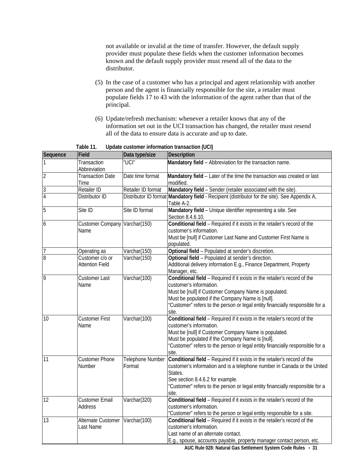not available or invalid at the time of transfer. However, the default supply provider must populate these fields when the customer information becomes known and the default supply provider must resend all of the data to the distributor.

- (5) In the case of a customer who has a principal and agent relationship with another person and the agent is financially responsible for the site, a retailer must populate fields 17 to 43 with the information of the agent rather than that of the principal.
- (6) Update/refresh mechanism: whenever a retailer knows that any of the information set out in the UCI transaction has changed, the retailer must resend all of the data to ensure data is accurate and up to date.

**Table 11. Update customer information transaction (UCI)**

<span id="page-36-0"></span>

| Sequence       | Field                                     | Data type/size             | <b>Description</b>                                                                                                                                                                                                                                                                                          |
|----------------|-------------------------------------------|----------------------------|-------------------------------------------------------------------------------------------------------------------------------------------------------------------------------------------------------------------------------------------------------------------------------------------------------------|
|                | Transaction<br>Abbreviation               | "UCI"                      | Mandatory field - Abbreviation for the transaction name.                                                                                                                                                                                                                                                    |
| $\overline{2}$ | <b>Transaction Date</b><br>Time           | Date time format           | Mandatory field - Later of the time the transaction was created or last<br>modified.                                                                                                                                                                                                                        |
| $\mathfrak{Z}$ | Retailer ID                               | Retailer ID format         | Mandatory field - Sender (retailer associated with the site)                                                                                                                                                                                                                                                |
| $\overline{4}$ | Distributor ID                            | Distributor ID format      | Mandatory field - Recipient (distributor for the site). See Appendix A,<br>Table A-2.                                                                                                                                                                                                                       |
| 5              | Site ID                                   | Site ID format             | Mandatory field - Unique identifier representing a site. See<br>Section 8.4.6.10.                                                                                                                                                                                                                           |
| 6              | Customer Company Varchar(150)<br>Name     |                            | Conditional field - Required if it exists in the retailer's record of the<br>customer's information.<br>Must be [null] if Customer Last Name and Customer First Name is<br>populated.                                                                                                                       |
| $\overline{7}$ | Operating as                              | Varchar(150)               | Optional field - Populated at sender's discretion.                                                                                                                                                                                                                                                          |
| $\overline{8}$ | Customer c/o or<br><b>Attention Field</b> | Varchar(150)               | Optional field - Populated at sender's direction.<br>Additional delivery information E.g., Finance Department, Property<br>Manager, etc.                                                                                                                                                                    |
| 9              | <b>Customer Last</b><br>Name              | Varchar(100)               | Conditional field - Required if it exists in the retailer's record of the<br>customer's information.<br>Must be [null] if Customer Company Name is populated.<br>Must be populated if the Company Name is [null].<br>"Customer" refers to the person or legal entity financially responsible for a<br>site. |
| 10             | <b>Customer First</b><br>Name             | Varchar(100)               | Conditional field - Required if it exists in the retailer's record of the<br>customer's information.<br>Must be [null] if Customer Company Name is populated.<br>Must be populated if the Company Name is [null].<br>"Customer" refers to the person or legal entity financially responsible for a<br>site. |
| 11             | <b>Customer Phone</b><br><b>Number</b>    | Telephone Number<br>Format | Conditional field - Required if it exists in the retailer's record of the<br>customer's information and is a telephone number in Canada or the United<br>States.<br>See section 8.4.6.2 for example.<br>"Customer" refers to the person or legal entity financially responsible for a<br>site.              |
| 12             | <b>Customer Email</b><br>Address          | Varchar(320)               | Conditional field - Required if it exists in the retailer's record of the<br>customer's information.<br>"Customer" refers to the person or legal entity responsible for a site.                                                                                                                             |
| 13             | Alternate Customer<br>Last Name           | Varchar(100)               | Conditional field - Required if it exists in the retailer's record of the<br>customer's information.<br>Last name of an alternate contact.<br>E.g., spouse, accounts payable, property manager contact person, etc.                                                                                         |

**AUC Rule 028: Natural Gas Settlement System Code Rules** • **31**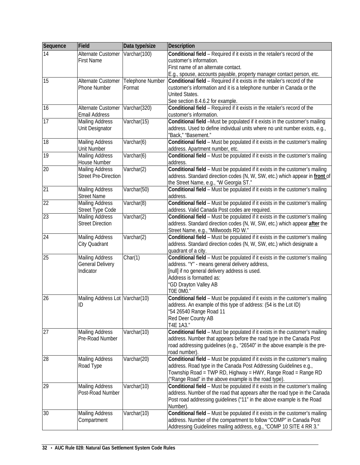| Varchar(100)<br>Conditional field - Required if it exists in the retailer's record of the<br>14<br>Alternate Customer<br><b>First Name</b><br>customer's information.<br>First name of an alternate contact.<br>E.g., spouse, accounts payable, property manager contact person, etc.<br>15<br>Telephone Number<br>Conditional field - Required if it exists in the retailer's record of the<br>Alternate Customer<br>Phone Number<br>Format<br>customer's information and it is a telephone number in Canada or the<br><b>United States.</b><br>See section 8.4.6.2 for example.<br>16<br>$\overline{V}$ archar(320)<br>Conditional field - Required if it exists in the retailer's record of the<br>Alternate Customer<br>Email Address<br>customer's information.<br>Conditional field -Must be populated if it exists in the customer's mailing<br>17<br>Varchar(15)<br><b>Mailing Address</b><br>Unit Designator<br>address. Used to define individual units where no unit number exists, e.g.,<br>"Back," "Basement."<br>Varchar(6)<br>Conditional field - Must be populated if it exists in the customer's mailing<br>18<br><b>Mailing Address</b><br><b>Unit Number</b><br>address. Apartment number, etc.<br>19<br>Varchar(6)<br>Conditional field - Must be populated if it exists in the customer's mailing<br><b>Mailing Address</b><br>House Number<br>address.<br>Conditional field - Must be populated if it exists in the customer's mailing<br>20<br><b>Mailing Address</b><br>Varchar(2)<br><b>Street Pre-Direction</b><br>address. Standard direction codes (N, W, SW, etc.) which appear in front of<br>the Street Name, e.g., "W Georgia ST."<br>21<br>Conditional field - Must be populated if it exists in the customer's mailing<br><b>Mailing Address</b><br>Varchar(50)<br><b>Street Name</b><br>address.<br>22<br>Varchar(8)<br>Conditional field - Must be populated if it exists in the customer's mailing<br><b>Mailing Address</b><br>Street Type Code<br>address. Valid Canada Post codes are required.<br>23<br><b>Mailing Address</b><br>Varchar(2)<br>Conditional field - Must be populated if it exists in the customer's mailing<br><b>Street Direction</b><br>address. Standard direction codes (N, W, SW, etc.) which appear after the<br>Street Name, e.g., "Millwoods RD W."<br>24<br>Varchar(2)<br>Conditional field - Must be populated if it exists in the customer's mailing<br><b>Mailing Address</b><br>City Quadrant<br>address. Standard direction codes (N, W, SW, etc.) which designate a<br>quadrant of a city.<br>25<br>Char(1)<br>Conditional field - Must be populated if it exists in the customer's mailing<br><b>Mailing Address</b><br><b>General Delivery</b><br>address. "Y" - means general delivery address,<br>Indicator<br>[null] if no general delivery address is used.<br>Address is formatted as:<br>"GD Drayton Valley AB<br>TOE OMO."<br>26<br>Conditional field - Must be populated if it exists in the customer's mailing<br>Mailing Address Lot Varchar(10)<br>address. An example of this type of address: (54 is the Lot ID)<br>ID<br>"54 26540 Range Road 11<br>Red Deer County AB<br>T4E 1A3."<br>27<br>Varchar(10)<br><b>Mailing Address</b><br>Conditional field - Must be populated if it exists in the customer's mailing<br>Pre-Road Number<br>address. Number that appears before the road type in the Canada Post<br>road addressing guidelines (e.g., "26540" in the above example is the pre-<br>road number).<br>28<br><b>Mailing Address</b><br>Varchar(20)<br>Conditional field - Must be populated if it exists in the customer's mailing<br>address. Road type in the Canada Post Addressing Guidelines e.g.,<br>Road Type<br>Township Road = TWP RD, Highway = HWY, Range Road = Range RD<br>("Range Road" in the above example is the road type).<br>29<br><b>Mailing Address</b><br>Varchar(10)<br>Conditional field - Must be populated if it exists in the customer's mailing<br>Post-Road Number<br>address. Number of the road that appears after the road type in the Canada<br>Post road addressing guidelines ("11" in the above example is the Road<br>Number)<br>Conditional field - Must be populated if it exists in the customer's mailing<br>30<br><b>Mailing Address</b><br>Varchar(10)<br>address. Number of the compartment to follow "COMP" in Canada Post<br>Compartment | Sequence | Field | Data type/size | <b>Description</b>                                                  |
|-------------------------------------------------------------------------------------------------------------------------------------------------------------------------------------------------------------------------------------------------------------------------------------------------------------------------------------------------------------------------------------------------------------------------------------------------------------------------------------------------------------------------------------------------------------------------------------------------------------------------------------------------------------------------------------------------------------------------------------------------------------------------------------------------------------------------------------------------------------------------------------------------------------------------------------------------------------------------------------------------------------------------------------------------------------------------------------------------------------------------------------------------------------------------------------------------------------------------------------------------------------------------------------------------------------------------------------------------------------------------------------------------------------------------------------------------------------------------------------------------------------------------------------------------------------------------------------------------------------------------------------------------------------------------------------------------------------------------------------------------------------------------------------------------------------------------------------------------------------------------------------------------------------------------------------------------------------------------------------------------------------------------------------------------------------------------------------------------------------------------------------------------------------------------------------------------------------------------------------------------------------------------------------------------------------------------------------------------------------------------------------------------------------------------------------------------------------------------------------------------------------------------------------------------------------------------------------------------------------------------------------------------------------------------------------------------------------------------------------------------------------------------------------------------------------------------------------------------------------------------------------------------------------------------------------------------------------------------------------------------------------------------------------------------------------------------------------------------------------------------------------------------------------------------------------------------------------------------------------------------------------------------------------------------------------------------------------------------------------------------------------------------------------------------------------------------------------------------------------------------------------------------------------------------------------------------------------------------------------------------------------------------------------------------------------------------------------------------------------------------------------------------------------------------------------------------------------------------------------------------------------------------------------------------------------------------------------------------------------------------------------------------------------------------------------------------------------------------------------------------------------------------------------------------------------------------------------------------------------------------------------------------------------------------------------------------------------------------------------------------------------------|----------|-------|----------------|---------------------------------------------------------------------|
|                                                                                                                                                                                                                                                                                                                                                                                                                                                                                                                                                                                                                                                                                                                                                                                                                                                                                                                                                                                                                                                                                                                                                                                                                                                                                                                                                                                                                                                                                                                                                                                                                                                                                                                                                                                                                                                                                                                                                                                                                                                                                                                                                                                                                                                                                                                                                                                                                                                                                                                                                                                                                                                                                                                                                                                                                                                                                                                                                                                                                                                                                                                                                                                                                                                                                                                                                                                                                                                                                                                                                                                                                                                                                                                                                                                                                                                                                                                                                                                                                                                                                                                                                                                                                                                                                                                                                                                           |          |       |                |                                                                     |
|                                                                                                                                                                                                                                                                                                                                                                                                                                                                                                                                                                                                                                                                                                                                                                                                                                                                                                                                                                                                                                                                                                                                                                                                                                                                                                                                                                                                                                                                                                                                                                                                                                                                                                                                                                                                                                                                                                                                                                                                                                                                                                                                                                                                                                                                                                                                                                                                                                                                                                                                                                                                                                                                                                                                                                                                                                                                                                                                                                                                                                                                                                                                                                                                                                                                                                                                                                                                                                                                                                                                                                                                                                                                                                                                                                                                                                                                                                                                                                                                                                                                                                                                                                                                                                                                                                                                                                                           |          |       |                |                                                                     |
|                                                                                                                                                                                                                                                                                                                                                                                                                                                                                                                                                                                                                                                                                                                                                                                                                                                                                                                                                                                                                                                                                                                                                                                                                                                                                                                                                                                                                                                                                                                                                                                                                                                                                                                                                                                                                                                                                                                                                                                                                                                                                                                                                                                                                                                                                                                                                                                                                                                                                                                                                                                                                                                                                                                                                                                                                                                                                                                                                                                                                                                                                                                                                                                                                                                                                                                                                                                                                                                                                                                                                                                                                                                                                                                                                                                                                                                                                                                                                                                                                                                                                                                                                                                                                                                                                                                                                                                           |          |       |                |                                                                     |
|                                                                                                                                                                                                                                                                                                                                                                                                                                                                                                                                                                                                                                                                                                                                                                                                                                                                                                                                                                                                                                                                                                                                                                                                                                                                                                                                                                                                                                                                                                                                                                                                                                                                                                                                                                                                                                                                                                                                                                                                                                                                                                                                                                                                                                                                                                                                                                                                                                                                                                                                                                                                                                                                                                                                                                                                                                                                                                                                                                                                                                                                                                                                                                                                                                                                                                                                                                                                                                                                                                                                                                                                                                                                                                                                                                                                                                                                                                                                                                                                                                                                                                                                                                                                                                                                                                                                                                                           |          |       |                |                                                                     |
|                                                                                                                                                                                                                                                                                                                                                                                                                                                                                                                                                                                                                                                                                                                                                                                                                                                                                                                                                                                                                                                                                                                                                                                                                                                                                                                                                                                                                                                                                                                                                                                                                                                                                                                                                                                                                                                                                                                                                                                                                                                                                                                                                                                                                                                                                                                                                                                                                                                                                                                                                                                                                                                                                                                                                                                                                                                                                                                                                                                                                                                                                                                                                                                                                                                                                                                                                                                                                                                                                                                                                                                                                                                                                                                                                                                                                                                                                                                                                                                                                                                                                                                                                                                                                                                                                                                                                                                           |          |       |                |                                                                     |
|                                                                                                                                                                                                                                                                                                                                                                                                                                                                                                                                                                                                                                                                                                                                                                                                                                                                                                                                                                                                                                                                                                                                                                                                                                                                                                                                                                                                                                                                                                                                                                                                                                                                                                                                                                                                                                                                                                                                                                                                                                                                                                                                                                                                                                                                                                                                                                                                                                                                                                                                                                                                                                                                                                                                                                                                                                                                                                                                                                                                                                                                                                                                                                                                                                                                                                                                                                                                                                                                                                                                                                                                                                                                                                                                                                                                                                                                                                                                                                                                                                                                                                                                                                                                                                                                                                                                                                                           |          |       |                |                                                                     |
|                                                                                                                                                                                                                                                                                                                                                                                                                                                                                                                                                                                                                                                                                                                                                                                                                                                                                                                                                                                                                                                                                                                                                                                                                                                                                                                                                                                                                                                                                                                                                                                                                                                                                                                                                                                                                                                                                                                                                                                                                                                                                                                                                                                                                                                                                                                                                                                                                                                                                                                                                                                                                                                                                                                                                                                                                                                                                                                                                                                                                                                                                                                                                                                                                                                                                                                                                                                                                                                                                                                                                                                                                                                                                                                                                                                                                                                                                                                                                                                                                                                                                                                                                                                                                                                                                                                                                                                           |          |       |                |                                                                     |
|                                                                                                                                                                                                                                                                                                                                                                                                                                                                                                                                                                                                                                                                                                                                                                                                                                                                                                                                                                                                                                                                                                                                                                                                                                                                                                                                                                                                                                                                                                                                                                                                                                                                                                                                                                                                                                                                                                                                                                                                                                                                                                                                                                                                                                                                                                                                                                                                                                                                                                                                                                                                                                                                                                                                                                                                                                                                                                                                                                                                                                                                                                                                                                                                                                                                                                                                                                                                                                                                                                                                                                                                                                                                                                                                                                                                                                                                                                                                                                                                                                                                                                                                                                                                                                                                                                                                                                                           |          |       |                |                                                                     |
|                                                                                                                                                                                                                                                                                                                                                                                                                                                                                                                                                                                                                                                                                                                                                                                                                                                                                                                                                                                                                                                                                                                                                                                                                                                                                                                                                                                                                                                                                                                                                                                                                                                                                                                                                                                                                                                                                                                                                                                                                                                                                                                                                                                                                                                                                                                                                                                                                                                                                                                                                                                                                                                                                                                                                                                                                                                                                                                                                                                                                                                                                                                                                                                                                                                                                                                                                                                                                                                                                                                                                                                                                                                                                                                                                                                                                                                                                                                                                                                                                                                                                                                                                                                                                                                                                                                                                                                           |          |       |                |                                                                     |
|                                                                                                                                                                                                                                                                                                                                                                                                                                                                                                                                                                                                                                                                                                                                                                                                                                                                                                                                                                                                                                                                                                                                                                                                                                                                                                                                                                                                                                                                                                                                                                                                                                                                                                                                                                                                                                                                                                                                                                                                                                                                                                                                                                                                                                                                                                                                                                                                                                                                                                                                                                                                                                                                                                                                                                                                                                                                                                                                                                                                                                                                                                                                                                                                                                                                                                                                                                                                                                                                                                                                                                                                                                                                                                                                                                                                                                                                                                                                                                                                                                                                                                                                                                                                                                                                                                                                                                                           |          |       |                |                                                                     |
|                                                                                                                                                                                                                                                                                                                                                                                                                                                                                                                                                                                                                                                                                                                                                                                                                                                                                                                                                                                                                                                                                                                                                                                                                                                                                                                                                                                                                                                                                                                                                                                                                                                                                                                                                                                                                                                                                                                                                                                                                                                                                                                                                                                                                                                                                                                                                                                                                                                                                                                                                                                                                                                                                                                                                                                                                                                                                                                                                                                                                                                                                                                                                                                                                                                                                                                                                                                                                                                                                                                                                                                                                                                                                                                                                                                                                                                                                                                                                                                                                                                                                                                                                                                                                                                                                                                                                                                           |          |       |                |                                                                     |
|                                                                                                                                                                                                                                                                                                                                                                                                                                                                                                                                                                                                                                                                                                                                                                                                                                                                                                                                                                                                                                                                                                                                                                                                                                                                                                                                                                                                                                                                                                                                                                                                                                                                                                                                                                                                                                                                                                                                                                                                                                                                                                                                                                                                                                                                                                                                                                                                                                                                                                                                                                                                                                                                                                                                                                                                                                                                                                                                                                                                                                                                                                                                                                                                                                                                                                                                                                                                                                                                                                                                                                                                                                                                                                                                                                                                                                                                                                                                                                                                                                                                                                                                                                                                                                                                                                                                                                                           |          |       |                |                                                                     |
|                                                                                                                                                                                                                                                                                                                                                                                                                                                                                                                                                                                                                                                                                                                                                                                                                                                                                                                                                                                                                                                                                                                                                                                                                                                                                                                                                                                                                                                                                                                                                                                                                                                                                                                                                                                                                                                                                                                                                                                                                                                                                                                                                                                                                                                                                                                                                                                                                                                                                                                                                                                                                                                                                                                                                                                                                                                                                                                                                                                                                                                                                                                                                                                                                                                                                                                                                                                                                                                                                                                                                                                                                                                                                                                                                                                                                                                                                                                                                                                                                                                                                                                                                                                                                                                                                                                                                                                           |          |       |                |                                                                     |
|                                                                                                                                                                                                                                                                                                                                                                                                                                                                                                                                                                                                                                                                                                                                                                                                                                                                                                                                                                                                                                                                                                                                                                                                                                                                                                                                                                                                                                                                                                                                                                                                                                                                                                                                                                                                                                                                                                                                                                                                                                                                                                                                                                                                                                                                                                                                                                                                                                                                                                                                                                                                                                                                                                                                                                                                                                                                                                                                                                                                                                                                                                                                                                                                                                                                                                                                                                                                                                                                                                                                                                                                                                                                                                                                                                                                                                                                                                                                                                                                                                                                                                                                                                                                                                                                                                                                                                                           |          |       |                |                                                                     |
|                                                                                                                                                                                                                                                                                                                                                                                                                                                                                                                                                                                                                                                                                                                                                                                                                                                                                                                                                                                                                                                                                                                                                                                                                                                                                                                                                                                                                                                                                                                                                                                                                                                                                                                                                                                                                                                                                                                                                                                                                                                                                                                                                                                                                                                                                                                                                                                                                                                                                                                                                                                                                                                                                                                                                                                                                                                                                                                                                                                                                                                                                                                                                                                                                                                                                                                                                                                                                                                                                                                                                                                                                                                                                                                                                                                                                                                                                                                                                                                                                                                                                                                                                                                                                                                                                                                                                                                           |          |       |                |                                                                     |
|                                                                                                                                                                                                                                                                                                                                                                                                                                                                                                                                                                                                                                                                                                                                                                                                                                                                                                                                                                                                                                                                                                                                                                                                                                                                                                                                                                                                                                                                                                                                                                                                                                                                                                                                                                                                                                                                                                                                                                                                                                                                                                                                                                                                                                                                                                                                                                                                                                                                                                                                                                                                                                                                                                                                                                                                                                                                                                                                                                                                                                                                                                                                                                                                                                                                                                                                                                                                                                                                                                                                                                                                                                                                                                                                                                                                                                                                                                                                                                                                                                                                                                                                                                                                                                                                                                                                                                                           |          |       |                |                                                                     |
|                                                                                                                                                                                                                                                                                                                                                                                                                                                                                                                                                                                                                                                                                                                                                                                                                                                                                                                                                                                                                                                                                                                                                                                                                                                                                                                                                                                                                                                                                                                                                                                                                                                                                                                                                                                                                                                                                                                                                                                                                                                                                                                                                                                                                                                                                                                                                                                                                                                                                                                                                                                                                                                                                                                                                                                                                                                                                                                                                                                                                                                                                                                                                                                                                                                                                                                                                                                                                                                                                                                                                                                                                                                                                                                                                                                                                                                                                                                                                                                                                                                                                                                                                                                                                                                                                                                                                                                           |          |       |                |                                                                     |
|                                                                                                                                                                                                                                                                                                                                                                                                                                                                                                                                                                                                                                                                                                                                                                                                                                                                                                                                                                                                                                                                                                                                                                                                                                                                                                                                                                                                                                                                                                                                                                                                                                                                                                                                                                                                                                                                                                                                                                                                                                                                                                                                                                                                                                                                                                                                                                                                                                                                                                                                                                                                                                                                                                                                                                                                                                                                                                                                                                                                                                                                                                                                                                                                                                                                                                                                                                                                                                                                                                                                                                                                                                                                                                                                                                                                                                                                                                                                                                                                                                                                                                                                                                                                                                                                                                                                                                                           |          |       |                |                                                                     |
|                                                                                                                                                                                                                                                                                                                                                                                                                                                                                                                                                                                                                                                                                                                                                                                                                                                                                                                                                                                                                                                                                                                                                                                                                                                                                                                                                                                                                                                                                                                                                                                                                                                                                                                                                                                                                                                                                                                                                                                                                                                                                                                                                                                                                                                                                                                                                                                                                                                                                                                                                                                                                                                                                                                                                                                                                                                                                                                                                                                                                                                                                                                                                                                                                                                                                                                                                                                                                                                                                                                                                                                                                                                                                                                                                                                                                                                                                                                                                                                                                                                                                                                                                                                                                                                                                                                                                                                           |          |       |                |                                                                     |
|                                                                                                                                                                                                                                                                                                                                                                                                                                                                                                                                                                                                                                                                                                                                                                                                                                                                                                                                                                                                                                                                                                                                                                                                                                                                                                                                                                                                                                                                                                                                                                                                                                                                                                                                                                                                                                                                                                                                                                                                                                                                                                                                                                                                                                                                                                                                                                                                                                                                                                                                                                                                                                                                                                                                                                                                                                                                                                                                                                                                                                                                                                                                                                                                                                                                                                                                                                                                                                                                                                                                                                                                                                                                                                                                                                                                                                                                                                                                                                                                                                                                                                                                                                                                                                                                                                                                                                                           |          |       |                |                                                                     |
|                                                                                                                                                                                                                                                                                                                                                                                                                                                                                                                                                                                                                                                                                                                                                                                                                                                                                                                                                                                                                                                                                                                                                                                                                                                                                                                                                                                                                                                                                                                                                                                                                                                                                                                                                                                                                                                                                                                                                                                                                                                                                                                                                                                                                                                                                                                                                                                                                                                                                                                                                                                                                                                                                                                                                                                                                                                                                                                                                                                                                                                                                                                                                                                                                                                                                                                                                                                                                                                                                                                                                                                                                                                                                                                                                                                                                                                                                                                                                                                                                                                                                                                                                                                                                                                                                                                                                                                           |          |       |                |                                                                     |
|                                                                                                                                                                                                                                                                                                                                                                                                                                                                                                                                                                                                                                                                                                                                                                                                                                                                                                                                                                                                                                                                                                                                                                                                                                                                                                                                                                                                                                                                                                                                                                                                                                                                                                                                                                                                                                                                                                                                                                                                                                                                                                                                                                                                                                                                                                                                                                                                                                                                                                                                                                                                                                                                                                                                                                                                                                                                                                                                                                                                                                                                                                                                                                                                                                                                                                                                                                                                                                                                                                                                                                                                                                                                                                                                                                                                                                                                                                                                                                                                                                                                                                                                                                                                                                                                                                                                                                                           |          |       |                |                                                                     |
|                                                                                                                                                                                                                                                                                                                                                                                                                                                                                                                                                                                                                                                                                                                                                                                                                                                                                                                                                                                                                                                                                                                                                                                                                                                                                                                                                                                                                                                                                                                                                                                                                                                                                                                                                                                                                                                                                                                                                                                                                                                                                                                                                                                                                                                                                                                                                                                                                                                                                                                                                                                                                                                                                                                                                                                                                                                                                                                                                                                                                                                                                                                                                                                                                                                                                                                                                                                                                                                                                                                                                                                                                                                                                                                                                                                                                                                                                                                                                                                                                                                                                                                                                                                                                                                                                                                                                                                           |          |       |                |                                                                     |
|                                                                                                                                                                                                                                                                                                                                                                                                                                                                                                                                                                                                                                                                                                                                                                                                                                                                                                                                                                                                                                                                                                                                                                                                                                                                                                                                                                                                                                                                                                                                                                                                                                                                                                                                                                                                                                                                                                                                                                                                                                                                                                                                                                                                                                                                                                                                                                                                                                                                                                                                                                                                                                                                                                                                                                                                                                                                                                                                                                                                                                                                                                                                                                                                                                                                                                                                                                                                                                                                                                                                                                                                                                                                                                                                                                                                                                                                                                                                                                                                                                                                                                                                                                                                                                                                                                                                                                                           |          |       |                |                                                                     |
|                                                                                                                                                                                                                                                                                                                                                                                                                                                                                                                                                                                                                                                                                                                                                                                                                                                                                                                                                                                                                                                                                                                                                                                                                                                                                                                                                                                                                                                                                                                                                                                                                                                                                                                                                                                                                                                                                                                                                                                                                                                                                                                                                                                                                                                                                                                                                                                                                                                                                                                                                                                                                                                                                                                                                                                                                                                                                                                                                                                                                                                                                                                                                                                                                                                                                                                                                                                                                                                                                                                                                                                                                                                                                                                                                                                                                                                                                                                                                                                                                                                                                                                                                                                                                                                                                                                                                                                           |          |       |                |                                                                     |
|                                                                                                                                                                                                                                                                                                                                                                                                                                                                                                                                                                                                                                                                                                                                                                                                                                                                                                                                                                                                                                                                                                                                                                                                                                                                                                                                                                                                                                                                                                                                                                                                                                                                                                                                                                                                                                                                                                                                                                                                                                                                                                                                                                                                                                                                                                                                                                                                                                                                                                                                                                                                                                                                                                                                                                                                                                                                                                                                                                                                                                                                                                                                                                                                                                                                                                                                                                                                                                                                                                                                                                                                                                                                                                                                                                                                                                                                                                                                                                                                                                                                                                                                                                                                                                                                                                                                                                                           |          |       |                |                                                                     |
|                                                                                                                                                                                                                                                                                                                                                                                                                                                                                                                                                                                                                                                                                                                                                                                                                                                                                                                                                                                                                                                                                                                                                                                                                                                                                                                                                                                                                                                                                                                                                                                                                                                                                                                                                                                                                                                                                                                                                                                                                                                                                                                                                                                                                                                                                                                                                                                                                                                                                                                                                                                                                                                                                                                                                                                                                                                                                                                                                                                                                                                                                                                                                                                                                                                                                                                                                                                                                                                                                                                                                                                                                                                                                                                                                                                                                                                                                                                                                                                                                                                                                                                                                                                                                                                                                                                                                                                           |          |       |                |                                                                     |
|                                                                                                                                                                                                                                                                                                                                                                                                                                                                                                                                                                                                                                                                                                                                                                                                                                                                                                                                                                                                                                                                                                                                                                                                                                                                                                                                                                                                                                                                                                                                                                                                                                                                                                                                                                                                                                                                                                                                                                                                                                                                                                                                                                                                                                                                                                                                                                                                                                                                                                                                                                                                                                                                                                                                                                                                                                                                                                                                                                                                                                                                                                                                                                                                                                                                                                                                                                                                                                                                                                                                                                                                                                                                                                                                                                                                                                                                                                                                                                                                                                                                                                                                                                                                                                                                                                                                                                                           |          |       |                |                                                                     |
|                                                                                                                                                                                                                                                                                                                                                                                                                                                                                                                                                                                                                                                                                                                                                                                                                                                                                                                                                                                                                                                                                                                                                                                                                                                                                                                                                                                                                                                                                                                                                                                                                                                                                                                                                                                                                                                                                                                                                                                                                                                                                                                                                                                                                                                                                                                                                                                                                                                                                                                                                                                                                                                                                                                                                                                                                                                                                                                                                                                                                                                                                                                                                                                                                                                                                                                                                                                                                                                                                                                                                                                                                                                                                                                                                                                                                                                                                                                                                                                                                                                                                                                                                                                                                                                                                                                                                                                           |          |       |                |                                                                     |
|                                                                                                                                                                                                                                                                                                                                                                                                                                                                                                                                                                                                                                                                                                                                                                                                                                                                                                                                                                                                                                                                                                                                                                                                                                                                                                                                                                                                                                                                                                                                                                                                                                                                                                                                                                                                                                                                                                                                                                                                                                                                                                                                                                                                                                                                                                                                                                                                                                                                                                                                                                                                                                                                                                                                                                                                                                                                                                                                                                                                                                                                                                                                                                                                                                                                                                                                                                                                                                                                                                                                                                                                                                                                                                                                                                                                                                                                                                                                                                                                                                                                                                                                                                                                                                                                                                                                                                                           |          |       |                |                                                                     |
|                                                                                                                                                                                                                                                                                                                                                                                                                                                                                                                                                                                                                                                                                                                                                                                                                                                                                                                                                                                                                                                                                                                                                                                                                                                                                                                                                                                                                                                                                                                                                                                                                                                                                                                                                                                                                                                                                                                                                                                                                                                                                                                                                                                                                                                                                                                                                                                                                                                                                                                                                                                                                                                                                                                                                                                                                                                                                                                                                                                                                                                                                                                                                                                                                                                                                                                                                                                                                                                                                                                                                                                                                                                                                                                                                                                                                                                                                                                                                                                                                                                                                                                                                                                                                                                                                                                                                                                           |          |       |                |                                                                     |
|                                                                                                                                                                                                                                                                                                                                                                                                                                                                                                                                                                                                                                                                                                                                                                                                                                                                                                                                                                                                                                                                                                                                                                                                                                                                                                                                                                                                                                                                                                                                                                                                                                                                                                                                                                                                                                                                                                                                                                                                                                                                                                                                                                                                                                                                                                                                                                                                                                                                                                                                                                                                                                                                                                                                                                                                                                                                                                                                                                                                                                                                                                                                                                                                                                                                                                                                                                                                                                                                                                                                                                                                                                                                                                                                                                                                                                                                                                                                                                                                                                                                                                                                                                                                                                                                                                                                                                                           |          |       |                |                                                                     |
|                                                                                                                                                                                                                                                                                                                                                                                                                                                                                                                                                                                                                                                                                                                                                                                                                                                                                                                                                                                                                                                                                                                                                                                                                                                                                                                                                                                                                                                                                                                                                                                                                                                                                                                                                                                                                                                                                                                                                                                                                                                                                                                                                                                                                                                                                                                                                                                                                                                                                                                                                                                                                                                                                                                                                                                                                                                                                                                                                                                                                                                                                                                                                                                                                                                                                                                                                                                                                                                                                                                                                                                                                                                                                                                                                                                                                                                                                                                                                                                                                                                                                                                                                                                                                                                                                                                                                                                           |          |       |                |                                                                     |
|                                                                                                                                                                                                                                                                                                                                                                                                                                                                                                                                                                                                                                                                                                                                                                                                                                                                                                                                                                                                                                                                                                                                                                                                                                                                                                                                                                                                                                                                                                                                                                                                                                                                                                                                                                                                                                                                                                                                                                                                                                                                                                                                                                                                                                                                                                                                                                                                                                                                                                                                                                                                                                                                                                                                                                                                                                                                                                                                                                                                                                                                                                                                                                                                                                                                                                                                                                                                                                                                                                                                                                                                                                                                                                                                                                                                                                                                                                                                                                                                                                                                                                                                                                                                                                                                                                                                                                                           |          |       |                |                                                                     |
|                                                                                                                                                                                                                                                                                                                                                                                                                                                                                                                                                                                                                                                                                                                                                                                                                                                                                                                                                                                                                                                                                                                                                                                                                                                                                                                                                                                                                                                                                                                                                                                                                                                                                                                                                                                                                                                                                                                                                                                                                                                                                                                                                                                                                                                                                                                                                                                                                                                                                                                                                                                                                                                                                                                                                                                                                                                                                                                                                                                                                                                                                                                                                                                                                                                                                                                                                                                                                                                                                                                                                                                                                                                                                                                                                                                                                                                                                                                                                                                                                                                                                                                                                                                                                                                                                                                                                                                           |          |       |                |                                                                     |
|                                                                                                                                                                                                                                                                                                                                                                                                                                                                                                                                                                                                                                                                                                                                                                                                                                                                                                                                                                                                                                                                                                                                                                                                                                                                                                                                                                                                                                                                                                                                                                                                                                                                                                                                                                                                                                                                                                                                                                                                                                                                                                                                                                                                                                                                                                                                                                                                                                                                                                                                                                                                                                                                                                                                                                                                                                                                                                                                                                                                                                                                                                                                                                                                                                                                                                                                                                                                                                                                                                                                                                                                                                                                                                                                                                                                                                                                                                                                                                                                                                                                                                                                                                                                                                                                                                                                                                                           |          |       |                |                                                                     |
|                                                                                                                                                                                                                                                                                                                                                                                                                                                                                                                                                                                                                                                                                                                                                                                                                                                                                                                                                                                                                                                                                                                                                                                                                                                                                                                                                                                                                                                                                                                                                                                                                                                                                                                                                                                                                                                                                                                                                                                                                                                                                                                                                                                                                                                                                                                                                                                                                                                                                                                                                                                                                                                                                                                                                                                                                                                                                                                                                                                                                                                                                                                                                                                                                                                                                                                                                                                                                                                                                                                                                                                                                                                                                                                                                                                                                                                                                                                                                                                                                                                                                                                                                                                                                                                                                                                                                                                           |          |       |                |                                                                     |
|                                                                                                                                                                                                                                                                                                                                                                                                                                                                                                                                                                                                                                                                                                                                                                                                                                                                                                                                                                                                                                                                                                                                                                                                                                                                                                                                                                                                                                                                                                                                                                                                                                                                                                                                                                                                                                                                                                                                                                                                                                                                                                                                                                                                                                                                                                                                                                                                                                                                                                                                                                                                                                                                                                                                                                                                                                                                                                                                                                                                                                                                                                                                                                                                                                                                                                                                                                                                                                                                                                                                                                                                                                                                                                                                                                                                                                                                                                                                                                                                                                                                                                                                                                                                                                                                                                                                                                                           |          |       |                |                                                                     |
|                                                                                                                                                                                                                                                                                                                                                                                                                                                                                                                                                                                                                                                                                                                                                                                                                                                                                                                                                                                                                                                                                                                                                                                                                                                                                                                                                                                                                                                                                                                                                                                                                                                                                                                                                                                                                                                                                                                                                                                                                                                                                                                                                                                                                                                                                                                                                                                                                                                                                                                                                                                                                                                                                                                                                                                                                                                                                                                                                                                                                                                                                                                                                                                                                                                                                                                                                                                                                                                                                                                                                                                                                                                                                                                                                                                                                                                                                                                                                                                                                                                                                                                                                                                                                                                                                                                                                                                           |          |       |                |                                                                     |
|                                                                                                                                                                                                                                                                                                                                                                                                                                                                                                                                                                                                                                                                                                                                                                                                                                                                                                                                                                                                                                                                                                                                                                                                                                                                                                                                                                                                                                                                                                                                                                                                                                                                                                                                                                                                                                                                                                                                                                                                                                                                                                                                                                                                                                                                                                                                                                                                                                                                                                                                                                                                                                                                                                                                                                                                                                                                                                                                                                                                                                                                                                                                                                                                                                                                                                                                                                                                                                                                                                                                                                                                                                                                                                                                                                                                                                                                                                                                                                                                                                                                                                                                                                                                                                                                                                                                                                                           |          |       |                |                                                                     |
|                                                                                                                                                                                                                                                                                                                                                                                                                                                                                                                                                                                                                                                                                                                                                                                                                                                                                                                                                                                                                                                                                                                                                                                                                                                                                                                                                                                                                                                                                                                                                                                                                                                                                                                                                                                                                                                                                                                                                                                                                                                                                                                                                                                                                                                                                                                                                                                                                                                                                                                                                                                                                                                                                                                                                                                                                                                                                                                                                                                                                                                                                                                                                                                                                                                                                                                                                                                                                                                                                                                                                                                                                                                                                                                                                                                                                                                                                                                                                                                                                                                                                                                                                                                                                                                                                                                                                                                           |          |       |                |                                                                     |
|                                                                                                                                                                                                                                                                                                                                                                                                                                                                                                                                                                                                                                                                                                                                                                                                                                                                                                                                                                                                                                                                                                                                                                                                                                                                                                                                                                                                                                                                                                                                                                                                                                                                                                                                                                                                                                                                                                                                                                                                                                                                                                                                                                                                                                                                                                                                                                                                                                                                                                                                                                                                                                                                                                                                                                                                                                                                                                                                                                                                                                                                                                                                                                                                                                                                                                                                                                                                                                                                                                                                                                                                                                                                                                                                                                                                                                                                                                                                                                                                                                                                                                                                                                                                                                                                                                                                                                                           |          |       |                |                                                                     |
|                                                                                                                                                                                                                                                                                                                                                                                                                                                                                                                                                                                                                                                                                                                                                                                                                                                                                                                                                                                                                                                                                                                                                                                                                                                                                                                                                                                                                                                                                                                                                                                                                                                                                                                                                                                                                                                                                                                                                                                                                                                                                                                                                                                                                                                                                                                                                                                                                                                                                                                                                                                                                                                                                                                                                                                                                                                                                                                                                                                                                                                                                                                                                                                                                                                                                                                                                                                                                                                                                                                                                                                                                                                                                                                                                                                                                                                                                                                                                                                                                                                                                                                                                                                                                                                                                                                                                                                           |          |       |                |                                                                     |
|                                                                                                                                                                                                                                                                                                                                                                                                                                                                                                                                                                                                                                                                                                                                                                                                                                                                                                                                                                                                                                                                                                                                                                                                                                                                                                                                                                                                                                                                                                                                                                                                                                                                                                                                                                                                                                                                                                                                                                                                                                                                                                                                                                                                                                                                                                                                                                                                                                                                                                                                                                                                                                                                                                                                                                                                                                                                                                                                                                                                                                                                                                                                                                                                                                                                                                                                                                                                                                                                                                                                                                                                                                                                                                                                                                                                                                                                                                                                                                                                                                                                                                                                                                                                                                                                                                                                                                                           |          |       |                |                                                                     |
|                                                                                                                                                                                                                                                                                                                                                                                                                                                                                                                                                                                                                                                                                                                                                                                                                                                                                                                                                                                                                                                                                                                                                                                                                                                                                                                                                                                                                                                                                                                                                                                                                                                                                                                                                                                                                                                                                                                                                                                                                                                                                                                                                                                                                                                                                                                                                                                                                                                                                                                                                                                                                                                                                                                                                                                                                                                                                                                                                                                                                                                                                                                                                                                                                                                                                                                                                                                                                                                                                                                                                                                                                                                                                                                                                                                                                                                                                                                                                                                                                                                                                                                                                                                                                                                                                                                                                                                           |          |       |                |                                                                     |
|                                                                                                                                                                                                                                                                                                                                                                                                                                                                                                                                                                                                                                                                                                                                                                                                                                                                                                                                                                                                                                                                                                                                                                                                                                                                                                                                                                                                                                                                                                                                                                                                                                                                                                                                                                                                                                                                                                                                                                                                                                                                                                                                                                                                                                                                                                                                                                                                                                                                                                                                                                                                                                                                                                                                                                                                                                                                                                                                                                                                                                                                                                                                                                                                                                                                                                                                                                                                                                                                                                                                                                                                                                                                                                                                                                                                                                                                                                                                                                                                                                                                                                                                                                                                                                                                                                                                                                                           |          |       |                |                                                                     |
|                                                                                                                                                                                                                                                                                                                                                                                                                                                                                                                                                                                                                                                                                                                                                                                                                                                                                                                                                                                                                                                                                                                                                                                                                                                                                                                                                                                                                                                                                                                                                                                                                                                                                                                                                                                                                                                                                                                                                                                                                                                                                                                                                                                                                                                                                                                                                                                                                                                                                                                                                                                                                                                                                                                                                                                                                                                                                                                                                                                                                                                                                                                                                                                                                                                                                                                                                                                                                                                                                                                                                                                                                                                                                                                                                                                                                                                                                                                                                                                                                                                                                                                                                                                                                                                                                                                                                                                           |          |       |                |                                                                     |
|                                                                                                                                                                                                                                                                                                                                                                                                                                                                                                                                                                                                                                                                                                                                                                                                                                                                                                                                                                                                                                                                                                                                                                                                                                                                                                                                                                                                                                                                                                                                                                                                                                                                                                                                                                                                                                                                                                                                                                                                                                                                                                                                                                                                                                                                                                                                                                                                                                                                                                                                                                                                                                                                                                                                                                                                                                                                                                                                                                                                                                                                                                                                                                                                                                                                                                                                                                                                                                                                                                                                                                                                                                                                                                                                                                                                                                                                                                                                                                                                                                                                                                                                                                                                                                                                                                                                                                                           |          |       |                |                                                                     |
|                                                                                                                                                                                                                                                                                                                                                                                                                                                                                                                                                                                                                                                                                                                                                                                                                                                                                                                                                                                                                                                                                                                                                                                                                                                                                                                                                                                                                                                                                                                                                                                                                                                                                                                                                                                                                                                                                                                                                                                                                                                                                                                                                                                                                                                                                                                                                                                                                                                                                                                                                                                                                                                                                                                                                                                                                                                                                                                                                                                                                                                                                                                                                                                                                                                                                                                                                                                                                                                                                                                                                                                                                                                                                                                                                                                                                                                                                                                                                                                                                                                                                                                                                                                                                                                                                                                                                                                           |          |       |                |                                                                     |
|                                                                                                                                                                                                                                                                                                                                                                                                                                                                                                                                                                                                                                                                                                                                                                                                                                                                                                                                                                                                                                                                                                                                                                                                                                                                                                                                                                                                                                                                                                                                                                                                                                                                                                                                                                                                                                                                                                                                                                                                                                                                                                                                                                                                                                                                                                                                                                                                                                                                                                                                                                                                                                                                                                                                                                                                                                                                                                                                                                                                                                                                                                                                                                                                                                                                                                                                                                                                                                                                                                                                                                                                                                                                                                                                                                                                                                                                                                                                                                                                                                                                                                                                                                                                                                                                                                                                                                                           |          |       |                |                                                                     |
|                                                                                                                                                                                                                                                                                                                                                                                                                                                                                                                                                                                                                                                                                                                                                                                                                                                                                                                                                                                                                                                                                                                                                                                                                                                                                                                                                                                                                                                                                                                                                                                                                                                                                                                                                                                                                                                                                                                                                                                                                                                                                                                                                                                                                                                                                                                                                                                                                                                                                                                                                                                                                                                                                                                                                                                                                                                                                                                                                                                                                                                                                                                                                                                                                                                                                                                                                                                                                                                                                                                                                                                                                                                                                                                                                                                                                                                                                                                                                                                                                                                                                                                                                                                                                                                                                                                                                                                           |          |       |                |                                                                     |
|                                                                                                                                                                                                                                                                                                                                                                                                                                                                                                                                                                                                                                                                                                                                                                                                                                                                                                                                                                                                                                                                                                                                                                                                                                                                                                                                                                                                                                                                                                                                                                                                                                                                                                                                                                                                                                                                                                                                                                                                                                                                                                                                                                                                                                                                                                                                                                                                                                                                                                                                                                                                                                                                                                                                                                                                                                                                                                                                                                                                                                                                                                                                                                                                                                                                                                                                                                                                                                                                                                                                                                                                                                                                                                                                                                                                                                                                                                                                                                                                                                                                                                                                                                                                                                                                                                                                                                                           |          |       |                |                                                                     |
|                                                                                                                                                                                                                                                                                                                                                                                                                                                                                                                                                                                                                                                                                                                                                                                                                                                                                                                                                                                                                                                                                                                                                                                                                                                                                                                                                                                                                                                                                                                                                                                                                                                                                                                                                                                                                                                                                                                                                                                                                                                                                                                                                                                                                                                                                                                                                                                                                                                                                                                                                                                                                                                                                                                                                                                                                                                                                                                                                                                                                                                                                                                                                                                                                                                                                                                                                                                                                                                                                                                                                                                                                                                                                                                                                                                                                                                                                                                                                                                                                                                                                                                                                                                                                                                                                                                                                                                           |          |       |                |                                                                     |
|                                                                                                                                                                                                                                                                                                                                                                                                                                                                                                                                                                                                                                                                                                                                                                                                                                                                                                                                                                                                                                                                                                                                                                                                                                                                                                                                                                                                                                                                                                                                                                                                                                                                                                                                                                                                                                                                                                                                                                                                                                                                                                                                                                                                                                                                                                                                                                                                                                                                                                                                                                                                                                                                                                                                                                                                                                                                                                                                                                                                                                                                                                                                                                                                                                                                                                                                                                                                                                                                                                                                                                                                                                                                                                                                                                                                                                                                                                                                                                                                                                                                                                                                                                                                                                                                                                                                                                                           |          |       |                |                                                                     |
|                                                                                                                                                                                                                                                                                                                                                                                                                                                                                                                                                                                                                                                                                                                                                                                                                                                                                                                                                                                                                                                                                                                                                                                                                                                                                                                                                                                                                                                                                                                                                                                                                                                                                                                                                                                                                                                                                                                                                                                                                                                                                                                                                                                                                                                                                                                                                                                                                                                                                                                                                                                                                                                                                                                                                                                                                                                                                                                                                                                                                                                                                                                                                                                                                                                                                                                                                                                                                                                                                                                                                                                                                                                                                                                                                                                                                                                                                                                                                                                                                                                                                                                                                                                                                                                                                                                                                                                           |          |       |                |                                                                     |
|                                                                                                                                                                                                                                                                                                                                                                                                                                                                                                                                                                                                                                                                                                                                                                                                                                                                                                                                                                                                                                                                                                                                                                                                                                                                                                                                                                                                                                                                                                                                                                                                                                                                                                                                                                                                                                                                                                                                                                                                                                                                                                                                                                                                                                                                                                                                                                                                                                                                                                                                                                                                                                                                                                                                                                                                                                                                                                                                                                                                                                                                                                                                                                                                                                                                                                                                                                                                                                                                                                                                                                                                                                                                                                                                                                                                                                                                                                                                                                                                                                                                                                                                                                                                                                                                                                                                                                                           |          |       |                | Addressing Guidelines mailing address, e.g., "COMP 10 SITE 4 RR 3." |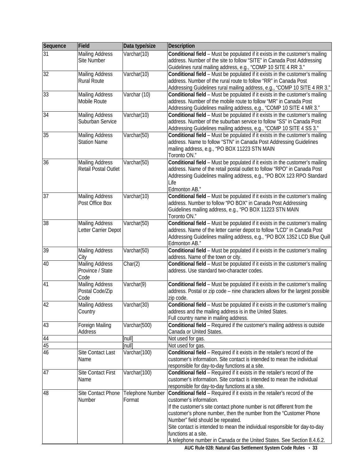| Sequence | Field                     | Data type/size          | <b>Description</b>                                                                             |
|----------|---------------------------|-------------------------|------------------------------------------------------------------------------------------------|
| 31       | <b>Mailing Address</b>    | Varchar(10)             | Conditional field - Must be populated if it exists in the customer's mailing                   |
|          | Site Number               |                         | address. Number of the site to follow "SITE" in Canada Post Addressing                         |
|          |                           |                         | Guidelines rural mailing address, e.g., "COMP 10 SITE 4 RR 3."                                 |
| 32       | <b>Mailing Address</b>    | Varchar(10)             | Conditional field - Must be populated if it exists in the customer's mailing                   |
|          | <b>Rural Route</b>        |                         | address. Number of the rural route to follow "RR" in Canada Post                               |
|          |                           |                         | Addressing Guidelines rural mailing address, e.g., "COMP 10 SITE 4 RR 3."                      |
| 33       | <b>Mailing Address</b>    | Varchar (10)            | Conditional field - Must be populated if it exists in the customer's mailing                   |
|          | Mobile Route              |                         | address. Number of the mobile route to follow "MR" in Canada Post                              |
|          |                           |                         | Addressing Guidelines mailing address, e.g., "COMP 10 SITE 4 MR 3."                            |
| 34       | <b>Mailing Address</b>    | Varchar(10)             | Conditional field - Must be populated if it exists in the customer's mailing                   |
|          | Suburban Service          |                         | address. Number of the suburban service to follow "SS" in Canada Post                          |
|          |                           |                         | Addressing Guidelines mailing address, e.g., "COMP 10 SITE 4 SS 3."                            |
| 35       | <b>Mailing Address</b>    | Varchar(50)             | Conditional field - Must be populated if it exists in the customer's mailing                   |
|          | <b>Station Name</b>       |                         | address. Name to follow "STN" in Canada Post Addressing Guidelines                             |
|          |                           |                         | mailing address, e.g., "PO BOX 11223 STN MAIN                                                  |
|          |                           |                         | Toronto ON."                                                                                   |
| 36       | <b>Mailing Address</b>    | Varchar(50)             | Conditional field - Must be populated if it exists in the customer's mailing                   |
|          | Retail Postal Outlet      |                         | address. Name of the retail postal outlet to follow "RPO" in Canada Post                       |
|          |                           |                         | Addressing Guidelines mailing address, e.g., "PO BOX 123 RPO Standard                          |
|          |                           |                         | Life                                                                                           |
| 37       | <b>Mailing Address</b>    | Varchar(10)             | Edmonton AB."<br>Conditional field - Must be populated if it exists in the customer's mailing  |
|          | Post Office Box           |                         | address. Number to follow "PO BOX" in Canada Post Addressing                                   |
|          |                           |                         | Guidelines mailing address, e.g., "PO BOX 11223 STN MAIN                                       |
|          |                           |                         | Toronto ON."                                                                                   |
| 38       | <b>Mailing Address</b>    | Varchar(50)             | Conditional field - Must be populated if it exists in the customer's mailing                   |
|          | Letter Carrier Depot      |                         | address. Name of the letter carrier depot to follow "LCD" in Canada Post                       |
|          |                           |                         | Addressing Guidelines mailing address, e.g., "PO BOX 1352 LCD Blue Quill                       |
|          |                           |                         | Edmonton AB."                                                                                  |
| 39       | <b>Mailing Address</b>    | Varchar(50)             | Conditional field - Must be populated if it exists in the customer's mailing                   |
|          | City                      |                         | address. Name of the town or city.                                                             |
| 40       | <b>Mailing Address</b>    | Char(2)                 | Conditional field - Must be populated if it exists in the customer's mailing                   |
|          | Province / State          |                         | address. Use standard two-character codes.                                                     |
|          | Code                      |                         |                                                                                                |
| 41       | <b>Mailing Address</b>    | Varchar(9)              | Conditional field - Must be populated if it exists in the customer's mailing                   |
|          | Postal Code/Zip           |                         | address. Postal or zip code - nine characters allows for the largest possible                  |
|          | Code                      |                         | zip code.                                                                                      |
| 42       | Mailing Address           | Varchar(30)             | Conditional field - Must be populated if it exists in the customer's mailing                   |
|          | Country                   |                         | address and the mailing address is in the United States.                                       |
|          |                           |                         | Full country name in mailing address.                                                          |
| 43       | Foreign Mailing           | Varchar(500)            | Conditional field - Required if the customer's mailing address is outside                      |
|          | Address                   |                         | Canada or United States.                                                                       |
| 44<br>45 |                           | [null]<br>[null]        | Not used for gas.                                                                              |
| 46       |                           | Varchar(100)            | Not used for gas.<br>Conditional field - Required if it exists in the retailer's record of the |
|          | Site Contact Last<br>Name |                         | customer's information. Site contact is intended to mean the individual                        |
|          |                           |                         | responsible for day-to-day functions at a site.                                                |
| 47       | <b>Site Contact First</b> | Varchar(100)            | Conditional field - Required if it exists in the retailer's record of the                      |
|          | Name                      |                         | customer's information. Site contact is intended to mean the individual                        |
|          |                           |                         | responsible for day-to-day functions at a site.                                                |
| 48       | Site Contact Phone        | <b>Telephone Number</b> | Conditional field - Required if it exists in the retailer's record of the                      |
|          | Number                    | Format                  | customer's information.                                                                        |
|          |                           |                         | If the customer's site contact phone number is not different from the                          |
|          |                           |                         | customer's phone number, then the number from the "Customer Phone                              |
|          |                           |                         | Number" field should be repeated.                                                              |
|          |                           |                         | Site contact is intended to mean the individual responsible for day-to-day                     |
|          |                           |                         | functions at a site.                                                                           |
|          |                           |                         | A telephone number in Canada or the United States. See Section 8.4.6.2.                        |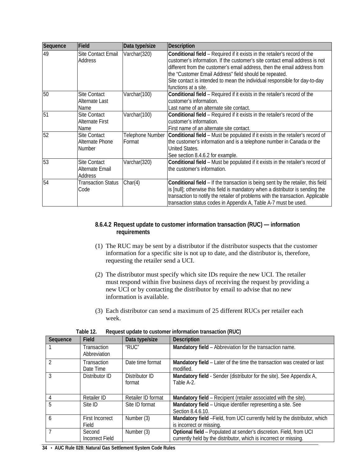| Sequence | Field                     | Data type/size   | <b>Description</b>                                                               |
|----------|---------------------------|------------------|----------------------------------------------------------------------------------|
| 49       | Site Contact Email        | Varchar(320)     | Conditional field - Required if it exists in the retailer's record of the        |
|          | Address                   |                  | customer's information. If the customer's site contact email address is not      |
|          |                           |                  | different from the customer's email address, then the email address from         |
|          |                           |                  | the "Customer Email Address" field should be repeated.                           |
|          |                           |                  | Site contact is intended to mean the individual responsible for day-to-day       |
|          |                           |                  | functions at a site.                                                             |
| 50       | Site Contact              | Varchar(100)     | Conditional field - Required if it exists in the retailer's record of the        |
|          | Alternate Last            |                  | customer's information.                                                          |
|          | Name                      |                  | Last name of an alternate site contact.                                          |
| 51       | Site Contact              | Varchar(100)     | Conditional field - Required if it exists in the retailer's record of the        |
|          | <b>Alternate First</b>    |                  | customer's information.                                                          |
|          | Name                      |                  | First name of an alternate site contact.                                         |
| 52       | <b>Site Contact</b>       | Telephone Number | Conditional field - Must be populated if it exists in the retailer's record of   |
|          | Alternate Phone           | Format           | the customer's information and is a telephone number in Canada or the            |
|          | Number                    |                  | United States.                                                                   |
|          |                           |                  | See section 8.4.6.2 for example.                                                 |
| 53       | <b>Site Contact</b>       | Varchar(320)     | Conditional field - Must be populated if it exists in the retailer's record of   |
|          | Alternate Email           |                  | the customer's information.                                                      |
|          | Address                   |                  |                                                                                  |
| 54       | <b>Transaction Status</b> | Char(4)          | Conditional field - If the transaction is being sent by the retailer, this field |
|          | Code                      |                  | is [null]; otherwise this field is mandatory when a distributor is sending the   |
|          |                           |                  | transaction to notify the retailer of problems with the transaction. Applicable  |
|          |                           |                  | transaction status codes in Appendix A, Table A-7 must be used.                  |

## <span id="page-39-0"></span>**8.6.4.2 Request update to customer information transaction (RUC) — information requirements**

- (1) The RUC may be sent by a distributor if the distributor suspects that the customer information for a specific site is not up to date, and the distributor is, therefore, requesting the retailer send a UCI.
- (2) The distributor must specify which site IDs require the new UCI. The retailer must respond within five business days of receiving the request by providing a new UCI or by contacting the distributor by email to advise that no new information is available.
- (3) Each distributor can send a maximum of 25 different RUCs per retailer each week.

<span id="page-39-1"></span>

| Sequence | <b>Field</b>                | Data type/size           | <b>Description</b>                                                                                                                      |
|----------|-----------------------------|--------------------------|-----------------------------------------------------------------------------------------------------------------------------------------|
|          | Transaction<br>Abbreviation | "RUC"                    | Mandatory field - Abbreviation for the transaction name.                                                                                |
|          | Transaction<br>Date Time    | Date time format         | Mandatory field - Later of the time the transaction was created or last<br>modified.                                                    |
| 3        | Distributor ID              | Distributor ID<br>format | Mandatory field - Sender (distributor for the site). See Appendix A,<br>Table A-2.                                                      |
|          | Retailer ID                 | Retailer ID format       | Mandatory field – Recipient (retailer associated with the site).                                                                        |
| 5        | Site ID                     | Site ID format           | Mandatory field - Unique identifier representing a site. See<br>Section 8.4.6.10.                                                       |
| 6        | First Incorrect<br>Field    | Number (3)               | Mandatory field -Field, from UCI currently held by the distributor, which<br>is incorrect or missing.                                   |
|          | Second<br>Incorrect Field   | Number (3)               | Optional field - Populated at sender's discretion. Field, from UCI<br>currently held by the distributor, which is incorrect or missing. |

| Table 12. | Request update to customer information transaction (RUC) |  |
|-----------|----------------------------------------------------------|--|
|           |                                                          |  |

**34** • **AUC Rule 028: Natural Gas Settlement System Code Rules**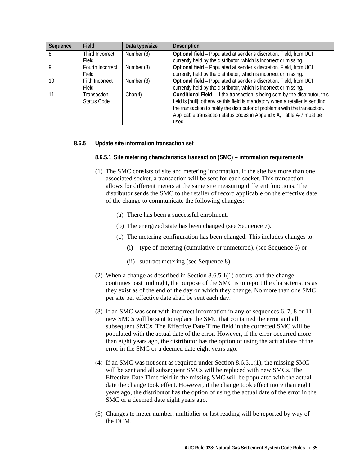| Sequence | Field            | Data type/size | <b>Description</b>                                                            |
|----------|------------------|----------------|-------------------------------------------------------------------------------|
| 8        | Third Incorrect  | Number (3)     | Optional field - Populated at sender's discretion. Field, from UCI            |
|          | Field            |                | currently held by the distributor, which is incorrect or missing.             |
| Q        | Fourth Incorrect | Number (3)     | Optional field - Populated at sender's discretion. Field, from UCI            |
|          | Field            |                | currently held by the distributor, which is incorrect or missing.             |
| 10       | Fifth Incorrect  | Number (3)     | Optional field - Populated at sender's discretion. Field, from UCI            |
|          | Field            |                | currently held by the distributor, which is incorrect or missing.             |
| 11       | Transaction      | Char(4)        | Conditional Field - If the transaction is being sent by the distributor, this |
|          | Status Code      |                | field is [null]; otherwise this field is mandatory when a retailer is sending |
|          |                  |                | the transaction to notify the distributor of problems with the transaction.   |
|          |                  |                | Applicable transaction status codes in Appendix A, Table A-7 must be          |
|          |                  |                | used.                                                                         |

## <span id="page-40-1"></span><span id="page-40-0"></span>**8.6.5 Update site information transaction set**

**8.6.5.1 Site metering characteristics transaction (SMC) – information requirements**

- (1) The SMC consists of site and metering information. If the site has more than one associated socket, a transaction will be sent for each socket. This transaction allows for different meters at the same site measuring different functions. The distributor sends the SMC to the retailer of record applicable on the effective date of the change to communicate the following changes:
	- (a) There has been a successful enrolment.
	- (b) The energized state has been changed (see Sequence 7).
	- (c) The metering configuration has been changed. This includes changes to:
		- (i) type of metering (cumulative or unmetered), (see Sequence 6) or
		- (ii) subtract metering (see Sequence 8).
- (2) When a change as described in Section 8.6.5.1(1) occurs, and the change continues past midnight, the purpose of the SMC is to report the characteristics as they exist as of the end of the day on which they change. No more than one SMC per site per effective date shall be sent each day.
- (3) If an SMC was sent with incorrect information in any of sequences 6, 7, 8 or 11, new SMCs will be sent to replace the SMC that contained the error and all subsequent SMCs. The Effective Date Time field in the corrected SMC will be populated with the actual date of the error. However, if the error occurred more than eight years ago, the distributor has the option of using the actual date of the error in the SMC or a deemed date eight years ago.
- (4) If an SMC was not sent as required under Section 8.6.5.1(1), the missing SMC will be sent and all subsequent SMCs will be replaced with new SMCs. The Effective Date Time field in the missing SMC will be populated with the actual date the change took effect. However, if the change took effect more than eight years ago, the distributor has the option of using the actual date of the error in the SMC or a deemed date eight years ago.
- (5) Changes to meter number, multiplier or last reading will be reported by way of the DCM.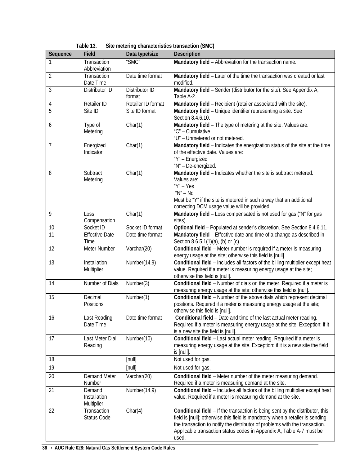<span id="page-41-0"></span>

| Sequence | Field                                | Data type/size           | <b>Description</b>                                                                                                                                                                                                                                                                                                             |  |
|----------|--------------------------------------|--------------------------|--------------------------------------------------------------------------------------------------------------------------------------------------------------------------------------------------------------------------------------------------------------------------------------------------------------------------------|--|
|          | Transaction<br>Abbreviation          | "SMC"                    | Mandatory field - Abbreviation for the transaction name.                                                                                                                                                                                                                                                                       |  |
| 2        | Transaction<br>Date Time             | Date time format         | Mandatory field - Later of the time the transaction was created or last<br>modified.                                                                                                                                                                                                                                           |  |
| 3        | Distributor ID                       | Distributor ID<br>format | Mandatory field - Sender (distributor for the site). See Appendix A,<br>Table A-2.                                                                                                                                                                                                                                             |  |
| 4        | Retailer ID                          | Retailer ID format       | Mandatory field - Recipient (retailer associated with the site).                                                                                                                                                                                                                                                               |  |
| 5        | Site ID                              | Site ID format           | Mandatory field - Unique identifier representing a site. See<br>Section 8.4.6.10.                                                                                                                                                                                                                                              |  |
| 6        | Type of<br>Metering                  | Char(1)                  | Mandatory field - The type of metering at the site. Values are:<br>"C" - Cumulative<br>"U" - Unmetered or not metered.                                                                                                                                                                                                         |  |
| 7        | Energized<br>Indicator               | Char(1)                  | Mandatory field - Indicates the energization status of the site at the time<br>of the effective date. Values are:<br>"Y" - Energized<br>"N" - De-energized.                                                                                                                                                                    |  |
| 8        | Subtract<br>Metering                 | Char(1)                  | Mandatory field - Indicates whether the site is subtract metered.<br>Values are:<br>$''Y'' - Yes$<br>" $N$ " – No<br>Must be "Y" if the site is metered in such a way that an additional<br>correcting DCM usage value will be provided.                                                                                       |  |
| 9        | Loss<br>Compensation                 | Char(1)                  | Mandatory field - Loss compensated is not used for gas ("N" for gas<br>sites).                                                                                                                                                                                                                                                 |  |
| 10       | Socket ID                            | Socket ID format         | Optional field - Populated at sender's discretion. See Section 8.4.6.11.                                                                                                                                                                                                                                                       |  |
| 11       | <b>Effective Date</b><br>Time        | Date time format         | Mandatory field - Effective date and time of a change as described in<br>Section 8.6.5.1(1)(a), (b) or (c).                                                                                                                                                                                                                    |  |
| 12       | Meter Number                         | Varchar(20)              | Conditional field - Meter number is required if a meter is measuring<br>energy usage at the site; otherwise this field is [null].                                                                                                                                                                                              |  |
| 13       | Installation<br>Multiplier           | Number(14,9)             | Conditional field - Includes all factors of the billing multiplier except heat<br>value. Required if a meter is measuring energy usage at the site;<br>otherwise this field is [null].                                                                                                                                         |  |
| 14       | Number of Dials                      | Number(3)                | Conditional field - Number of dials on the meter. Required if a meter is<br>measuring energy usage at the site; otherwise this field is [null].                                                                                                                                                                                |  |
| 15       | Decimal<br>Positions                 | Number(1)                | Conditional field - Number of the above dials which represent decimal<br>positions. Required if a meter is measuring energy usage at the site;<br>otherwise this field is [null].                                                                                                                                              |  |
| 16       | Last Reading<br>Date Time            | Date time format         | Conditional field - Date and time of the last actual meter reading.<br>Required if a meter is measuring energy usage at the site. Exception: if it<br>is a new site the field is [null].                                                                                                                                       |  |
| 17       | Last Meter Dial<br>Reading           | Number(10)               | Conditional field - Last actual meter reading. Required if a meter is<br>measuring energy usage at the site. Exception: if it is a new site the field<br>is [null].                                                                                                                                                            |  |
| 18       |                                      | [null]                   | Not used for gas.                                                                                                                                                                                                                                                                                                              |  |
| 19       |                                      | [null]                   | Not used for gas.                                                                                                                                                                                                                                                                                                              |  |
| 20       | <b>Demand Meter</b><br>Number        | Varchar(20)              | Conditional field - Meter number of the meter measuring demand.<br>Required if a meter is measuring demand at the site.                                                                                                                                                                                                        |  |
| 21       | Demand<br>Installation<br>Multiplier | Number(14,9)             | Conditional field - Includes all factors of the billing multiplier except heat<br>value. Required if a meter is measuring demand at the site.                                                                                                                                                                                  |  |
| 22       | Transaction<br>Status Code           | Char(4)                  | Conditional field - If the transaction is being sent by the distributor, this<br>field is [null]; otherwise this field is mandatory when a retailer is sending<br>the transaction to notify the distributor of problems with the transaction.<br>Applicable transaction status codes in Appendix A, Table A-7 must be<br>used. |  |

| Table 13. | Site metering characteristics transaction (SMC) |
|-----------|-------------------------------------------------|
|-----------|-------------------------------------------------|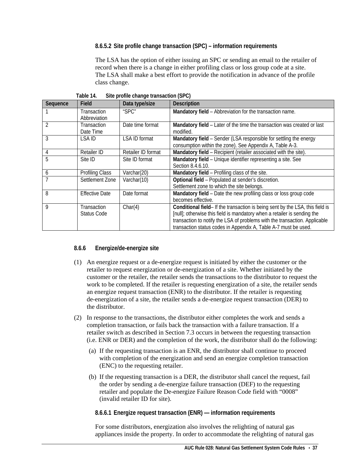## <span id="page-42-0"></span>**8.6.5.2 Site profile change transaction (SPC) – information requirements**

The LSA has the option of either issuing an SPC or sending an email to the retailer of record when there is a change in either profiling class or loss group code at a site. The LSA shall make a best effort to provide the notification in advance of the profile class change.

<span id="page-42-3"></span>

| Sequence | Field                  | Data type/size       | <b>Description</b>                                                            |
|----------|------------------------|----------------------|-------------------------------------------------------------------------------|
|          | Transaction            | "SPC"                | Mandatory field - Abbreviation for the transaction name.                      |
|          | Abbreviation           |                      |                                                                               |
|          | Transaction            | Date time format     | Mandatory field - Later of the time the transaction was created or last       |
|          | Date Time              |                      | modified.                                                                     |
| 3        | LSA ID                 | <b>LSA ID format</b> | Mandatory field - Sender (LSA responsible for settling the energy             |
|          |                        |                      | consumption within the zone). See Appendix A, Table A-3.                      |
| 4        | Retailer ID            | Retailer ID format   | Mandatory field - Recipient (retailer associated with the site).              |
| 5        | Site ID                | Site ID format       | Mandatory field - Unique identifier representing a site. See                  |
|          |                        |                      | Section 8.4.6.10.                                                             |
| 6        | <b>Profiling Class</b> | Varchar(20)          | Mandatory field - Profiling class of the site.                                |
|          | Settlement Zone        | Varchar(10)          | Optional field - Populated at sender's discretion.                            |
|          |                        |                      | Settlement zone to which the site belongs.                                    |
| 8        | <b>Effective Date</b>  | Date format          | Mandatory field - Date the new profiling class or loss group code             |
|          |                        |                      | becomes effective.                                                            |
| 9        | Transaction            | Char(4)              | Conditional field- If the transaction is being sent by the LSA, this field is |
|          | Status Code            |                      | [null]; otherwise this field is mandatory when a retailer is sending the      |
|          |                        |                      | transaction to notify the LSA of problems with the transaction. Applicable    |
|          |                        |                      | transaction status codes in Appendix A, Table A-7 must be used.               |

**Table 14. Site profile change transaction (SPC)**

## <span id="page-42-1"></span>**8.6.6 Energize/de-energize site**

- (1) An energize request or a de-energize request is initiated by either the customer or the retailer to request energization or de-energization of a site. Whether initiated by the customer or the retailer, the retailer sends the transactions to the distributor to request the work to be completed. If the retailer is requesting energization of a site, the retailer sends an energize request transaction (ENR) to the distributor. If the retailer is requesting de-energization of a site, the retailer sends a de-energize request transaction (DER) to the distributor.
- (2) In response to the transactions, the distributor either completes the work and sends a completion transaction, or fails back the transaction with a failure transaction. If a retailer switch as described in Section 7.3 occurs in between the requesting transaction (i.e. ENR or DER) and the completion of the work, the distributor shall do the following:
	- (a) If the requesting transaction is an ENR, the distributor shall continue to proceed with completion of the energization and send an energize completion transaction (ENC) to the requesting retailer.
	- (b) If the requesting transaction is a DER, the distributor shall cancel the request, fail the order by sending a de-energize failure transaction (DEF) to the requesting retailer and populate the De-energize Failure Reason Code field with "0008" (invalid retailer ID for site).

## <span id="page-42-2"></span>**8.6.6.1 Energize request transaction (ENR) — information requirements**

For some distributors, energization also involves the relighting of natural gas appliances inside the property. In order to accommodate the relighting of natural gas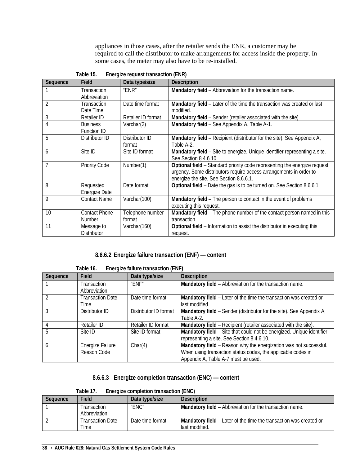appliances in those cases, after the retailer sends the ENR, a customer may be required to call the distributor to make arrangements for access inside the property. In some cases, the meter may also have to be re-installed.

<span id="page-43-2"></span>

| Sequence | Field                                 | $E1$ , gizo roquoot transaotion ( $E1$ itt)<br>Data type/size | <b>Description</b>                                                                                                                                                                         |
|----------|---------------------------------------|---------------------------------------------------------------|--------------------------------------------------------------------------------------------------------------------------------------------------------------------------------------------|
|          | Transaction<br>Abbreviation           | "ENR"                                                         | Mandatory field - Abbreviation for the transaction name.                                                                                                                                   |
| 2        | Transaction<br>Date Time              | Date time format                                              | Mandatory field – Later of the time the transaction was created or last<br>modified.                                                                                                       |
| 3        | <b>Retailer ID</b>                    | Retailer ID format                                            | Mandatory field - Sender (retailer associated with the site).                                                                                                                              |
| 4        | <b>Business</b><br><b>Function ID</b> | Varchar(2)                                                    | Mandatory field - See Appendix A, Table A-1.                                                                                                                                               |
| 5        | Distributor ID                        | Distributor ID<br>format                                      | Mandatory field – Recipient (distributor for the site). See Appendix A,<br>Table A-2.                                                                                                      |
| 6        | Site ID                               | Site ID format                                                | Mandatory field - Site to energize. Unique identifier representing a site.<br>See Section 8.4.6.10.                                                                                        |
| 7        | <b>Priority Code</b>                  | Number(1)                                                     | Optional field - Standard priority code representing the energize request<br>urgency. Some distributors require access arrangements in order to<br>energize the site. See Section 8.6.6.1. |
| 8        | Requested<br>Energize Date            | Date format                                                   | Optional field - Date the gas is to be turned on. See Section 8.6.6.1.                                                                                                                     |
| 9        | <b>Contact Name</b>                   | Varchar(100)                                                  | Mandatory field - The person to contact in the event of problems<br>executing this request.                                                                                                |
| 10       | <b>Contact Phone</b><br><b>Number</b> | Telephone number<br>format                                    | Mandatory field - The phone number of the contact person named in this<br>transaction.                                                                                                     |
| 11       | Message to<br><b>Distributor</b>      | Varchar(160)                                                  | Optional field - Information to assist the distributor in executing this<br>request.                                                                                                       |

**Table 15. Energize request transaction (ENR)**

## **8.6.6.2 Energize failure transaction (ENF) — content**

<span id="page-43-3"></span><span id="page-43-0"></span>

| rapie to.<br>Energize failure transaction (ENF) |                         |                       |                                                                       |
|-------------------------------------------------|-------------------------|-----------------------|-----------------------------------------------------------------------|
| Sequence                                        | Field                   | Data type/size        | <b>Description</b>                                                    |
|                                                 | Transaction             | "FNF"                 | Mandatory field - Abbreviation for the transaction name.              |
|                                                 | Abbreviation            |                       |                                                                       |
|                                                 | <b>Transaction Date</b> | Date time format      | Mandatory field - Later of the time the transaction was created or    |
|                                                 | Time                    |                       | last modified.                                                        |
|                                                 | Distributor ID          | Distributor ID format | Mandatory field – Sender (distributor for the site). See Appendix A,  |
|                                                 |                         |                       | Table A-2.                                                            |
|                                                 | <b>Retailer ID</b>      | Retailer ID format    | Mandatory field - Recipient (retailer associated with the site).      |
| 5                                               | Site ID                 | Site ID format        | Mandatory field - Site that could not be energized. Unique identifier |
|                                                 |                         |                       | representing a site. See Section 8.4.6.10.                            |
| 6                                               | Energize Failure        | Char(4)               | Mandatory field - Reason why the energization was not successful.     |
|                                                 | Reason Code             |                       | When using transaction status codes, the applicable codes in          |
|                                                 |                         |                       | Appendix A, Table A-7 must be used.                                   |

**Table 16. Energize failure transaction (ENF)**

## **8.6.6.3 Energize completion transaction (ENC) — content**

| Table 17. | Energize completion transaction (ENC) |  |
|-----------|---------------------------------------|--|
|           |                                       |  |

<span id="page-43-4"></span><span id="page-43-1"></span>

| Sequence | Field            | Data type/size   | <b>Description</b>                                                 |
|----------|------------------|------------------|--------------------------------------------------------------------|
|          | Transaction      | "ENC"            | Mandatory field - Abbreviation for the transaction name.           |
|          | Abbreviation     |                  |                                                                    |
|          | Transaction Date | Date time format | Mandatory field – Later of the time the transaction was created or |
|          | Time             |                  | last modified.                                                     |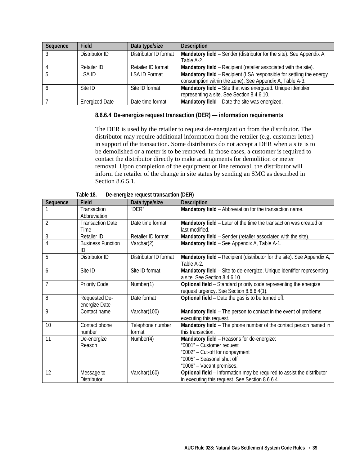| Sequence | Field                 | Data type/size        | <b>Description</b>                                                   |
|----------|-----------------------|-----------------------|----------------------------------------------------------------------|
|          | Distributor ID        | Distributor ID format | Mandatory field - Sender (distributor for the site). See Appendix A, |
|          |                       |                       | Table A-2.                                                           |
|          | Retailer ID           | Retailer ID format    | Mandatory field – Recipient (retailer associated with the site).     |
|          | I SA ID               | LSA ID Format         | Mandatory field - Recipient (LSA responsible for settling the energy |
|          |                       |                       | consumption within the zone). See Appendix A, Table A-3.             |
|          | Site ID               | Site ID format        | Mandatory field - Site that was energized. Unique identifier         |
|          |                       |                       | representing a site. See Section 8.4.6.10.                           |
|          | <b>Energized Date</b> | Date time format      | Mandatory field - Date the site was energized.                       |

<span id="page-44-0"></span>**8.6.6.4 De-energize request transaction (DER) — information requirements**

The DER is used by the retailer to request de-energization from the distributor. The distributor may require additional information from the retailer (e.g. customer letter) in support of the transaction. Some distributors do not accept a DER when a site is to be demolished or a meter is to be removed. In those cases, a customer is required to contact the distributor directly to make arrangements for demolition or meter removal. Upon completion of the equipment or line removal, the distributor will inform the retailer of the change in site status by sending an SMC as described in Section 8.6.5.1.

<span id="page-44-1"></span>

| Sequence       | Field                          | Data type/size        | <b>Description</b>                                                      |
|----------------|--------------------------------|-----------------------|-------------------------------------------------------------------------|
|                | Transaction                    | " $DEF$ "             | Mandatory field - Abbreviation for the transaction name.                |
|                | Abbreviation                   |                       |                                                                         |
| $\overline{2}$ | <b>Transaction Date</b>        | Date time format      | Mandatory field - Later of the time the transaction was created or      |
|                | Time                           |                       | last modified.                                                          |
| 3              | Retailer ID                    | Retailer ID format    | Mandatory field - Sender (retailer associated with the site).           |
| 4              | <b>Business Function</b><br>ID | Varchar(2)            | Mandatory field - See Appendix A, Table A-1.                            |
| 5              | Distributor ID                 | Distributor ID format | Mandatory field – Recipient (distributor for the site). See Appendix A, |
|                |                                |                       | Table A-2.                                                              |
| 6              | Site ID                        | Site ID format        | Mandatory field - Site to de-energize. Unique identifier representing   |
|                |                                |                       | a site. See Section 8.4.6.10.                                           |
| $\overline{7}$ | <b>Priority Code</b>           | Number(1)             | Optional field - Standard priority code representing the energize       |
|                |                                |                       | request urgency. See Section 8.6.6.4(1).                                |
| 8              | Requested De-                  | Date format           | Optional field - Date the gas is to be turned off.                      |
|                | energize Date                  |                       |                                                                         |
| 9              | Contact name                   | Varchar(100)          | Mandatory field - The person to contact in the event of problems        |
|                |                                |                       | executing this request.                                                 |
| 10             | Contact phone                  | Telephone number      | Mandatory field - The phone number of the contact person named in       |
|                | number                         | format                | this transaction.                                                       |
| 11             | De-energize                    | Number(4)             | Mandatory field - Reasons for de-energize:                              |
|                | Reason                         |                       | "0001" - Customer request                                               |
|                |                                |                       | "0002" - Cut-off for nonpayment                                         |
|                |                                |                       | "0005" - Seasonal shut off                                              |
|                |                                |                       | "0006" - Vacant premises.                                               |
| 12             | Message to                     | Varchar(160)          | Optional field - Information may be required to assist the distributor  |
|                | <b>Distributor</b>             |                       | in executing this request. See Section 8.6.6.4.                         |

**Table 18. De-energize request transaction (DER)**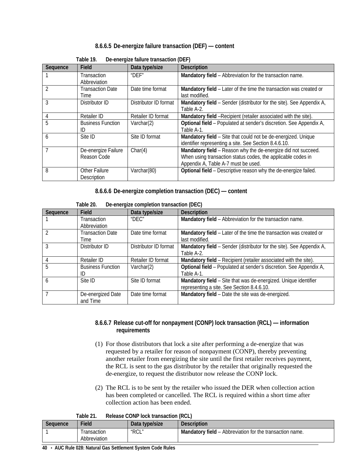## **8.6.6.5 De-energize failure transaction (DEF) — content**

<span id="page-45-3"></span><span id="page-45-0"></span>

| Sequence       | Field                               | DC-CHCLQIZC Tallul C traffsaction (DETT)<br>Data type/size | <b>Description</b>                                                                                                                                                   |
|----------------|-------------------------------------|------------------------------------------------------------|----------------------------------------------------------------------------------------------------------------------------------------------------------------------|
|                | <b>Transaction</b><br>Abbreviation  | " $DFF$ "                                                  | Mandatory field - Abbreviation for the transaction name.                                                                                                             |
| $\mathfrak{D}$ | <b>Transaction Date</b><br>Time     | Date time format                                           | Mandatory field – Later of the time the transaction was created or<br>last modified.                                                                                 |
| 3              | Distributor ID                      | Distributor ID format                                      | Mandatory field - Sender (distributor for the site). See Appendix A,<br>Table A-2.                                                                                   |
| 4              | Retailer ID                         | Retailer ID format                                         | Mandatory field - Recipient (retailer associated with the site).                                                                                                     |
| 5              | <b>Business Function</b><br>ID      | Varchar $(2)$                                              | Optional field - Populated at sender's discretion. See Appendix A,<br>Table A-1.                                                                                     |
| 6              | Site ID                             | Site ID format                                             | Mandatory field - Site that could not be de-energized. Unique<br>identifier representing a site. See Section 8.4.6.10.                                               |
|                | De-energize Failure<br>Reason Code  | Char(4)                                                    | Mandatory field - Reason why the de-energize did not succeed.<br>When using transaction status codes, the applicable codes in<br>Appendix A, Table A-7 must be used. |
| 8              | <b>Other Failure</b><br>Description | Varchar(80)                                                | Optional field - Descriptive reason why the de-energize failed.                                                                                                      |

| Table 19. | De-energize failure transaction (DEF) |  |
|-----------|---------------------------------------|--|
|-----------|---------------------------------------|--|

**8.6.6.6 De-energize completion transaction (DEC) — content**

<span id="page-45-4"></span><span id="page-45-1"></span>

|          | i upit zv.<br>De energize completion transaction (DEO) |                       |                                                                      |  |
|----------|--------------------------------------------------------|-----------------------|----------------------------------------------------------------------|--|
| Sequence | Field                                                  | Data type/size        | <b>Description</b>                                                   |  |
|          | <b>Transaction</b>                                     | "DEC"                 | Mandatory field - Abbreviation for the transaction name.             |  |
|          | Abbreviation                                           |                       |                                                                      |  |
|          | <b>Transaction Date</b>                                | Date time format      | Mandatory field - Later of the time the transaction was created or   |  |
|          | Time                                                   |                       | last modified.                                                       |  |
|          | Distributor ID                                         | Distributor ID format | Mandatory field - Sender (distributor for the site). See Appendix A, |  |
|          |                                                        |                       | Table A-2.                                                           |  |
|          | Retailer ID                                            | Retailer ID format    | Mandatory field – Recipient (retailer associated with the site).     |  |
| 5        | <b>Business Function</b>                               | Varchar $(2)$         | Optional field - Populated at sender's discretion. See Appendix A,   |  |
|          | ID                                                     |                       | Table A-1.                                                           |  |
| 6        | Site ID                                                | Site ID format        | Mandatory field - Site that was de-energized. Unique identifier      |  |
|          |                                                        |                       | representing a site. See Section 8.4.6.10.                           |  |
|          | De-energized Date                                      | Date time format      | Mandatory field - Date the site was de-energized.                    |  |
|          | and Time                                               |                       |                                                                      |  |

**Table 20. De-energize completion transaction (DEC)**

## <span id="page-45-2"></span>**8.6.6.7 Release cut-off for nonpayment (CONP) lock transaction (RCL) — information requirements**

- (1) For those distributors that lock a site after performing a de-energize that was requested by a retailer for reason of nonpayment (CONP), thereby preventing another retailer from energizing the site until the first retailer receives payment, the RCL is sent to the gas distributor by the retailer that originally requested the de-energize, to request the distributor now release the CONP lock.
- (2) The RCL is to be sent by the retailer who issued the DER when collection action has been completed or cancelled. The RCL is required within a short time after collection action has been ended.

| Table 21. |  |  |  | Release CONP lock transaction (RCL) |  |
|-----------|--|--|--|-------------------------------------|--|
|-----------|--|--|--|-------------------------------------|--|

<span id="page-45-5"></span>

| Seauence | Field                        | Data type/size | <b>Description</b>                                          |
|----------|------------------------------|----------------|-------------------------------------------------------------|
|          | l ransaction<br>Abbreviation | "RCL"          | Abbreviation for the transaction name.<br>Mandatory field - |

**40** • **AUC Rule 028: Natural Gas Settlement System Code Rules**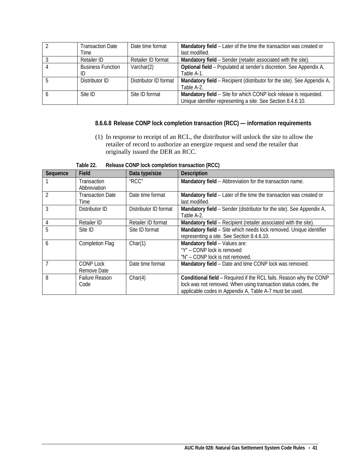| <b>Transaction Date</b>        | Date time format      | Mandatory field - Later of the time the transaction was created or                                                               |
|--------------------------------|-----------------------|----------------------------------------------------------------------------------------------------------------------------------|
| Time                           |                       | last modified.                                                                                                                   |
| <b>Retailer ID</b>             | Retailer ID format    | Mandatory field - Sender (retailer associated with the site).                                                                    |
| <b>Business Function</b><br>ID | Varchar $(2)$         | Optional field - Populated at sender's discretion. See Appendix A,<br>Table A-1.                                                 |
| Distributor ID                 | Distributor ID format | Mandatory field - Recipient (distributor for the site). See Appendix A,<br>Table A-2.                                            |
| Site ID                        | Site ID format        | Mandatory field - Site for which CONP lock release is requested.<br>Unique identifier representing a site. See Section 8.4.6.10. |

## <span id="page-46-0"></span>**8.6.6.8 Release CONP lock completion transaction (RCC) — information requirements**

(1) In response to receipt of an RCL, the distributor will unlock the site to allow the retailer of record to authorize an energize request and send the retailer that originally issued the DER an RCC.

<span id="page-46-1"></span>

| Sequence       | Field                   | Data type/size        | Description                                                          |
|----------------|-------------------------|-----------------------|----------------------------------------------------------------------|
|                | Transaction             | "RCC"                 | Mandatory field - Abbreviation for the transaction name.             |
|                | Abbreviation            |                       |                                                                      |
| $\mathfrak{D}$ | <b>Transaction Date</b> | Date time format      | Mandatory field - Later of the time the transaction was created or   |
|                | Time                    |                       | last modified.                                                       |
| 3              | Distributor ID          | Distributor ID format | Mandatory field - Sender (distributor for the site). See Appendix A, |
|                |                         |                       | Table A-2.                                                           |
| 4              | <b>Retailer ID</b>      | Retailer ID format    | Mandatory field - Recipient (retailer associated with the site).     |
| 5              | Site ID                 | Site ID format        | Mandatory field - Site which needs lock removed. Unique identifier   |
|                |                         |                       | representing a site. See Section 8.4.6.10.                           |
| 6              | <b>Completion Flag</b>  | Char(1)               | Mandatory field - Values are:                                        |
|                |                         |                       | "Y" - CONP lock is removed                                           |
|                |                         |                       | "N" - CONP lock is not removed.                                      |
|                | <b>CONP Lock</b>        | Date time format      | Mandatory field - Date and time CONP lock was removed.               |
|                | Remove Date             |                       |                                                                      |
| 8              | <b>Failure Reason</b>   | Char(4)               | Conditional field - Required if the RCL fails. Reason why the CONP   |
|                | Code                    |                       | lock was not removed. When using transaction status codes, the       |
|                |                         |                       | applicable codes in Appendix A, Table A-7 must be used.              |

**Table 22. Release CONP lock completion transaction (RCC)**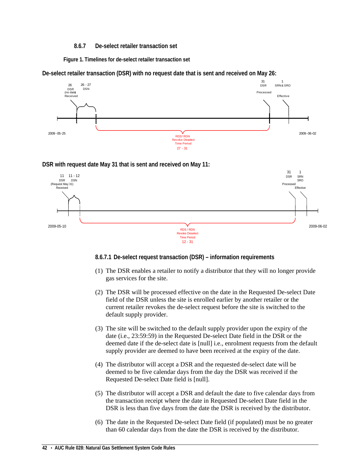## **8.6.7 De-select retailer transaction set**

<span id="page-47-0"></span>**Figure 1. Timelines for de-select retailer transaction set**

<span id="page-47-2"></span>**De-select retailer transaction (DSR) with no request date that is sent and received on May 26:**



## **DSR with request date May 31 that is sent and received on May 11:**



## <span id="page-47-1"></span>**8.6.7.1 De-select request transaction (DSR) – information requirements**

- (1) The DSR enables a retailer to notify a distributor that they will no longer provide gas services for the site.
- (2) The DSR will be processed effective on the date in the Requested De-select Date field of the DSR unless the site is enrolled earlier by another retailer or the current retailer revokes the de-select request before the site is switched to the default supply provider.
- (3) The site will be switched to the default supply provider upon the expiry of the date (i.e., 23:59:59) in the Requested De-select Date field in the DSR or the deemed date if the de-select date is [null] i.e., enrolment requests from the default supply provider are deemed to have been received at the expiry of the date.
- (4) The distributor will accept a DSR and the requested de-select date will be deemed to be five calendar days from the day the DSR was received if the Requested De-select Date field is [null].
- (5) The distributor will accept a DSR and default the date to five calendar days from the transaction receipt where the date in Requested De-select Date field in the DSR is less than five days from the date the DSR is received by the distributor.
- (6) The date in the Requested De-select Date field (if populated) must be no greater than 60 calendar days from the date the DSR is received by the distributor.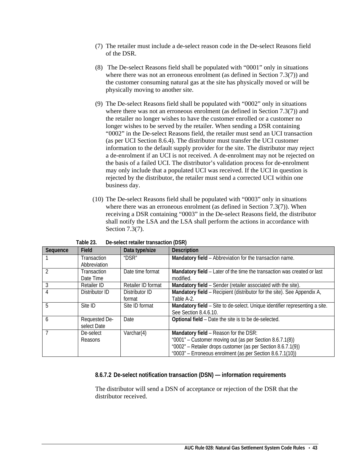- (7) The retailer must include a de-select reason code in the De-select Reasons field of the DSR.
- (8) The De-select Reasons field shall be populated with "0001" only in situations where there was not an erroneous enrolment (as defined in Section 7.3(7)) and the customer consuming natural gas at the site has physically moved or will be physically moving to another site.
- (9) The De-select Reasons field shall be populated with "0002" only in situations where there was not an erroneous enrolment (as defined in Section 7.3(7)) and the retailer no longer wishes to have the customer enrolled or a customer no longer wishes to be served by the retailer. When sending a DSR containing "0002" in the De-select Reasons field, the retailer must send an UCI transaction (as per UCI Section 8.6.4). The distributor must transfer the UCI customer information to the default supply provider for the site. The distributor may reject a de-enrolment if an UCI is not received. A de-enrolment may not be rejected on the basis of a failed UCI. The distributor's validation process for de-enrolment may only include that a populated UCI was received. If the UCI in question is rejected by the distributor, the retailer must send a corrected UCI within one business day.
- (10) The De-select Reasons field shall be populated with "0003" only in situations where there was an erroneous enrolment (as defined in Section 7.3(7)). When receiving a DSR containing "0003" in the De-select Reasons field, the distributor shall notify the LSA and the LSA shall perform the actions in accordance with Section 7.3(7).

<span id="page-48-1"></span>

| Sequence | <b>Field</b>   | Data type/size     | <b>Description</b>                                                          |
|----------|----------------|--------------------|-----------------------------------------------------------------------------|
|          | Transaction    | "DSR"              | Mandatory field - Abbreviation for the transaction name.                    |
|          | Abbreviation   |                    |                                                                             |
|          | Transaction    | Date time format   | Mandatory field - Later of the time the transaction was created or last     |
|          | Date Time      |                    | modified.                                                                   |
| 3        | Retailer ID    | Retailer ID format | Mandatory field – Sender (retailer associated with the site).               |
|          | Distributor ID | Distributor ID     | Mandatory field - Recipient (distributor for the site). See Appendix A,     |
|          |                | format             | Table A-2.                                                                  |
| 5        | Site ID        | Site ID format     | Mandatory field – Site to de-select. Unique identifier representing a site. |
|          |                |                    | See Section 8.4.6.10.                                                       |
| 6        | Requested De-  | Date               | Optional field - Date the site is to be de-selected.                        |
|          | select Date    |                    |                                                                             |
|          | De-select      | Varchar(4)         | Mandatory field - Reason for the DSR:                                       |
|          | Reasons        |                    | "0001" - Customer moving out (as per Section 8.6.7.1(8))                    |
|          |                |                    | "0002" - Retailer drops customer (as per Section 8.6.7.1(9))                |
|          |                |                    | "0003" - Erroneous enrolment (as per Section 8.6.7.1(10))                   |

| Table 23. | De-select retailer transaction (DSR) |
|-----------|--------------------------------------|
|-----------|--------------------------------------|

## <span id="page-48-0"></span>**8.6.7.2 De-select notification transaction (DSN) — information requirements**

The distributor will send a DSN of acceptance or rejection of the DSR that the distributor received.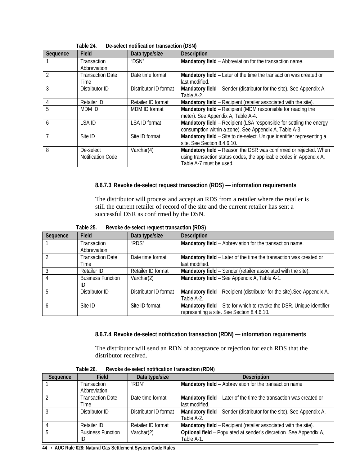<span id="page-49-2"></span>

|          | De-Select Hothlcation transaction (DSN) |                       |                                                                       |
|----------|-----------------------------------------|-----------------------|-----------------------------------------------------------------------|
| Sequence | Field                                   | Data type/size        | <b>Description</b>                                                    |
|          | Transaction                             | "DSN"                 | Mandatory field - Abbreviation for the transaction name.              |
|          | Abbreviation                            |                       |                                                                       |
|          | <b>Transaction Date</b>                 | Date time format      | Mandatory field – Later of the time the transaction was created or    |
|          | Time                                    |                       | last modified.                                                        |
| 3        | Distributor ID                          | Distributor ID format | Mandatory field - Sender (distributor for the site). See Appendix A,  |
|          |                                         |                       | Table A-2.                                                            |
|          | <b>Retailer ID</b>                      | Retailer ID format    | Mandatory field – Recipient (retailer associated with the site).      |
| 5        | MDM ID                                  | MDM ID format         | Mandatory field – Recipient (MDM responsible for reading the          |
|          |                                         |                       | meter). See Appendix A, Table A-4.                                    |
| 6        | LSA ID                                  | LSA ID format         | Mandatory field - Recipient (LSA responsible for settling the energy  |
|          |                                         |                       | consumption within a zone). See Appendix A, Table A-3.                |
|          | Site ID                                 | Site ID format        | Mandatory field - Site to de-select. Unique identifier representing a |
|          |                                         |                       | site. See Section 8.4.6.10.                                           |
| 8        | De-select                               | Varchar(4)            | Mandatory field - Reason the DSR was confirmed or rejected. When      |
|          | Notification Code                       |                       | using transaction status codes, the applicable codes in Appendix A,   |
|          |                                         |                       | Table A-7 must be used.                                               |

**Table 24. De-select notification transaction (DSN)**

## <span id="page-49-0"></span>**8.6.7.3 Revoke de-select request transaction (RDS) — information requirements**

The distributor will process and accept an RDS from a retailer where the retailer is still the current retailer of record of the site and the current retailer has sent a successful DSR as confirmed by the DSN.

| Table 25. | Revoke de-select request transaction (RDS) |
|-----------|--------------------------------------------|
|-----------|--------------------------------------------|

<span id="page-49-3"></span>

| Sequence | Field                              | Data type/size        | <b>Description</b>                                                                                                  |
|----------|------------------------------------|-----------------------|---------------------------------------------------------------------------------------------------------------------|
|          | <b>Transaction</b><br>Abbreviation | "RDS"                 | Mandatory field - Abbreviation for the transaction name.                                                            |
|          | <b>Transaction Date</b><br>Time    | Date time format      | Mandatory field - Later of the time the transaction was created or<br>last modified.                                |
|          | Retailer ID                        | Retailer ID format    | Mandatory field - Sender (retailer associated with the site).                                                       |
|          | <b>Business Function</b><br>ID     | Varchar $(2)$         | Mandatory field - See Appendix A, Table A-1.                                                                        |
|          | Distributor ID                     | Distributor ID format | Mandatory field - Recipient (distributor for the site). See Appendix A,<br>Table A-2.                               |
| h        | Site ID                            | Site ID format        | Mandatory field - Site for which to revoke the DSR. Unique identifier<br>representing a site. See Section 8.4.6.10. |

## **8.6.7.4 Revoke de-select notification transaction (RDN) — information requirements**

The distributor will send an RDN of acceptance or rejection for each RDS that the distributor received.

<span id="page-49-4"></span><span id="page-49-1"></span>

| Sequence | <b>Field</b>             | Data type/size        | <b>Description</b>                                                   |  |
|----------|--------------------------|-----------------------|----------------------------------------------------------------------|--|
|          | Transaction              | "RDN"                 | Mandatory field - Abbreviation for the transaction name              |  |
|          | Abbreviation             |                       |                                                                      |  |
|          | <b>Transaction Date</b>  | Date time format      | Mandatory field - Later of the time the transaction was created or   |  |
|          | Time                     |                       | last modified.                                                       |  |
|          | Distributor ID           | Distributor ID format | Mandatory field - Sender (distributor for the site). See Appendix A, |  |
|          |                          |                       | Table A-2.                                                           |  |
|          | Retailer ID              | Retailer ID format    | Mandatory field - Recipient (retailer associated with the site).     |  |
|          | <b>Business Function</b> | Varchar $(2)$         | Optional field - Populated at sender's discretion. See Appendix A,   |  |
|          | ID                       |                       | Table A-1.                                                           |  |

**Table 26. Revoke de-select notification transaction (RDN)**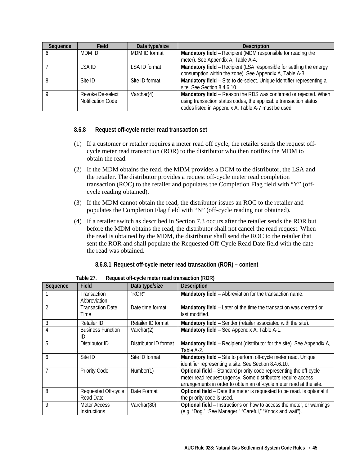| Sequence | <b>Field</b>                          | Data type/size | <b>Description</b>                                                                                                                                                                           |  |
|----------|---------------------------------------|----------------|----------------------------------------------------------------------------------------------------------------------------------------------------------------------------------------------|--|
| o        | MDM ID                                | MDM ID format  | Mandatory field - Recipient (MDM responsible for reading the                                                                                                                                 |  |
|          |                                       |                | meter). See Appendix A, Table A-4.                                                                                                                                                           |  |
|          | I SA ID                               | LSA ID format  | Mandatory field - Recipient (LSA responsible for settling the energy<br>consumption within the zone). See Appendix A, Table A-3.                                                             |  |
| 8        | Site ID                               | Site ID format | Mandatory field - Site to de-select. Unique identifier representing a<br>site. See Section 8.4.6.10.                                                                                         |  |
|          | Revoke De-select<br>Notification Code | Varchar $(4)$  | Mandatory field - Reason the RDS was confirmed or rejected. When<br>using transaction status codes, the applicable transaction status<br>codes listed in Appendix A, Table A-7 must be used. |  |

## <span id="page-50-0"></span>**8.6.8 Request off-cycle meter read transaction set**

- (1) If a customer or retailer requires a meter read off cycle, the retailer sends the request offcycle meter read transaction (ROR) to the distributor who then notifies the MDM to obtain the read.
- (2) If the MDM obtains the read, the MDM provides a DCM to the distributor, the LSA and the retailer. The distributor provides a request off-cycle meter read completion transaction (ROC) to the retailer and populates the Completion Flag field with "Y" (offcycle reading obtained).
- (3) If the MDM cannot obtain the read, the distributor issues an ROC to the retailer and populates the Completion Flag field with "N" (off-cycle reading not obtained).
- (4) If a retailer switch as described in Section 7.3 occurs after the retailer sends the ROR but before the MDM obtains the read, the distributor shall not cancel the read request. When the read is obtained by the MDM, the distributor shall send the ROC to the retailer that sent the ROR and shall populate the Requested Off-Cycle Read Date field with the date the read was obtained.

## **8.6.8.1 Request off-cycle meter read transaction (ROR) – content**

<span id="page-50-2"></span><span id="page-50-1"></span>

| Sequence | Field                               | Data type/size        | <b>Description</b>                                                                                                                                                                                         |
|----------|-------------------------------------|-----------------------|------------------------------------------------------------------------------------------------------------------------------------------------------------------------------------------------------------|
|          | <b>Transaction</b><br>Abbreviation  | "ROR"                 | Mandatory field - Abbreviation for the transaction name.                                                                                                                                                   |
|          | <b>Transaction Date</b><br>Time     | Date time format      | Mandatory field - Later of the time the transaction was created or<br>last modified.                                                                                                                       |
| 3        | Retailer ID                         | Retailer ID format    | Mandatory field - Sender (retailer associated with the site).                                                                                                                                              |
|          | <b>Business Function</b><br>ID      | Varchar(2)            | Mandatory field - See Appendix A, Table A-1.                                                                                                                                                               |
| 5        | Distributor ID                      | Distributor ID format | Mandatory field – Recipient (distributor for the site). See Appendix A,<br>Table A-2.                                                                                                                      |
| 6        | Site ID                             | Site ID format        | Mandatory field - Site to perform off-cycle meter read. Unique<br>identifier representing a site. See Section 8.4.6.10.                                                                                    |
|          | <b>Priority Code</b>                | Number(1)             | Optional field - Standard priority code representing the off-cycle<br>meter read request urgency. Some distributors require access<br>arrangements in order to obtain an off-cycle meter read at the site. |
| 8        | Requested Off-cycle<br>Read Date    | Date Format           | Optional field - Date the meter is requested to be read. Is optional if<br>the priority code is used.                                                                                                      |
| 9        | Meter Access<br><b>Instructions</b> | Varchar(80)           | Optional field - Instructions on how to access the meter, or warnings<br>(e.g. "Dog," "See Manager," "Careful," "Knock and wait").                                                                         |

**Table 27. Request off-cycle meter read transaction (ROR)**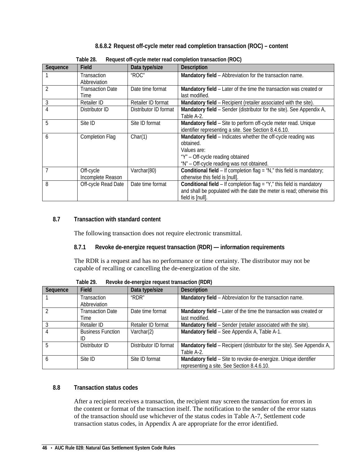## **8.6.8.2 Request off-cycle meter read completion transaction (ROC) – content**

<span id="page-51-4"></span><span id="page-51-0"></span>

| Sequence       | Field                   | Data type/size        | <b>Description</b>                                                            |
|----------------|-------------------------|-----------------------|-------------------------------------------------------------------------------|
|                | Transaction             | "ROC"                 | Mandatory field - Abbreviation for the transaction name.                      |
|                | Abbreviation            |                       |                                                                               |
| $\mathfrak{D}$ | <b>Transaction Date</b> | Date time format      | Mandatory field - Later of the time the transaction was created or            |
|                | Time                    |                       | last modified.                                                                |
| 3              | Retailer ID             | Retailer ID format    | Mandatory field – Recipient (retailer associated with the site).              |
|                | Distributor ID          | Distributor ID format | Mandatory field - Sender (distributor for the site). See Appendix A,          |
|                |                         |                       | Table A-2.                                                                    |
| 5              | Site ID                 | Site ID format        | Mandatory field - Site to perform off-cycle meter read. Unique                |
|                |                         |                       | identifier representing a site. See Section 8.4.6.10.                         |
| 6              | <b>Completion Flag</b>  | Char(1)               | Mandatory field - Indicates whether the off-cycle reading was                 |
|                |                         |                       | obtained.                                                                     |
|                |                         |                       | Values are:                                                                   |
|                |                         |                       | "Y" - Off-cycle reading obtained                                              |
|                |                         |                       | "N" - Off-cycle reading was not obtained.                                     |
| 7              | Off-cycle               | Varchar(80)           | <b>Conditional field – If completion flag = "N," this field is mandatory;</b> |
|                | Incomplete Reason       |                       | otherwise this field is [null].                                               |
| 8              | Off-cycle Read Date     | Date time format      | <b>Conditional field - If completion flag = "Y," this field is mandatory</b>  |
|                |                         |                       | and shall be populated with the date the meter is read; otherwise this        |
|                |                         |                       | field is [null].                                                              |

**Table 28. Request off-cycle meter read completion transaction (ROC)**

## <span id="page-51-2"></span><span id="page-51-1"></span>**8.7 Transaction with standard content**

The following transaction does not require electronic transmittal.

## **8.7.1 Revoke de-energize request transaction (RDR) — information requirements**

The RDR is a request and has no performance or time certainty. The distributor may not be capable of recalling or cancelling the de-energization of the site.

<span id="page-51-5"></span>

| Sequence | <b>Field</b>             | Data type/size        | <b>Description</b>                                                      |  |
|----------|--------------------------|-----------------------|-------------------------------------------------------------------------|--|
|          | Transaction              | "RDR"                 | Mandatory field - Abbreviation for the transaction name.                |  |
|          | Abbreviation             |                       |                                                                         |  |
|          | <b>Transaction Date</b>  | Date time format      | Mandatory field - Later of the time the transaction was created or      |  |
|          | Time                     |                       | last modified.                                                          |  |
|          | Retailer ID              | Retailer ID format    | Mandatory field - Sender (retailer associated with the site).           |  |
|          | <b>Business Function</b> | Varchar(2)            | Mandatory field - See Appendix A, Table A-1.                            |  |
|          | ID                       |                       |                                                                         |  |
| 5        | Distributor ID           | Distributor ID format | Mandatory field – Recipient (distributor for the site). See Appendix A, |  |
|          |                          |                       | Table A-2.                                                              |  |
| 6        | Site ID                  | Site ID format        | Mandatory field - Site to revoke de-energize. Unique identifier         |  |
|          |                          |                       | representing a site. See Section 8.4.6.10.                              |  |

**Table 29. Revoke de-energize request transaction (RDR)**

## <span id="page-51-3"></span>**8.8 Transaction status codes**

After a recipient receives a transaction, the recipient may screen the transaction for errors in the content or format of the transaction itself. The notification to the sender of the error status of the transaction should use whichever of the status codes in Table A-7, Settlement code transaction status codes, in Appendix A are appropriate for the error identified.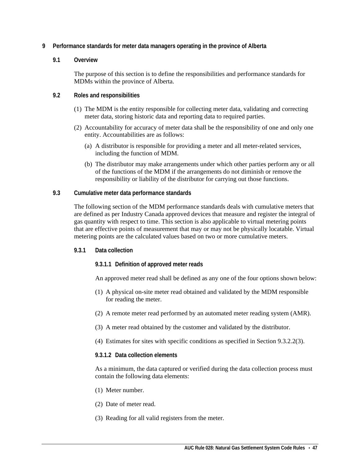## <span id="page-52-0"></span>**9 Performance standards for meter data managers operating in the province of Alberta**

## <span id="page-52-1"></span>**9.1 Overview**

The purpose of this section is to define the responsibilities and performance standards for MDMs within the province of Alberta.

## <span id="page-52-2"></span>**9.2 Roles and responsibilities**

- (1) The MDM is the entity responsible for collecting meter data, validating and correcting meter data, storing historic data and reporting data to required parties.
- (2) Accountability for accuracy of meter data shall be the responsibility of one and only one entity. Accountabilities are as follows:
	- (a) A distributor is responsible for providing a meter and all meter-related services, including the function of MDM.
	- (b) The distributor may make arrangements under which other parties perform any or all of the functions of the MDM if the arrangements do not diminish or remove the responsibility or liability of the distributor for carrying out those functions.

## <span id="page-52-3"></span>**9.3 Cumulative meter data performance standards**

The following section of the MDM performance standards deals with cumulative meters that are defined as per Industry Canada approved devices that measure and register the integral of gas quantity with respect to time. This section is also applicable to virtual metering points that are effective points of measurement that may or may not be physically locatable. Virtual metering points are the calculated values based on two or more cumulative meters.

## <span id="page-52-4"></span>**9.3.1 Data collection**

## <span id="page-52-5"></span>**9.3.1.1 Definition of approved meter reads**

An approved meter read shall be defined as any one of the four options shown below:

- (1) A physical on-site meter read obtained and validated by the MDM responsible for reading the meter.
- (2) A remote meter read performed by an automated meter reading system (AMR).
- (3) A meter read obtained by the customer and validated by the distributor.
- (4) Estimates for sites with specific conditions as specified in Section 9.3.2.2(3).

## <span id="page-52-6"></span>**9.3.1.2 Data collection elements**

As a minimum, the data captured or verified during the data collection process must contain the following data elements:

- (1) Meter number.
- (2) Date of meter read.
- (3) Reading for all valid registers from the meter.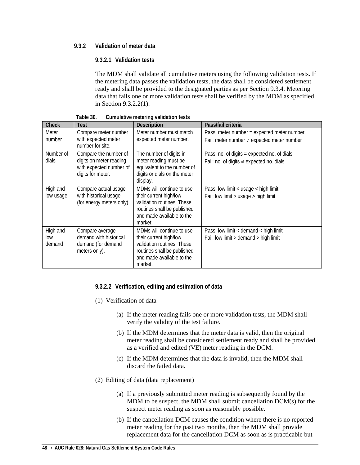## <span id="page-53-0"></span>**9.3.2 Validation of meter data**

## <span id="page-53-1"></span>**9.3.2.1 Validation tests**

The MDM shall validate all cumulative meters using the following validation tests. If the metering data passes the validation tests, the data shall be considered settlement ready and shall be provided to the designated parties as per Section 9.3.4. Metering data that fails one or more validation tests shall be verified by the MDM as specified in Section 9.3.2.2(1).

<span id="page-53-3"></span>

| Check                     | Test                                                                                             | <b>Description</b>                                                                                                                                       | Pass/fail criteria                                                                            |
|---------------------------|--------------------------------------------------------------------------------------------------|----------------------------------------------------------------------------------------------------------------------------------------------------------|-----------------------------------------------------------------------------------------------|
| Meter<br>number           | Compare meter number<br>with expected meter<br>number for site.                                  | Meter number must match<br>expected meter number.                                                                                                        | Pass: meter number = expected meter number<br>Fail: meter number $\neq$ expected meter number |
| Number of<br>dials        | Compare the number of<br>digits on meter reading<br>with expected number of<br>digits for meter. | The number of digits in<br>meter reading must be<br>equivalent to the number of<br>digits or dials on the meter<br>display.                              | Pass: no. of digits = expected no. of dials<br>Fail: no. of digits $\neq$ expected no. dials  |
| High and<br>low usage     | Compare actual usage<br>with historical usage<br>(for energy meters only).                       | MDMs will continue to use<br>their current high/low<br>validation routines. These<br>routines shall be published<br>and made available to the<br>market. | Pass: low limit < usage < high limit<br>Fail: low limit > usage > high limit                  |
| High and<br>low<br>demand | Compare average<br>demand with historical<br>demand (for demand<br>meters only).                 | MDMs will continue to use<br>their current high/low<br>validation routines. These<br>routines shall be published<br>and made available to the<br>market. | Pass: low limit < demand < high limit<br>Fail: low limit > demand > high limit                |

**Table 30. Cumulative metering validation tests**

## <span id="page-53-2"></span>**9.3.2.2 Verification, editing and estimation of data**

- (1) Verification of data
	- (a) If the meter reading fails one or more validation tests, the MDM shall verify the validity of the test failure.
	- (b) If the MDM determines that the meter data is valid, then the original meter reading shall be considered settlement ready and shall be provided as a verified and edited (VE) meter reading in the DCM.
	- (c) If the MDM determines that the data is invalid, then the MDM shall discard the failed data.
- (2) Editing of data (data replacement)
	- (a) If a previously submitted meter reading is subsequently found by the MDM to be suspect, the MDM shall submit cancellation DCM(s) for the suspect meter reading as soon as reasonably possible.
	- (b) If the cancellation DCM causes the condition where there is no reported meter reading for the past two months, then the MDM shall provide replacement data for the cancellation DCM as soon as is practicable but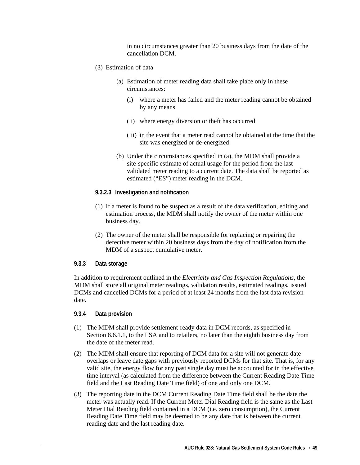in no circumstances greater than 20 business days from the date of the cancellation DCM.

- (3) Estimation of data
	- (a) Estimation of meter reading data shall take place only in these circumstances:
		- (i) where a meter has failed and the meter reading cannot be obtained by any means
		- (ii) where energy diversion or theft has occurred
		- (iii) in the event that a meter read cannot be obtained at the time that the site was energized or de-energized
	- (b) Under the circumstances specified in (a), the MDM shall provide a site-specific estimate of actual usage for the period from the last validated meter reading to a current date. The data shall be reported as estimated ("ES") meter reading in the DCM.
- <span id="page-54-0"></span>**9.3.2.3 Investigation and notification**
- (1) If a meter is found to be suspect as a result of the data verification, editing and estimation process, the MDM shall notify the owner of the meter within one business day.
- (2) The owner of the meter shall be responsible for replacing or repairing the defective meter within 20 business days from the day of notification from the MDM of a suspect cumulative meter.

## <span id="page-54-1"></span>**9.3.3 Data storage**

In addition to requirement outlined in the *Electricity and Gas Inspection Regulations*, the MDM shall store all original meter readings, validation results, estimated readings, issued DCMs and cancelled DCMs for a period of at least 24 months from the last data revision date.

## <span id="page-54-2"></span>**9.3.4 Data provision**

- (1) The MDM shall provide settlement-ready data in DCM records, as specified in Section 8.6.1.1, to the LSA and to retailers, no later than the eighth business day from the date of the meter read.
- (2) The MDM shall ensure that reporting of DCM data for a site will not generate date overlaps or leave date gaps with previously reported DCMs for that site. That is, for any valid site, the energy flow for any past single day must be accounted for in the effective time interval (as calculated from the difference between the Current Reading Date Time field and the Last Reading Date Time field) of one and only one DCM.
- (3) The reporting date in the DCM Current Reading Date Time field shall be the date the meter was actually read. If the Current Meter Dial Reading field is the same as the Last Meter Dial Reading field contained in a DCM (i.e. zero consumption), the Current Reading Date Time field may be deemed to be any date that is between the current reading date and the last reading date.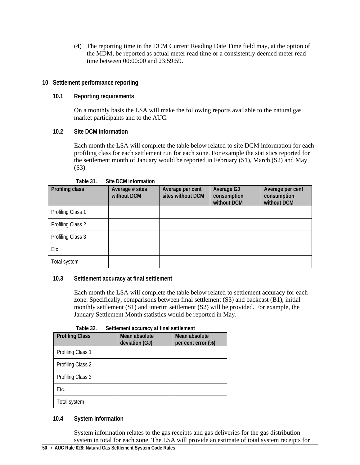(4) The reporting time in the DCM Current Reading Date Time field may, at the option of the MDM, be reported as actual meter read time or a consistently deemed meter read time between 00:00:00 and 23:59:59.

## <span id="page-55-0"></span>**10 Settlement performance reporting**

## <span id="page-55-1"></span>**10.1 Reporting requirements**

On a monthly basis the LSA will make the following reports available to the natural gas market participants and to the AUC.

## <span id="page-55-2"></span>**10.2 Site DCM information**

Each month the LSA will complete the table below related to site DCM information for each profiling class for each settlement run for each zone. For example the statistics reported for the settlement month of January would be reported in February (S1), March (S2) and May (S3).

<span id="page-55-5"></span>

| Profiling class   | Average # sites<br>without DCM | Average per cent<br>sites without DCM | Average GJ<br>consumption<br>without DCM | Average per cent<br>consumption<br>without DCM |
|-------------------|--------------------------------|---------------------------------------|------------------------------------------|------------------------------------------------|
| Profiling Class 1 |                                |                                       |                                          |                                                |
| Profiling Class 2 |                                |                                       |                                          |                                                |
| Profiling Class 3 |                                |                                       |                                          |                                                |
| Etc.              |                                |                                       |                                          |                                                |
| Total system      |                                |                                       |                                          |                                                |

## **Table 31. Site DCM information**

## <span id="page-55-3"></span>**10.3 Settlement accuracy at final settlement**

Each month the LSA will complete the table below related to settlement accuracy for each zone. Specifically, comparisons between final settlement (S3) and backcast (B1), initial monthly settlement (S1) and interim settlement (S2) will be provided. For example, the January Settlement Month statistics would be reported in May.

<span id="page-55-6"></span>

| i upit JZ.             | Schlieniert accuracy at miar schlieniert |                                     |  |  |  |
|------------------------|------------------------------------------|-------------------------------------|--|--|--|
| <b>Profiling Class</b> | Mean absolute<br>deviation (GJ)          | Mean absolute<br>per cent error (%) |  |  |  |
| Profiling Class 1      |                                          |                                     |  |  |  |
| Profiling Class 2      |                                          |                                     |  |  |  |
| Profiling Class 3      |                                          |                                     |  |  |  |
| Etc.                   |                                          |                                     |  |  |  |
| Total system           |                                          |                                     |  |  |  |

## **Table 32. Settlement accuracy at final settlement**

## <span id="page-55-4"></span>**10.4 System information**

System information relates to the gas receipts and gas deliveries for the gas distribution system in total for each zone. The LSA will provide an estimate of total system receipts for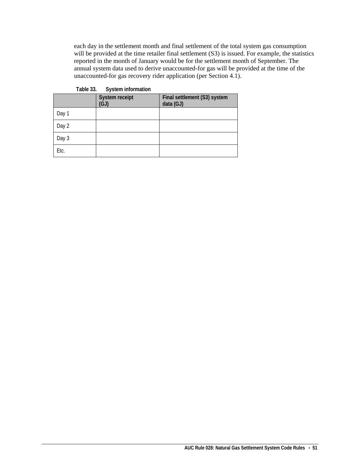each day in the settlement month and final settlement of the total system gas consumption will be provided at the time retailer final settlement (S3) is issued. For example, the statistics reported in the month of January would be for the settlement month of September. The annual system data used to derive unaccounted-for gas will be provided at the time of the unaccounted-for gas recovery rider application (per Section 4.1).

<span id="page-56-0"></span>

|       | System receipt<br>(GJ) | Final settlement (S3) system<br>data (GJ) |
|-------|------------------------|-------------------------------------------|
| Day 1 |                        |                                           |
| Day 2 |                        |                                           |
| Day 3 |                        |                                           |
| Etc.  |                        |                                           |

**Table 33. System information**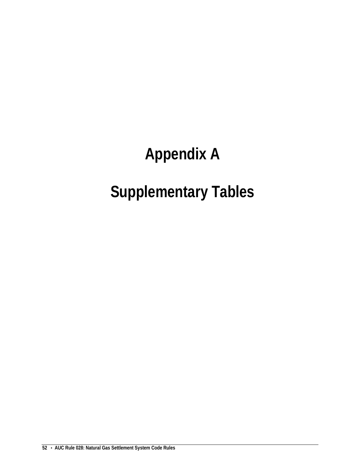# **Appendix A**

# **Supplementary Tables**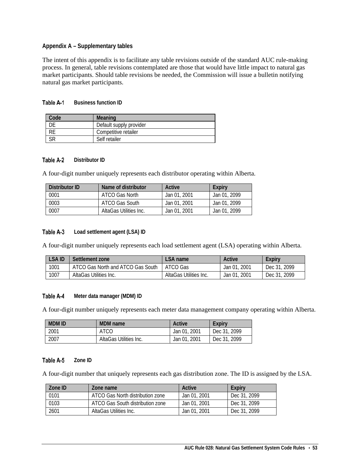## <span id="page-58-0"></span>**Appendix A – Supplementary tables**

The intent of this appendix is to facilitate any table revisions outside of the standard AUC rule-making process. In general, table revisions contemplated are those that would have little impact to natural gas market participants. Should table revisions be needed, the Commission will issue a bulletin notifying natural gas market participants.

#### <span id="page-58-1"></span>**Business function ID** Table A-1

| Code | <b>Meaning</b>          |
|------|-------------------------|
|      | Default supply provider |
|      | Competitive retailer    |
|      | Self retailer           |

#### <span id="page-58-2"></span>Table A-2 **Distributor ID**

A four-digit number uniquely represents each distributor operating within Alberta.

| Distributor ID | Name of distributor    | Active       | <b>Expiry</b> |
|----------------|------------------------|--------------|---------------|
| 0001           | ATCO Gas North         | Jan 01, 2001 | Jan 01, 2099  |
| 0003           | ATCO Gas South         | Jan 01, 2001 | Jan 01, 2099  |
| 0007           | AltaGas Utilities Inc. | Jan 01, 2001 | Jan 01, 2099  |

#### <span id="page-58-3"></span>Table A-3 **Load settlement agent (LSA) ID**

A four-digit number uniquely represents each load settlement agent (LSA) operating within Alberta.

| LSA ID | Settlement zone                   | LSA name               | Active       | Expiry       |
|--------|-----------------------------------|------------------------|--------------|--------------|
| 1001   | ATCO Gas North and ATCO Gas South | ATCO Gas               | Jan 01, 2001 | Dec 31, 2099 |
| 1007   | AltaGas Utilities Inc.            | AltaGas Utilities Inc. | Jan 01, 2001 | Dec 31, 2099 |

#### <span id="page-58-4"></span>Table A-4 **Meter data manager (MDM) ID**

A four-digit number uniquely represents each meter data management company operating within Alberta.

| <b>MDM ID</b> | <b>MDM</b> name        | Active       | <b>Expiry</b> |
|---------------|------------------------|--------------|---------------|
| 2001          | ATCO                   | Jan 01, 2001 | Dec 31, 2099  |
| 2007          | AltaGas Utilities Inc. | Jan 01, 2001 | Dec 31, 2099  |

#### <span id="page-58-5"></span>Table A-5 **Zone ID**

A four-digit number that uniquely represents each gas distribution zone. The ID is assigned by the LSA.

| Zone ID | Zone name                        | Active       | <b>Expiry</b> |
|---------|----------------------------------|--------------|---------------|
| 0101    | ATCO Gas North distribution zone | Jan 01, 2001 | Dec 31, 2099  |
| 0103    | ATCO Gas South distribution zone | Jan 01, 2001 | Dec 31, 2099  |
| 2601    | AltaGas Utilities Inc.           | Jan 01, 2001 | Dec 31, 2099  |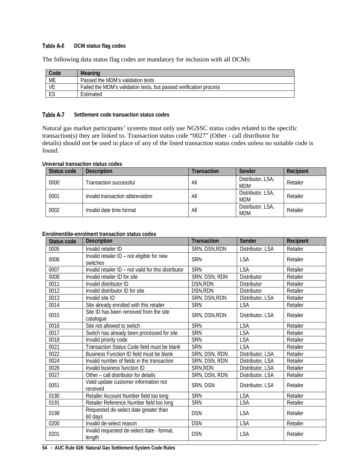#### <span id="page-59-0"></span>Table A-6 **DCM status flag codes**

The following data status flag codes are mandatory for inclusion with all DCMs:

| Code      | Meaning                                                            |
|-----------|--------------------------------------------------------------------|
| <b>ME</b> | Passed the MDM's validation tests                                  |
| VE        | Failed the MDM's validation tests, but passed verification process |
|           | Estimated                                                          |

#### <span id="page-59-1"></span>Table A-7 **Settlement code transaction status codes**

Natural gas market participants' systems must only use NGSSC status codes related to the specific transaction(s) they are linked to. Transaction status code "0027" (Other - call distributor for details) should not be used in place of any of the listed transaction status codes unless no suitable code is found.

## **Universal transaction status codes**

| Status code | <b>Description</b>               | Transaction | Sender                          | Recipient |
|-------------|----------------------------------|-------------|---------------------------------|-----------|
| 0000        | Transaction successful           | All         | Distributor, LSA,<br>MDM        | Retailer  |
| 0001        | Invalid transaction abbreviation | All         | Distributor, LSA,<br><b>MDM</b> | Retailer  |
| 0002        | Invalid date time format         | All         | Distributor, LSA.<br><b>MDM</b> | Retailer  |

## **Enrolment/de-enrolment transaction status codes**

| Status code | Description                                            | <b>Transaction</b> | Sender             | Recipient |
|-------------|--------------------------------------------------------|--------------------|--------------------|-----------|
| 0005        | Invalid retailer ID                                    | SRN, DSN, RDN      | Distributor, LSA   | Retailer  |
| 0006        | Invalid retailer ID - not eligible for new<br>switches | <b>SRN</b>         | <b>LSA</b>         | Retailer  |
| 0007        | Invalid retailer ID - not valid for this distributor   | <b>SRN</b>         | <b>LSA</b>         | Retailer  |
| 0008        | Invalid retailer ID for site                           | SRN, DSN, RDN      | <b>Distributor</b> | Retailer  |
| 0011        | Invalid distributor ID                                 | DSN, RDN           | Distributor        | Retailer  |
| 0012        | Invalid distributor ID for site                        | DSN, RDN           | <b>Distributor</b> | Retailer  |
| 0013        | Invalid site ID                                        | SRN, DSN, RDN      | Distributor, LSA   | Retailer  |
| 0014        | Site already enrolled with this retailer               | <b>SRN</b>         | <b>LSA</b>         | Retailer  |
| 0015        | Site ID has been removed from the site<br>catalogue    | SRN, DSN, RDN      | Distributor, LSA   | Retailer  |
| 0016        | Site not allowed to switch                             | <b>SRN</b>         | <b>LSA</b>         | Retailer  |
| 0017        | Switch has already been processed for site             | <b>SRN</b>         | <b>LSA</b>         | Retailer  |
| 0018        | Invalid priority code                                  | <b>SRN</b>         | <b>LSA</b>         | Retailer  |
| 0021        | Transaction Status Code field must be blank            | <b>SRN</b>         | <b>LSA</b>         | Retailer  |
| 0022        | Business Function ID field must be blank               | SRN, DSN, RDN      | Distributor, LSA   | Retailer  |
| 0024        | Invalid number of fields in the transaction            | SRN, DSN, RDN      | Distributor, LSA   | Retailer  |
| 0026        | Invalid business function ID                           | SRN, RDN           | Distributor, LSA   | Retailer  |
| 0027        | Other - call distributor for details                   | SRN, DSN, RDN      | Distributor, LSA   | Retailer  |
| 0051        | Valid update customer information not<br>received      | SRN, DSN           | Distributor, LSA   | Retailer  |
| 0190        | Retailer Account Number field too long                 | <b>SRN</b>         | <b>LSA</b>         | Retailer  |
| 0191        | Retailer Reference Number field too long               | <b>SRN</b>         | <b>LSA</b>         | Retailer  |
| 0198        | Requested de-select date greater than<br>60 days       | <b>DSN</b>         | <b>LSA</b>         | Retailer  |
| 0200        | Invalid de-select reason                               | <b>DSN</b>         | <b>LSA</b>         | Retailer  |
| 0201        | Invalid requested de-select date - format,<br>length   | <b>DSN</b>         | <b>LSA</b>         | Retailer  |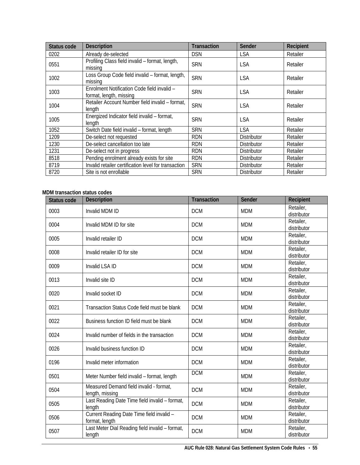| Status code | <b>Description</b>                                                     | <b>Transaction</b> | Sender             | Recipient |
|-------------|------------------------------------------------------------------------|--------------------|--------------------|-----------|
| 0202        | Already de-selected                                                    | <b>DSN</b>         | <b>LSA</b>         | Retailer  |
| 0551        | Profiling Class field invalid - format, length,<br>missing             | <b>SRN</b>         | <b>LSA</b>         | Retailer  |
| 1002        | Loss Group Code field invalid - format, length,<br>missing             | <b>SRN</b>         | <b>LSA</b>         | Retailer  |
| 1003        | Enrolment Notification Code field invalid -<br>format, length, missing | <b>SRN</b>         | <b>LSA</b>         | Retailer  |
| 1004        | Retailer Account Number field invalid - format,<br>length              | <b>SRN</b>         | <b>LSA</b>         | Retailer  |
| 1005        | Energized Indicator field invalid - format,<br>length                  | <b>SRN</b>         | <b>LSA</b>         | Retailer  |
| 1052        | Switch Date field invalid - format, length                             | <b>SRN</b>         | <b>LSA</b>         | Retailer  |
| 1209        | De-select not requested                                                | <b>RDN</b>         | <b>Distributor</b> | Retailer  |
| 1230        | De-select cancellation too late                                        | <b>RDN</b>         | Distributor        | Retailer  |
| 1231        | De-select not in progress                                              | <b>RDN</b>         | Distributor        | Retailer  |
| 8518        | Pending enrolment already exists for site                              | <b>RDN</b>         | Distributor        | Retailer  |
| 8719        | Invalid retailer certification level for transaction                   | <b>SRN</b>         | <b>Distributor</b> | Retailer  |
| 8720        | Site is not enrollable                                                 | <b>SRN</b>         | <b>Distributor</b> | Retailer  |

## **MDM transaction status codes**

| <b>Status code</b> | <b>Description</b>                                          | <b>Transaction</b> | Sender     | Recipient                |
|--------------------|-------------------------------------------------------------|--------------------|------------|--------------------------|
| 0003               | Invalid MDM ID                                              | <b>DCM</b>         | <b>MDM</b> | Retailer,<br>distributor |
| 0004               | Invalid MDM ID for site                                     | <b>DCM</b>         | <b>MDM</b> | Retailer,<br>distributor |
| 0005               | Invalid retailer ID                                         | <b>DCM</b>         | <b>MDM</b> | Retailer,<br>distributor |
| 0008               | Invalid retailer ID for site                                | <b>DCM</b>         | <b>MDM</b> | Retailer,<br>distributor |
| 0009               | Invalid LSA ID                                              | <b>DCM</b>         | <b>MDM</b> | Retailer,<br>distributor |
| 0013               | Invalid site ID                                             | <b>DCM</b>         | <b>MDM</b> | Retailer,<br>distributor |
| 0020               | Invalid socket ID                                           | <b>DCM</b>         | <b>MDM</b> | Retailer,<br>distributor |
| 0021               | Transaction Status Code field must be blank                 | <b>DCM</b>         | <b>MDM</b> | Retailer,<br>distributor |
| 0022               | Business function ID field must be blank                    | <b>DCM</b>         | <b>MDM</b> | Retailer,<br>distributor |
| 0024               | Invalid number of fields in the transaction                 | <b>DCM</b>         | <b>MDM</b> | Retailer,<br>distributor |
| 0026               | Invalid business function ID                                | <b>DCM</b>         | <b>MDM</b> | Retailer,<br>distributor |
| 0196               | Invalid meter information                                   | <b>DCM</b>         | <b>MDM</b> | Retailer,<br>distributor |
| 0501               | Meter Number field invalid - format, length                 | <b>DCM</b>         | <b>MDM</b> | Retailer,<br>distributor |
| 0504               | Measured Demand field invalid - format,<br>length, missing  | <b>DCM</b>         | <b>MDM</b> | Retailer,<br>distributor |
| 0505               | Last Reading Date Time field invalid - format,<br>length    | <b>DCM</b>         | <b>MDM</b> | Retailer,<br>distributor |
| 0506               | Current Reading Date Time field invalid -<br>format, length | <b>DCM</b>         | <b>MDM</b> | Retailer,<br>distributor |
| 0507               | Last Meter Dial Reading field invalid - format,<br>length   | <b>DCM</b>         | <b>MDM</b> | Retailer,<br>distributor |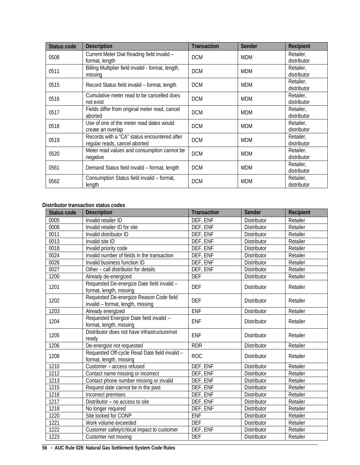| Status code | <b>Description</b>                                                            | <b>Transaction</b> | Sender     | Recipient                |
|-------------|-------------------------------------------------------------------------------|--------------------|------------|--------------------------|
| 0508        | Current Meter Dial Reading field invalid -<br>format, length                  | <b>DCM</b>         | <b>MDM</b> | Retailer,<br>distributor |
| 0511        | Billing Multiplier field invalid - format, length,<br>missing                 | <b>DCM</b>         | <b>MDM</b> | Retailer,<br>distributor |
| 0515        | Record Status field invalid - format, length                                  | <b>DCM</b>         | <b>MDM</b> | Retailer,<br>distributor |
| 0516        | Cumulative meter read to be cancelled does<br>not exist                       | <b>DCM</b>         | <b>MDM</b> | Retailer,<br>distributor |
| 0517        | Fields differ from original meter read, cancel<br>aborted                     | <b>DCM</b>         | <b>MDM</b> | Retailer,<br>distributor |
| 0518        | Use of one of the meter read dates would<br>create an overlap                 | <b>DCM</b>         | <b>MDM</b> | Retailer,<br>distributor |
| 0519        | Records with a "CA" status encountered after<br>regular reads, cancel aborted | <b>DCM</b>         | <b>MDM</b> | Retailer,<br>distributor |
| 0520        | Meter read values and consumption cannot be<br>negative                       | <b>DCM</b>         | <b>MDM</b> | Retailer,<br>distributor |
| 0561        | Demand Status field invalid - format, length                                  | <b>DCM</b>         | <b>MDM</b> | Retailer,<br>distributor |
| 0562        | Consumption Status field invalid - format,<br>length                          | <b>DCM</b>         | <b>MDM</b> | Retailer,<br>distributor |

## **Distributor transaction status codes**

| <b>Status code</b> | <b>Description</b>                                                           | <b>Transaction</b> | Sender             | Recipient |
|--------------------|------------------------------------------------------------------------------|--------------------|--------------------|-----------|
| 0005               | Invalid retailer ID                                                          | DEF, ENF           | Distributor        | Retailer  |
| 0008               | Invalid retailer ID for site                                                 | DEF, ENF           | Distributor        | Retailer  |
| 0011               | Invalid distributor ID                                                       | DEF, ENF           | <b>Distributor</b> | Retailer  |
| 0013               | Invalid site ID                                                              | DEF, ENF           | Distributor        | Retailer  |
| 0018               | Invalid priority code                                                        | DEF, ENF           | Distributor        | Retailer  |
| 0024               | Invalid number of fields in the transaction                                  | DEF, ENF           | Distributor        | Retailer  |
| 0026               | Invalid business function ID                                                 | DEF, ENF           | Distributor        | Retailer  |
| 0027               | Other - call distributor for details                                         | DEF, ENF           | <b>Distributor</b> | Retailer  |
| 1200               | Already de-energized                                                         | <b>DEF</b>         | Distributor        | Retailer  |
| 1201               | Requested De-energize Date field invalid -<br>format, length, missing        | <b>DEF</b>         | <b>Distributor</b> | Retailer  |
| 1202               | Requested De-energize Reason Code field<br>invalid - format, length, missing | <b>DEF</b>         | Distributor        | Retailer  |
| 1203               | Already energized                                                            | <b>ENF</b>         | Distributor        | Retailer  |
| 1204               | Requested Energize Date field invalid -<br>format, length, missing           | <b>ENF</b>         | <b>Distributor</b> | Retailer  |
| 1205               | Distributor does not have infrastructure/not<br>ready                        | <b>ENF</b>         | <b>Distributor</b> | Retailer  |
| 1206               | De-energize not requested                                                    | RDR                | Distributor        | Retailer  |
| 1208               | Requested Off-cycle Read Date field invalid -<br>format, length, missing     | <b>ROC</b>         | <b>Distributor</b> | Retailer  |
| 1210               | Customer - access refused                                                    | DEF, ENF           | Distributor        | Retailer  |
| 1212               | Contact name missing or incorrect                                            | DEF, ENF           | Distributor        | Retailer  |
| 1213               | Contact phone number missing or invalid                                      | DEF, ENF           | Distributor        | Retailer  |
| 1215               | Request date cannot be in the past                                           | DEF, ENF           | Distributor        | Retailer  |
| 1216               | Incorrect premises                                                           | DEF, ENF           | Distributor        | Retailer  |
| 1217               | Distributor - no access to site                                              | DEF, ENF           | Distributor        | Retailer  |
| 1218               | No longer required                                                           | DEF, ENF           | Distributor        | Retailer  |
| 1220               | Site locked for CONP                                                         | <b>ENF</b>         | Distributor        | Retailer  |
| 1221               | Work volume exceeded                                                         | <b>DEF</b>         | Distributor        | Retailer  |
| 1222               | Customer safety/critical impact to customer                                  | DEF, ENF           | Distributor        | Retailer  |
| 1223               | Customer not moving                                                          | <b>DEF</b>         | Distributor        | Retailer  |

**56** • **AUC Rule 028: Natural Gas Settlement System Code Rules**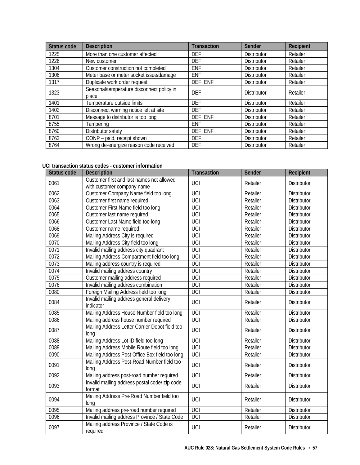| Status code | <b>Description</b>                                 | <b>Transaction</b> | <b>Sender</b>      | Recipient |
|-------------|----------------------------------------------------|--------------------|--------------------|-----------|
| 1225        | More than one customer affected                    | <b>DEF</b>         | <b>Distributor</b> | Retailer  |
| 1226        | New customer                                       | <b>DEF</b>         | <b>Distributor</b> | Retailer  |
| 1304        | Customer construction not completed                | <b>ENF</b>         | <b>Distributor</b> | Retailer  |
| 1306        | Meter base or meter socket issue/damage            | <b>ENF</b>         | <b>Distributor</b> | Retailer  |
| 1317        | Duplicate work order request                       | DEF, ENF           | <b>Distributor</b> | Retailer  |
| 1323        | Seasonal/temperature disconnect policy in<br>place | <b>DEF</b>         | <b>Distributor</b> | Retailer  |
| 1401        | Temperature outside limits                         | <b>DEF</b>         | <b>Distributor</b> | Retailer  |
| 1402        | Disconnect warning notice left at site             | <b>DEF</b>         | <b>Distributor</b> | Retailer  |
| 8701        | Message to distributor is too long                 | DEF, ENF           | <b>Distributor</b> | Retailer  |
| 8755        | Tampering                                          | <b>ENF</b>         | <b>Distributor</b> | Retailer  |
| 8760        | Distributor safety                                 | DEF, ENF           | <b>Distributor</b> | Retailer  |
| 8763        | CONP - paid, receipt shown                         | <b>DEF</b>         | <b>Distributor</b> | Retailer  |
| 8764        | Wrong de-energize reason code received             | <b>DEF</b>         | <b>Distributor</b> | Retailer  |

## **UCI transaction status codes - customer information**

| Status code | <b>Description</b>                                                      | <b>Transaction</b> | Sender   | Recipient          |
|-------------|-------------------------------------------------------------------------|--------------------|----------|--------------------|
| 0061        | Customer first and last names not allowed<br>with customer company name | UCI                | Retailer | <b>Distributor</b> |
| 0062        | Customer Company Name field too long                                    | UCI                | Retailer | <b>Distributor</b> |
| 0063        | Customer first name required                                            | UCI                | Retailer | <b>Distributor</b> |
| 0064        | Customer First Name field too long                                      | UCI                | Retailer | <b>Distributor</b> |
| 0065        | Customer last name required                                             | UCI                | Retailer | <b>Distributor</b> |
| 0066        | Customer Last Name field too long                                       | UCI                | Retailer | Distributor        |
| 0068        | Customer name required                                                  | UCI                | Retailer | Distributor        |
| 0069        | Mailing Address City is required                                        | UCI                | Retailer | Distributor        |
| 0070        | Mailing Address City field too long                                     | UCI                | Retailer | Distributor        |
| 0071        | Invalid mailing address city quadrant                                   | UCI                | Retailer | Distributor        |
| 0072        | Mailing Address Compartment field too long                              | UCI                | Retailer | Distributor        |
| 0073        | Mailing address country is required                                     | UCI                | Retailer | Distributor        |
| 0074        | Invalid mailing address country                                         | UCI                | Retailer | Distributor        |
| 0075        | Customer mailing address required                                       | UCI                | Retailer | Distributor        |
| 0076        | Invalid mailing address combination                                     | UCI                | Retailer | Distributor        |
| 0080        | Foreign Mailing Address field too long                                  | UCI                | Retailer | Distributor        |
| 0084        | Invalid mailing address general delivery<br>indicator                   | UCI                | Retailer | <b>Distributor</b> |
| 0085        | Mailing Address House Number field too long                             | UCI                | Retailer | <b>Distributor</b> |
| 0086        | Mailing address house number required                                   | UCI                | Retailer | <b>Distributor</b> |
| 0087        | Mailing Address Letter Carrier Depot field too<br>long                  | UCI                | Retailer | Distributor        |
| 0088        | Mailing Address Lot ID field too long                                   | <b>UCI</b>         | Retailer | <b>Distributor</b> |
| 0089        | Mailing Address Mobile Route field too long                             | UCI                | Retailer | Distributor        |
| 0090        | Mailing Address Post Office Box field too long                          | UCI                | Retailer | Distributor        |
| 0091        | Mailing Address Post-Road Number field too<br>long                      | UCI                | Retailer | <b>Distributor</b> |
| 0092        | Mailing address post-road number required                               | UCI                | Retailer | <b>Distributor</b> |
| 0093        | Invalid mailing address postal code/ zip code<br>format                 | UCI                | Retailer | <b>Distributor</b> |
| 0094        | Mailing Address Pre-Road Number field too<br>long                       | UCI                | Retailer | <b>Distributor</b> |
| 0095        | Mailing address pre-road number required                                | UCI                | Retailer | Distributor        |
| 0096        | Invalid mailing address Province / State Code                           | UCI                | Retailer | Distributor        |
| 0097        | Mailing address Province / State Code is<br>required                    | UCI                | Retailer | <b>Distributor</b> |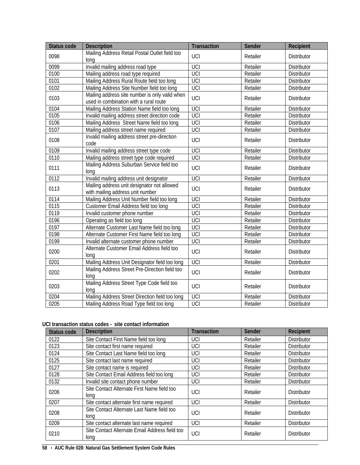| Status code | <b>Description</b>                                                                       | <b>Transaction</b> | Sender   | Recipient          |
|-------------|------------------------------------------------------------------------------------------|--------------------|----------|--------------------|
| 0098        | Mailing Address Retail Postal Outlet field too<br>long                                   | <b>UCI</b>         | Retailer | <b>Distributor</b> |
| 0099        | Invalid mailing address road type                                                        | UCI                | Retailer | <b>Distributor</b> |
| 0100        | Mailing address road type required                                                       | UCI                | Retailer | Distributor        |
| 0101        | Mailing Address Rural Route field too long                                               | UCI                | Retailer | Distributor        |
| 0102        | Mailing Address Site Number field too long                                               | UCI                | Retailer | Distributor        |
| 0103        | Mailing address site number is only valid when<br>used in combination with a rural route | UCI                | Retailer | <b>Distributor</b> |
| 0104        | Mailing Address Station Name field too long                                              | <b>UCI</b>         | Retailer | Distributor        |
| 0105        | Invalid mailing address street direction code                                            | UCI                | Retailer | Distributor        |
| 0106        | Mailing Address Street Name field too long                                               | UCI                | Retailer | Distributor        |
| 0107        | Mailing address street name required                                                     | UCI                | Retailer | Distributor        |
| 0108        | Invalid mailing address street pre-direction<br>code                                     | <b>UCI</b>         | Retailer | <b>Distributor</b> |
| 0109        | Invalid mailing address street type code                                                 | UCI                | Retailer | Distributor        |
| 0110        | Mailing address street type code required                                                | UCI                | Retailer | Distributor        |
| 0111        | Mailing Address Suburban Service field too<br>long                                       | UCI                | Retailer | Distributor        |
| 0112        | Invalid mailing address unit designator                                                  | <b>UCI</b>         | Retailer | <b>Distributor</b> |
| 0113        | Mailing address unit designator not allowed<br>with mailing address unit number          | UCI                | Retailer | <b>Distributor</b> |
| 0114        | Mailing Address Unit Number field too long                                               | UCI                | Retailer | Distributor        |
| 0115        | Customer Email Address field too long                                                    | UCI                | Retailer | Distributor        |
| 0119        | Invalid customer phone number                                                            | UCI                | Retailer | Distributor        |
| 0196        | Operating as field too long                                                              | <b>UCI</b>         | Retailer | Distributor        |
| 0197        | Alternate Customer Last Name field too long                                              | UCI                | Retailer | Distributor        |
| 0198        | Alternate Customer First Name field too long                                             | UCI                | Retailer | Distributor        |
| 0199        | Invalid alternate customer phone number                                                  | UCI                | Retailer | <b>Distributor</b> |
| 0200        | Alternate Customer Email Address field too<br>long                                       | UCI                | Retailer | <b>Distributor</b> |
| 0201        | Mailing Address Unit Designator field too long                                           | UCI                | Retailer | Distributor        |
| 0202        | Mailing Address Street Pre-Direction field too<br>long                                   | UCI                | Retailer | Distributor        |
| 0203        | Mailing Address Street Type Code field too<br>long                                       | UCI                | Retailer | Distributor        |
| 0204        | Mailing Address Street Direction field too long                                          | UCI                | Retailer | Distributor        |
| 0205        | Mailing Address Road Type field too long                                                 | UCI                | Retailer | Distributor        |

## **UCI transaction status codes - site contact information**

| Status code | <b>Description</b>                                     | <b>Transaction</b> | Sender   | Recipient          |
|-------------|--------------------------------------------------------|--------------------|----------|--------------------|
| 0122        | Site Contact First Name field too long                 | UCI                | Retailer | <b>Distributor</b> |
| 0123        | Site contact first name required                       | UCI                | Retailer | <b>Distributor</b> |
| 0124        | Site Contact Last Name field too long                  | UCI                | Retailer | <b>Distributor</b> |
| 0125        | Site contact last name required                        | UCI                | Retailer | <b>Distributor</b> |
| 0127        | Site contact name is required                          | UCI                | Retailer | <b>Distributor</b> |
| 0128        | Site Contact Email Address field too long              | UCI                | Retailer | Distributor        |
| 0132        | Invalid site contact phone number                      | UCI                | Retailer | <b>Distributor</b> |
| 0206        | Site Contact Alternate First Name field too<br>long    | UCI                | Retailer | <b>Distributor</b> |
| 0207        | Site contact alternate first name required             | UCI                | Retailer | <b>Distributor</b> |
| 0208        | Site Contact Alternate Last Name field too<br>long     | UCI                | Retailer | <b>Distributor</b> |
| 0209        | Site contact alternate last name required              | UCI                | Retailer | <b>Distributor</b> |
| 0210        | Site Contact Alternate Email Address field too<br>long | UCI                | Retailer | <b>Distributor</b> |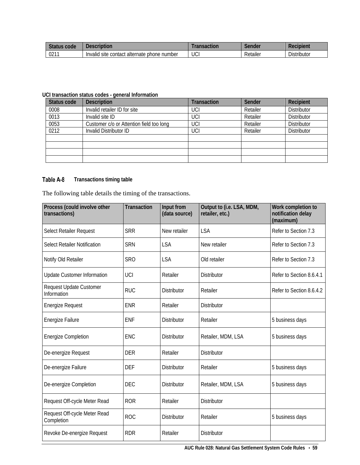| <b>Status</b><br>code | Description                                                 | saction | Sender   | Recipient                                           |
|-----------------------|-------------------------------------------------------------|---------|----------|-----------------------------------------------------|
| 021'                  | acontact alternate :<br>Invalid<br>hone b<br>number<br>site | UCI     | Retailer | $\sim$ $\sim$ $\sim$<br>$\mathbf{u}$<br>Distributor |

## **UCI transaction status codes - general Information**

| Status code | <b>Description</b>                       | <b>Transaction</b> | Sender   | Recipient          |
|-------------|------------------------------------------|--------------------|----------|--------------------|
| 0008        | Invalid retailer ID for site             | UCI                | Retailer | <b>Distributor</b> |
| 0013        | Invalid site ID                          | UCI                | Retailer | <b>Distributor</b> |
| 0053        | Customer c/o or Attention field too long | UCI                | Retailer | <b>Distributor</b> |
| 0212        | Invalid Distributor ID                   | UCI                | Retailer | Distributor        |
|             |                                          |                    |          |                    |
|             |                                          |                    |          |                    |
|             |                                          |                    |          |                    |
|             |                                          |                    |          |                    |

#### <span id="page-64-0"></span>**Transactions timing table** Table A-8

The following table details the timing of the transactions.

| Process (could involve other<br>transactions) | <b>Transaction</b> | Input from<br>(data source) | Output to (i.e. LSA, MDM,<br>retailer, etc.) | Work completion to<br>notification delay<br>(maximum) |
|-----------------------------------------------|--------------------|-----------------------------|----------------------------------------------|-------------------------------------------------------|
| Select Retailer Request                       | <b>SRR</b>         | New retailer                | <b>LSA</b>                                   | Refer to Section 7.3                                  |
| Select Retailer Notification                  | <b>SRN</b>         | <b>LSA</b>                  | New retailer                                 | Refer to Section 7.3                                  |
| Notify Old Retailer                           | <b>SRO</b>         | <b>LSA</b>                  | Old retailer                                 | Refer to Section 7.3                                  |
| <b>Update Customer Information</b>            | UCI                | Retailer                    | <b>Distributor</b>                           | Refer to Section 8.6.4.1                              |
| <b>Request Update Customer</b><br>Information | <b>RUC</b>         | <b>Distributor</b>          | Retailer                                     | Refer to Section 8.6.4.2                              |
| <b>Energize Request</b>                       | <b>ENR</b>         | Retailer                    | <b>Distributor</b>                           |                                                       |
| Energize Failure                              | <b>ENF</b>         | <b>Distributor</b>          | Retailer                                     | 5 business days                                       |
| <b>Energize Completion</b>                    | <b>ENC</b>         | <b>Distributor</b>          | Retailer, MDM, LSA                           | 5 business days                                       |
| De-energize Request                           | <b>DER</b>         | Retailer                    | Distributor                                  |                                                       |
| De-energize Failure                           | DEF                | <b>Distributor</b>          | Retailer                                     | 5 business days                                       |
| De-energize Completion                        | <b>DEC</b>         | <b>Distributor</b>          | Retailer, MDM, LSA                           | 5 business days                                       |
| Request Off-cycle Meter Read                  | <b>ROR</b>         | Retailer                    | <b>Distributor</b>                           |                                                       |
| Request Off-cycle Meter Read<br>Completion    | <b>ROC</b>         | <b>Distributor</b>          | Retailer                                     | 5 business days                                       |
| Revoke De-energize Request                    | <b>RDR</b>         | Retailer                    | <b>Distributor</b>                           |                                                       |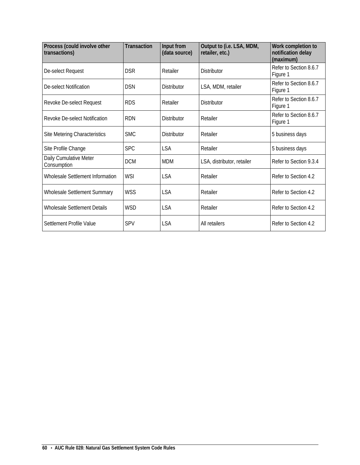| Process (could involve other<br>transactions) | <b>Transaction</b> | Input from<br>(data source) | Output to (i.e. LSA, MDM,<br>retailer, etc.) | Work completion to<br>notification delay<br>(maximum) |
|-----------------------------------------------|--------------------|-----------------------------|----------------------------------------------|-------------------------------------------------------|
| De-select Request                             | <b>DSR</b>         | Retailer                    | <b>Distributor</b>                           | Refer to Section 8.6.7<br>Figure 1                    |
| De-select Notification                        | <b>DSN</b>         | <b>Distributor</b>          | LSA, MDM, retailer                           | Refer to Section 8.6.7<br>Figure 1                    |
| Revoke De-select Request                      | <b>RDS</b>         | Retailer                    | <b>Distributor</b>                           | Refer to Section 8.6.7<br>Figure 1                    |
| Revoke De-select Notification                 | <b>RDN</b>         | <b>Distributor</b>          | Retailer                                     | Refer to Section 8.6.7<br>Figure 1                    |
| Site Metering Characteristics                 | <b>SMC</b>         | <b>Distributor</b>          | Retailer                                     | 5 business days                                       |
| Site Profile Change                           | <b>SPC</b>         | <b>LSA</b>                  | Retailer                                     | 5 business days                                       |
| Daily Cumulative Meter<br>Consumption         | <b>DCM</b>         | <b>MDM</b>                  | LSA, distributor, retailer                   | Refer to Section 9.3.4                                |
| Wholesale Settlement Information              | <b>WSI</b>         | <b>LSA</b>                  | Retailer                                     | Refer to Section 4.2                                  |
| <b>Wholesale Settlement Summary</b>           | <b>WSS</b>         | LSA                         | Retailer                                     | Refer to Section 4.2                                  |
| Wholesale Settlement Details                  | <b>WSD</b>         | <b>LSA</b>                  | Retailer                                     | Refer to Section 4.2                                  |
| Settlement Profile Value                      | <b>SPV</b>         | <b>LSA</b>                  | All retailers                                | Refer to Section 4.2                                  |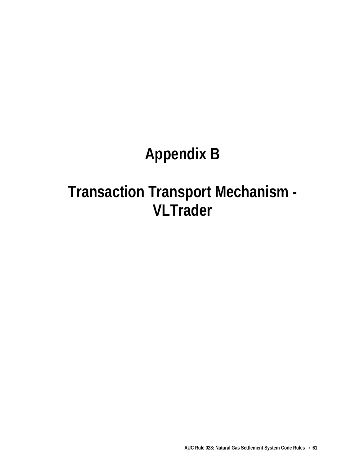# **Appendix B**

# **Transaction Transport Mechanism - VLTrader**